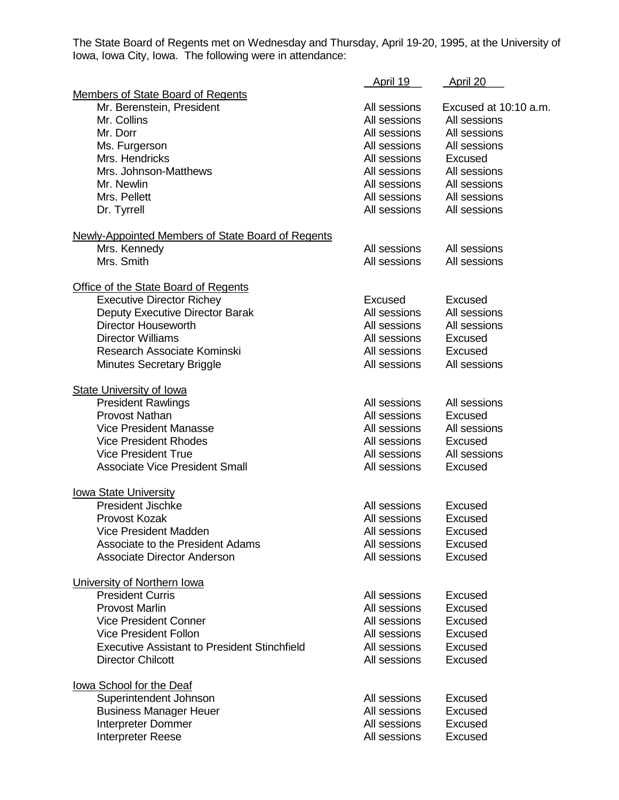The State Board of Regents met on Wednesday and Thursday, April 19-20, 1995, at the University of Iowa, Iowa City, Iowa. The following were in attendance:

|                                                          | April 19     | April 20              |
|----------------------------------------------------------|--------------|-----------------------|
| Members of State Board of Regents                        |              |                       |
| Mr. Berenstein, President                                | All sessions | Excused at 10:10 a.m. |
| Mr. Collins                                              | All sessions | All sessions          |
| Mr. Dorr                                                 | All sessions | All sessions          |
| Ms. Furgerson                                            | All sessions | All sessions          |
| Mrs. Hendricks                                           | All sessions | Excused               |
| Mrs. Johnson-Matthews                                    | All sessions | All sessions          |
| Mr. Newlin                                               | All sessions | All sessions          |
| Mrs. Pellett                                             | All sessions | All sessions          |
| Dr. Tyrrell                                              | All sessions | All sessions          |
| <b>Newly-Appointed Members of State Board of Regents</b> |              |                       |
| Mrs. Kennedy                                             | All sessions | All sessions          |
| Mrs. Smith                                               | All sessions | All sessions          |
| Office of the State Board of Regents                     |              |                       |
| <b>Executive Director Richey</b>                         | Excused      | Excused               |
| Deputy Executive Director Barak                          | All sessions | All sessions          |
| <b>Director Houseworth</b>                               | All sessions | All sessions          |
| <b>Director Williams</b>                                 | All sessions | Excused               |
| Research Associate Kominski                              | All sessions | Excused               |
| <b>Minutes Secretary Briggle</b>                         | All sessions | All sessions          |
| <b>State University of Iowa</b>                          |              |                       |
| <b>President Rawlings</b>                                | All sessions | All sessions          |
| <b>Provost Nathan</b>                                    | All sessions | Excused               |
| <b>Vice President Manasse</b>                            | All sessions | All sessions          |
| <b>Vice President Rhodes</b>                             | All sessions | Excused               |
| <b>Vice President True</b>                               | All sessions | All sessions          |
| <b>Associate Vice President Small</b>                    | All sessions | Excused               |
| <b>Iowa State University</b>                             |              |                       |
| <b>President Jischke</b>                                 | All sessions | <b>Excused</b>        |
| Provost Kozak                                            | All sessions | <b>Excused</b>        |
| Vice President Madden                                    | All sessions | Excused               |
| Associate to the President Adams                         | All sessions | Excused               |
| <b>Associate Director Anderson</b>                       | All sessions | Excused               |
| University of Northern Iowa                              |              |                       |
| <b>President Curris</b>                                  | All sessions | Excused               |
| <b>Provost Marlin</b>                                    | All sessions | Excused               |
| <b>Vice President Conner</b>                             | All sessions | Excused               |
| <b>Vice President Follon</b>                             | All sessions | Excused               |
| <b>Executive Assistant to President Stinchfield</b>      | All sessions | Excused               |
| <b>Director Chilcott</b>                                 | All sessions | Excused               |
| lowa School for the Deaf                                 |              |                       |
| Superintendent Johnson                                   | All sessions | Excused               |
| <b>Business Manager Heuer</b>                            | All sessions | Excused               |
| Interpreter Dommer                                       | All sessions | Excused               |
| Interpreter Reese                                        | All sessions | Excused               |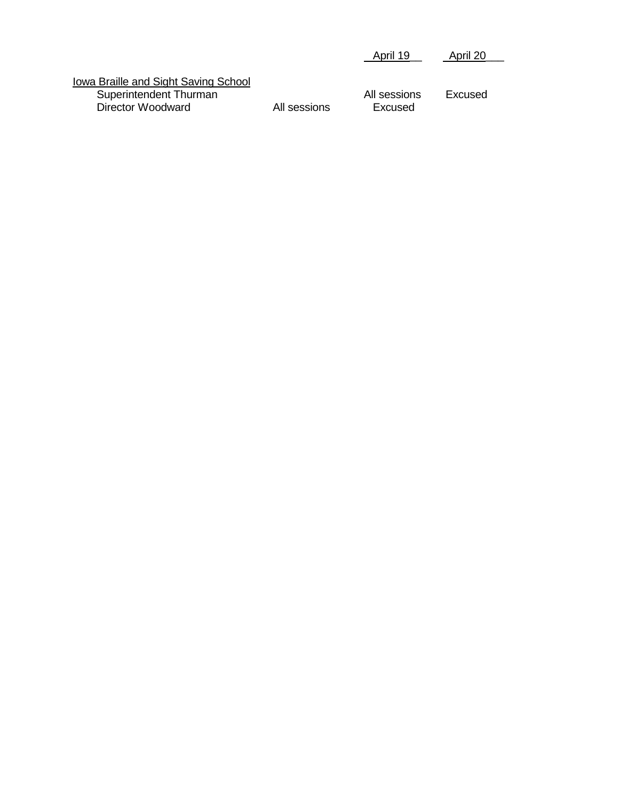|                                                                                     |              | April 19                | April 20 |
|-------------------------------------------------------------------------------------|--------------|-------------------------|----------|
| Iowa Braille and Sight Saving School<br>Superintendent Thurman<br>Director Woodward | All sessions | All sessions<br>Excused | Excused  |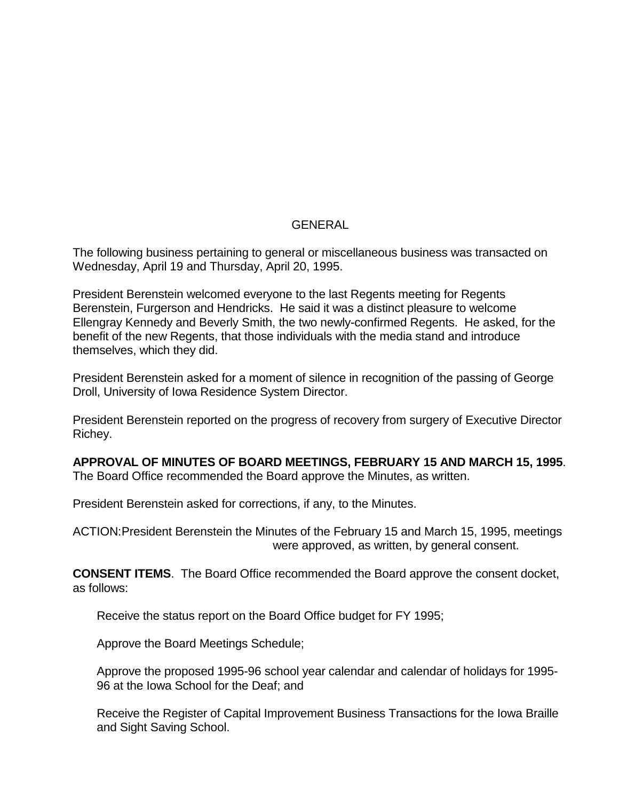#### GENERAL

The following business pertaining to general or miscellaneous business was transacted on Wednesday, April 19 and Thursday, April 20, 1995.

President Berenstein welcomed everyone to the last Regents meeting for Regents Berenstein, Furgerson and Hendricks. He said it was a distinct pleasure to welcome Ellengray Kennedy and Beverly Smith, the two newly-confirmed Regents. He asked, for the benefit of the new Regents, that those individuals with the media stand and introduce themselves, which they did.

President Berenstein asked for a moment of silence in recognition of the passing of George Droll, University of Iowa Residence System Director.

President Berenstein reported on the progress of recovery from surgery of Executive Director Richey.

#### **APPROVAL OF MINUTES OF BOARD MEETINGS, FEBRUARY 15 AND MARCH 15, 1995**.

The Board Office recommended the Board approve the Minutes, as written.

President Berenstein asked for corrections, if any, to the Minutes.

ACTION:President Berenstein the Minutes of the February 15 and March 15, 1995, meetings were approved, as written, by general consent.

**CONSENT ITEMS**. The Board Office recommended the Board approve the consent docket, as follows:

Receive the status report on the Board Office budget for FY 1995;

Approve the Board Meetings Schedule;

Approve the proposed 1995-96 school year calendar and calendar of holidays for 1995- 96 at the Iowa School for the Deaf; and

Receive the Register of Capital Improvement Business Transactions for the Iowa Braille and Sight Saving School.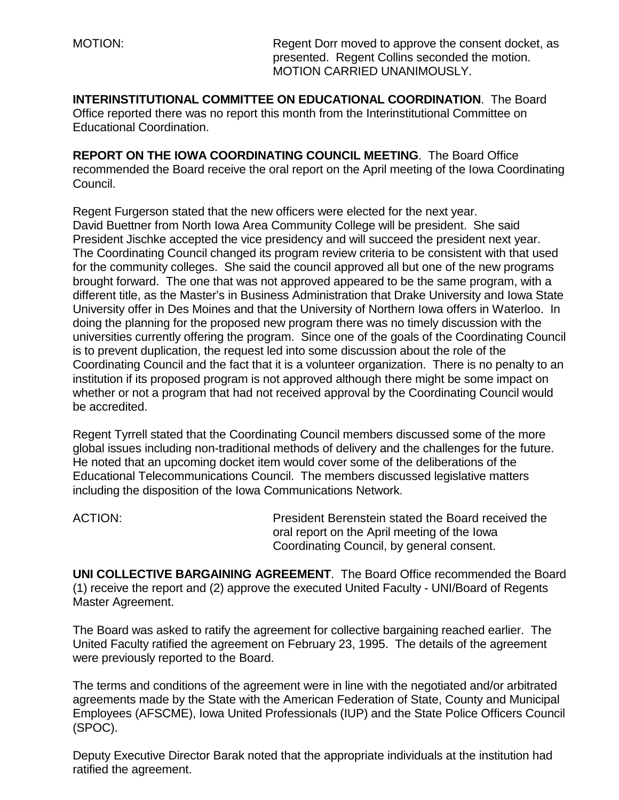MOTION: Regent Dorr moved to approve the consent docket, as presented. Regent Collins seconded the motion. MOTION CARRIED UNANIMOUSLY.

**INTERINSTITUTIONAL COMMITTEE ON EDUCATIONAL COORDINATION**. The Board Office reported there was no report this month from the Interinstitutional Committee on Educational Coordination.

**REPORT ON THE IOWA COORDINATING COUNCIL MEETING**. The Board Office recommended the Board receive the oral report on the April meeting of the Iowa Coordinating Council.

Regent Furgerson stated that the new officers were elected for the next year. David Buettner from North Iowa Area Community College will be president. She said President Jischke accepted the vice presidency and will succeed the president next year. The Coordinating Council changed its program review criteria to be consistent with that used for the community colleges. She said the council approved all but one of the new programs brought forward. The one that was not approved appeared to be the same program, with a different title, as the Master's in Business Administration that Drake University and Iowa State University offer in Des Moines and that the University of Northern Iowa offers in Waterloo. In doing the planning for the proposed new program there was no timely discussion with the universities currently offering the program. Since one of the goals of the Coordinating Council is to prevent duplication, the request led into some discussion about the role of the Coordinating Council and the fact that it is a volunteer organization. There is no penalty to an institution if its proposed program is not approved although there might be some impact on whether or not a program that had not received approval by the Coordinating Council would be accredited.

Regent Tyrrell stated that the Coordinating Council members discussed some of the more global issues including non-traditional methods of delivery and the challenges for the future. He noted that an upcoming docket item would cover some of the deliberations of the Educational Telecommunications Council. The members discussed legislative matters including the disposition of the Iowa Communications Network.

ACTION: President Berenstein stated the Board received the oral report on the April meeting of the Iowa Coordinating Council, by general consent.

**UNI COLLECTIVE BARGAINING AGREEMENT**. The Board Office recommended the Board (1) receive the report and (2) approve the executed United Faculty - UNI/Board of Regents Master Agreement.

The Board was asked to ratify the agreement for collective bargaining reached earlier. The United Faculty ratified the agreement on February 23, 1995. The details of the agreement were previously reported to the Board.

The terms and conditions of the agreement were in line with the negotiated and/or arbitrated agreements made by the State with the American Federation of State, County and Municipal Employees (AFSCME), Iowa United Professionals (IUP) and the State Police Officers Council (SPOC).

Deputy Executive Director Barak noted that the appropriate individuals at the institution had ratified the agreement.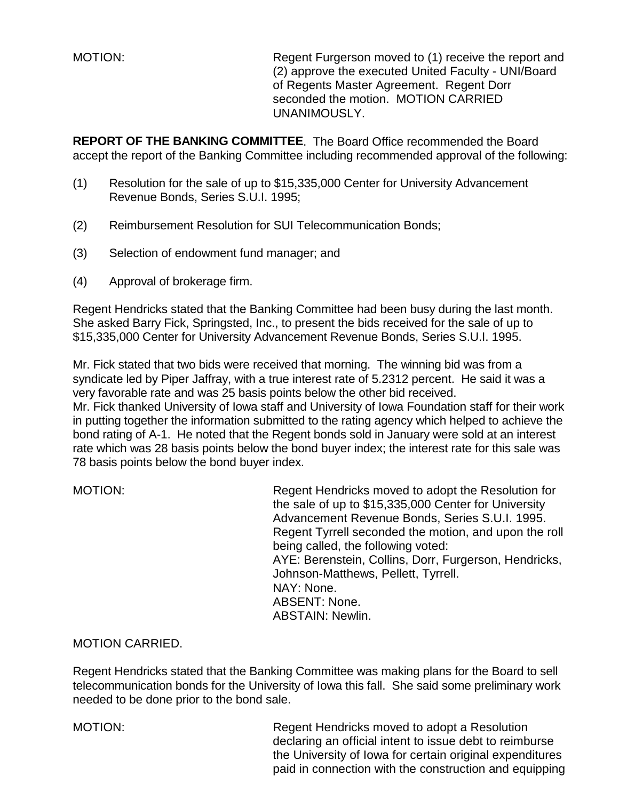MOTION: Regent Furgerson moved to (1) receive the report and (2) approve the executed United Faculty - UNI/Board of Regents Master Agreement. Regent Dorr seconded the motion. MOTION CARRIED UNANIMOUSLY.

**REPORT OF THE BANKING COMMITTEE**. The Board Office recommended the Board accept the report of the Banking Committee including recommended approval of the following:

- (1) Resolution for the sale of up to \$15,335,000 Center for University Advancement Revenue Bonds, Series S.U.I. 1995;
- (2) Reimbursement Resolution for SUI Telecommunication Bonds;
- (3) Selection of endowment fund manager; and
- (4) Approval of brokerage firm.

Regent Hendricks stated that the Banking Committee had been busy during the last month. She asked Barry Fick, Springsted, Inc., to present the bids received for the sale of up to \$15,335,000 Center for University Advancement Revenue Bonds, Series S.U.I. 1995.

Mr. Fick stated that two bids were received that morning. The winning bid was from a syndicate led by Piper Jaffray, with a true interest rate of 5.2312 percent. He said it was a very favorable rate and was 25 basis points below the other bid received. Mr. Fick thanked University of Iowa staff and University of Iowa Foundation staff for their work in putting together the information submitted to the rating agency which helped to achieve the bond rating of A-1. He noted that the Regent bonds sold in January were sold at an interest rate which was 28 basis points below the bond buyer index; the interest rate for this sale was 78 basis points below the bond buyer index.

| <b>MOTION:</b> | Regent Hendricks moved to adopt the Resolution for<br>the sale of up to \$15,335,000 Center for University<br>Advancement Revenue Bonds, Series S.U.I. 1995.<br>Regent Tyrrell seconded the motion, and upon the roll |
|----------------|-----------------------------------------------------------------------------------------------------------------------------------------------------------------------------------------------------------------------|
|                | being called, the following voted:                                                                                                                                                                                    |
|                | AYE: Berenstein, Collins, Dorr, Furgerson, Hendricks,                                                                                                                                                                 |
|                | Johnson-Matthews, Pellett, Tyrrell.                                                                                                                                                                                   |
|                | NAY: None.                                                                                                                                                                                                            |
|                | <b>ABSENT: None.</b>                                                                                                                                                                                                  |
|                | <b>ABSTAIN: Newlin.</b>                                                                                                                                                                                               |

#### MOTION CARRIED.

Regent Hendricks stated that the Banking Committee was making plans for the Board to sell telecommunication bonds for the University of Iowa this fall. She said some preliminary work needed to be done prior to the bond sale.

MOTION: Regent Hendricks moved to adopt a Resolution declaring an official intent to issue debt to reimburse the University of Iowa for certain original expenditures paid in connection with the construction and equipping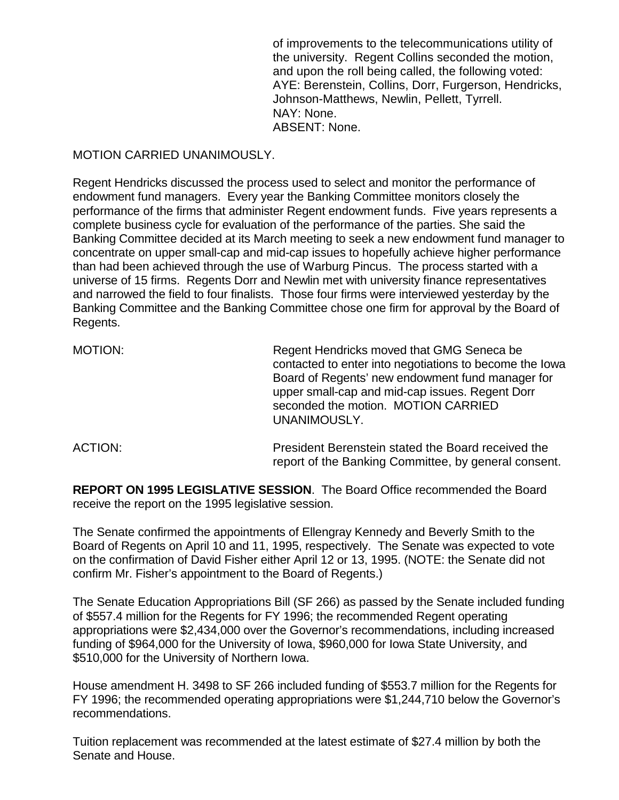of improvements to the telecommunications utility of the university. Regent Collins seconded the motion, and upon the roll being called, the following voted: AYE: Berenstein, Collins, Dorr, Furgerson, Hendricks, Johnson-Matthews, Newlin, Pellett, Tyrrell. NAY: None. ABSENT: None.

#### MOTION CARRIED UNANIMOUSLY.

Regent Hendricks discussed the process used to select and monitor the performance of endowment fund managers. Every year the Banking Committee monitors closely the performance of the firms that administer Regent endowment funds. Five years represents a complete business cycle for evaluation of the performance of the parties. She said the Banking Committee decided at its March meeting to seek a new endowment fund manager to concentrate on upper small-cap and mid-cap issues to hopefully achieve higher performance than had been achieved through the use of Warburg Pincus. The process started with a universe of 15 firms. Regents Dorr and Newlin met with university finance representatives and narrowed the field to four finalists. Those four firms were interviewed yesterday by the Banking Committee and the Banking Committee chose one firm for approval by the Board of Regents.

| MOTION: | Regent Hendricks moved that GMG Seneca be<br>contacted to enter into negotiations to become the lowa<br>Board of Regents' new endowment fund manager for<br>upper small-cap and mid-cap issues. Regent Dorr<br>seconded the motion. MOTION CARRIED<br>UNANIMOUSLY. |
|---------|--------------------------------------------------------------------------------------------------------------------------------------------------------------------------------------------------------------------------------------------------------------------|
| ACTION: | President Berenstein stated the Board received the<br>report of the Banking Committee, by general consent.                                                                                                                                                         |

**REPORT ON 1995 LEGISLATIVE SESSION**. The Board Office recommended the Board receive the report on the 1995 legislative session.

The Senate confirmed the appointments of Ellengray Kennedy and Beverly Smith to the Board of Regents on April 10 and 11, 1995, respectively. The Senate was expected to vote on the confirmation of David Fisher either April 12 or 13, 1995. (NOTE: the Senate did not confirm Mr. Fisher's appointment to the Board of Regents.)

The Senate Education Appropriations Bill (SF 266) as passed by the Senate included funding of \$557.4 million for the Regents for FY 1996; the recommended Regent operating appropriations were \$2,434,000 over the Governor's recommendations, including increased funding of \$964,000 for the University of Iowa, \$960,000 for Iowa State University, and \$510,000 for the University of Northern Iowa.

House amendment H. 3498 to SF 266 included funding of \$553.7 million for the Regents for FY 1996; the recommended operating appropriations were \$1,244,710 below the Governor's recommendations.

Tuition replacement was recommended at the latest estimate of \$27.4 million by both the Senate and House.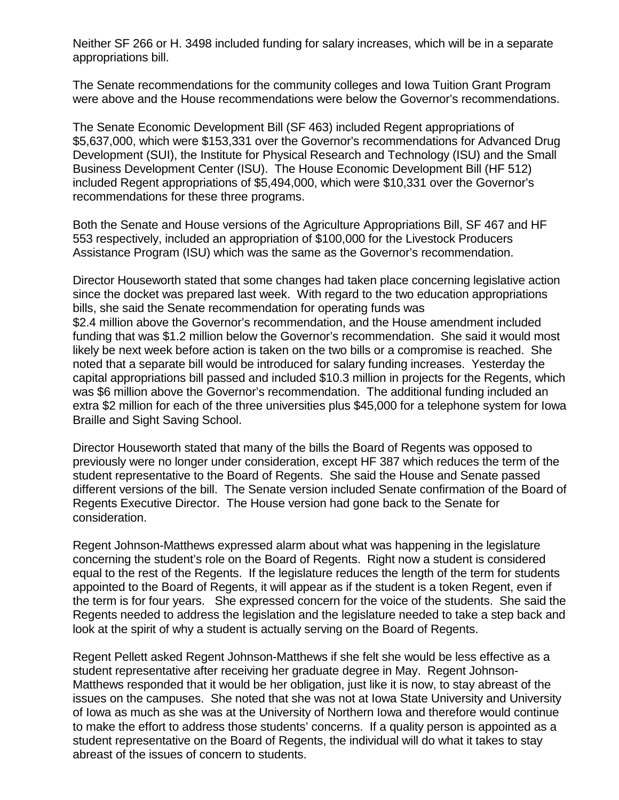Neither SF 266 or H. 3498 included funding for salary increases, which will be in a separate appropriations bill.

The Senate recommendations for the community colleges and Iowa Tuition Grant Program were above and the House recommendations were below the Governor's recommendations.

The Senate Economic Development Bill (SF 463) included Regent appropriations of \$5,637,000, which were \$153,331 over the Governor's recommendations for Advanced Drug Development (SUI), the Institute for Physical Research and Technology (ISU) and the Small Business Development Center (ISU). The House Economic Development Bill (HF 512) included Regent appropriations of \$5,494,000, which were \$10,331 over the Governor's recommendations for these three programs.

Both the Senate and House versions of the Agriculture Appropriations Bill, SF 467 and HF 553 respectively, included an appropriation of \$100,000 for the Livestock Producers Assistance Program (ISU) which was the same as the Governor's recommendation.

Director Houseworth stated that some changes had taken place concerning legislative action since the docket was prepared last week. With regard to the two education appropriations bills, she said the Senate recommendation for operating funds was \$2.4 million above the Governor's recommendation, and the House amendment included funding that was \$1.2 million below the Governor's recommendation. She said it would most likely be next week before action is taken on the two bills or a compromise is reached. She noted that a separate bill would be introduced for salary funding increases. Yesterday the capital appropriations bill passed and included \$10.3 million in projects for the Regents, which was \$6 million above the Governor's recommendation. The additional funding included an extra \$2 million for each of the three universities plus \$45,000 for a telephone system for Iowa Braille and Sight Saving School.

Director Houseworth stated that many of the bills the Board of Regents was opposed to previously were no longer under consideration, except HF 387 which reduces the term of the student representative to the Board of Regents. She said the House and Senate passed different versions of the bill. The Senate version included Senate confirmation of the Board of Regents Executive Director. The House version had gone back to the Senate for consideration.

Regent Johnson-Matthews expressed alarm about what was happening in the legislature concerning the student's role on the Board of Regents. Right now a student is considered equal to the rest of the Regents. If the legislature reduces the length of the term for students appointed to the Board of Regents, it will appear as if the student is a token Regent, even if the term is for four years. She expressed concern for the voice of the students. She said the Regents needed to address the legislation and the legislature needed to take a step back and look at the spirit of why a student is actually serving on the Board of Regents.

Regent Pellett asked Regent Johnson-Matthews if she felt she would be less effective as a student representative after receiving her graduate degree in May. Regent Johnson-Matthews responded that it would be her obligation, just like it is now, to stay abreast of the issues on the campuses. She noted that she was not at Iowa State University and University of Iowa as much as she was at the University of Northern Iowa and therefore would continue to make the effort to address those students' concerns. If a quality person is appointed as a student representative on the Board of Regents, the individual will do what it takes to stay abreast of the issues of concern to students.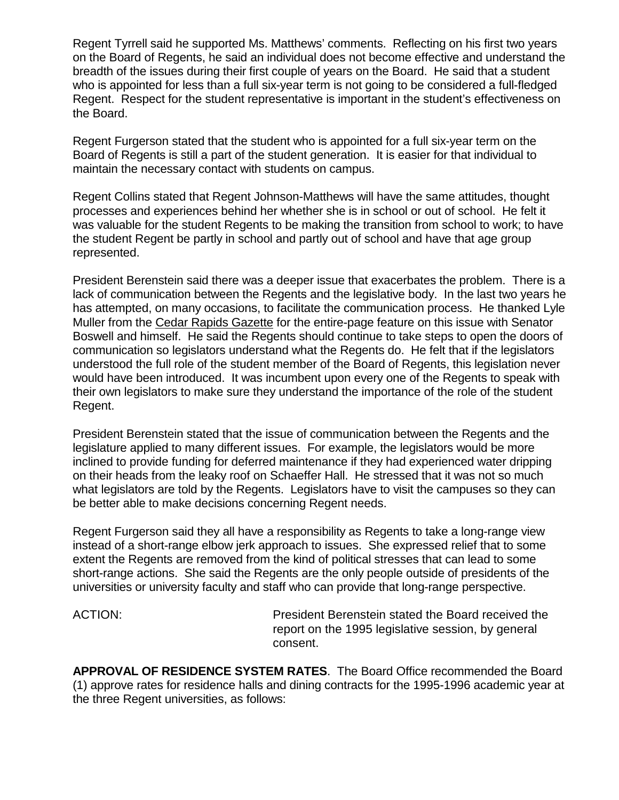Regent Tyrrell said he supported Ms. Matthews' comments. Reflecting on his first two years on the Board of Regents, he said an individual does not become effective and understand the breadth of the issues during their first couple of years on the Board. He said that a student who is appointed for less than a full six-year term is not going to be considered a full-fledged Regent. Respect for the student representative is important in the student's effectiveness on the Board.

Regent Furgerson stated that the student who is appointed for a full six-year term on the Board of Regents is still a part of the student generation. It is easier for that individual to maintain the necessary contact with students on campus.

Regent Collins stated that Regent Johnson-Matthews will have the same attitudes, thought processes and experiences behind her whether she is in school or out of school. He felt it was valuable for the student Regents to be making the transition from school to work; to have the student Regent be partly in school and partly out of school and have that age group represented.

President Berenstein said there was a deeper issue that exacerbates the problem. There is a lack of communication between the Regents and the legislative body. In the last two years he has attempted, on many occasions, to facilitate the communication process. He thanked Lyle Muller from the Cedar Rapids Gazette for the entire-page feature on this issue with Senator Boswell and himself. He said the Regents should continue to take steps to open the doors of communication so legislators understand what the Regents do. He felt that if the legislators understood the full role of the student member of the Board of Regents, this legislation never would have been introduced. It was incumbent upon every one of the Regents to speak with their own legislators to make sure they understand the importance of the role of the student Regent.

President Berenstein stated that the issue of communication between the Regents and the legislature applied to many different issues. For example, the legislators would be more inclined to provide funding for deferred maintenance if they had experienced water dripping on their heads from the leaky roof on Schaeffer Hall. He stressed that it was not so much what legislators are told by the Regents. Legislators have to visit the campuses so they can be better able to make decisions concerning Regent needs.

Regent Furgerson said they all have a responsibility as Regents to take a long-range view instead of a short-range elbow jerk approach to issues. She expressed relief that to some extent the Regents are removed from the kind of political stresses that can lead to some short-range actions. She said the Regents are the only people outside of presidents of the universities or university faculty and staff who can provide that long-range perspective.

ACTION: President Berenstein stated the Board received the report on the 1995 legislative session, by general consent.

**APPROVAL OF RESIDENCE SYSTEM RATES**. The Board Office recommended the Board (1) approve rates for residence halls and dining contracts for the 1995-1996 academic year at the three Regent universities, as follows: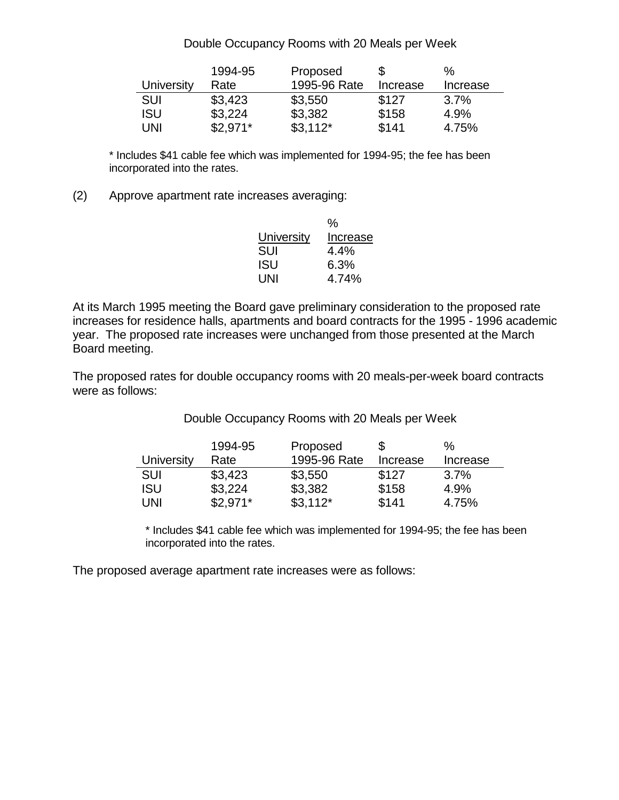#### Double Occupancy Rooms with 20 Meals per Week

|            | 1994-95   | Proposed     |          | ℅        |
|------------|-----------|--------------|----------|----------|
| University | Rate      | 1995-96 Rate | Increase | Increase |
| SUI        | \$3,423   | \$3,550      | \$127    | 3.7%     |
| ISU        | \$3,224   | \$3,382      | \$158    | 4.9%     |
| UNI        | $$2,971*$ | $$3,112*$    | \$141    | 4.75%    |

\* Includes \$41 cable fee which was implemented for 1994-95; the fee has been incorporated into the rates.

(2) Approve apartment rate increases averaging:

|            | %        |
|------------|----------|
| University | Increase |
| SUI        | 4.4%     |
| ISU        | 6.3%     |
| UNI        | 4.74%    |

At its March 1995 meeting the Board gave preliminary consideration to the proposed rate increases for residence halls, apartments and board contracts for the 1995 - 1996 academic year. The proposed rate increases were unchanged from those presented at the March Board meeting.

The proposed rates for double occupancy rooms with 20 meals-per-week board contracts were as follows:

Double Occupancy Rooms with 20 Meals per Week

|            | 1994-95   | Proposed     |          | %        |
|------------|-----------|--------------|----------|----------|
| University | Rate      | 1995-96 Rate | Increase | Increase |
| SUI        | \$3,423   | \$3,550      | \$127    | $3.7\%$  |
| ISU        | \$3,224   | \$3,382      | \$158    | 4.9%     |
| UNI        | $$2,971*$ | $$3,112*$    | \$141    | 4.75%    |

\* Includes \$41 cable fee which was implemented for 1994-95; the fee has been incorporated into the rates.

The proposed average apartment rate increases were as follows: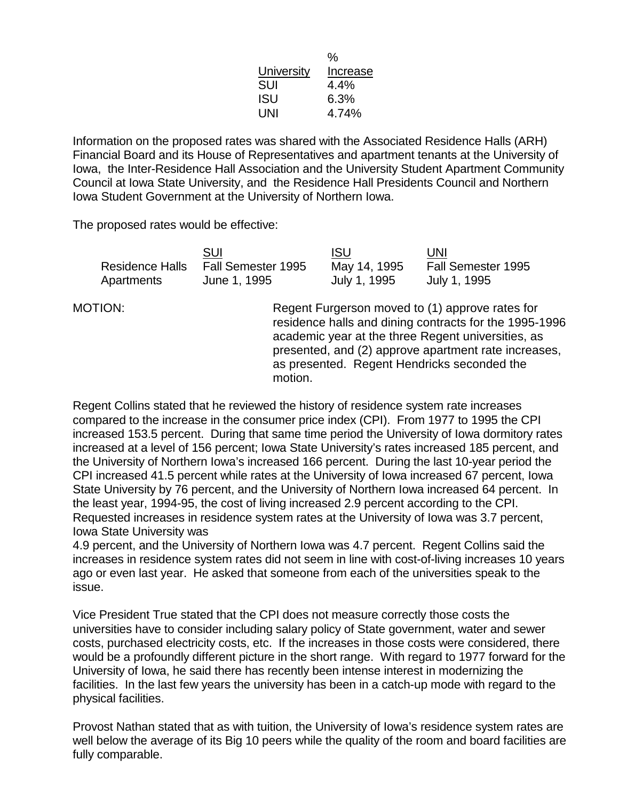|                   | %        |
|-------------------|----------|
| <b>University</b> | Increase |
| SUI               | 4.4%     |
| ISU               | 6.3%     |
| UNI               | 4.74%    |

Information on the proposed rates was shared with the Associated Residence Halls (ARH) Financial Board and its House of Representatives and apartment tenants at the University of Iowa, the Inter-Residence Hall Association and the University Student Apartment Community Council at Iowa State University, and the Residence Hall Presidents Council and Northern Iowa Student Government at the University of Northern Iowa.

The proposed rates would be effective:

|            | SUI                                | <b>ISU</b>   | UNI                |
|------------|------------------------------------|--------------|--------------------|
|            | Residence Halls Fall Semester 1995 | May 14, 1995 | Fall Semester 1995 |
| Apartments | June 1, 1995                       | July 1, 1995 | July 1, 1995       |

MOTION: Regent Furgerson moved to (1) approve rates for residence halls and dining contracts for the 1995-1996 academic year at the three Regent universities, as presented, and (2) approve apartment rate increases, as presented. Regent Hendricks seconded the motion.

Regent Collins stated that he reviewed the history of residence system rate increases compared to the increase in the consumer price index (CPI). From 1977 to 1995 the CPI increased 153.5 percent. During that same time period the University of Iowa dormitory rates increased at a level of 156 percent; Iowa State University's rates increased 185 percent, and the University of Northern Iowa's increased 166 percent. During the last 10-year period the CPI increased 41.5 percent while rates at the University of Iowa increased 67 percent, Iowa State University by 76 percent, and the University of Northern Iowa increased 64 percent. In the least year, 1994-95, the cost of living increased 2.9 percent according to the CPI. Requested increases in residence system rates at the University of Iowa was 3.7 percent, Iowa State University was

4.9 percent, and the University of Northern Iowa was 4.7 percent. Regent Collins said the increases in residence system rates did not seem in line with cost-of-living increases 10 years ago or even last year. He asked that someone from each of the universities speak to the issue.

Vice President True stated that the CPI does not measure correctly those costs the universities have to consider including salary policy of State government, water and sewer costs, purchased electricity costs, etc. If the increases in those costs were considered, there would be a profoundly different picture in the short range. With regard to 1977 forward for the University of Iowa, he said there has recently been intense interest in modernizing the facilities. In the last few years the university has been in a catch-up mode with regard to the physical facilities.

Provost Nathan stated that as with tuition, the University of Iowa's residence system rates are well below the average of its Big 10 peers while the quality of the room and board facilities are fully comparable.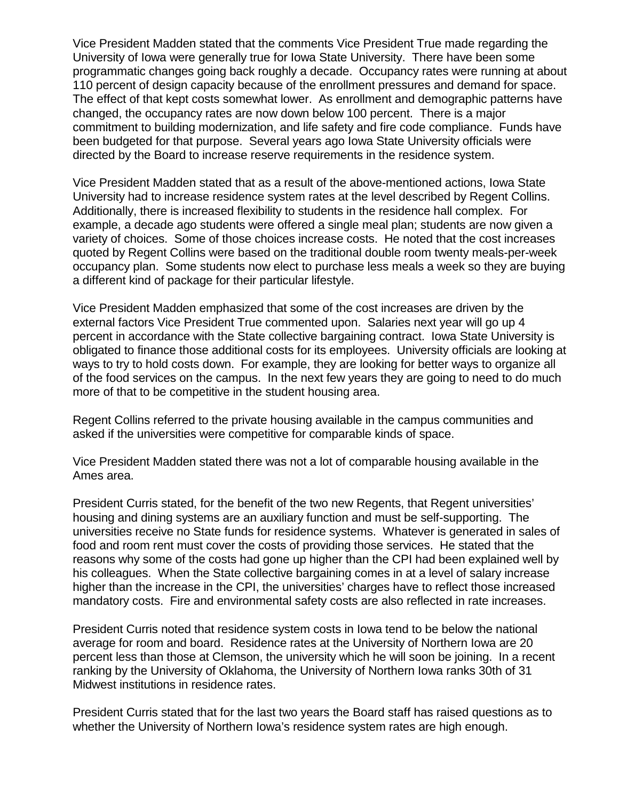Vice President Madden stated that the comments Vice President True made regarding the University of Iowa were generally true for Iowa State University. There have been some programmatic changes going back roughly a decade. Occupancy rates were running at about 110 percent of design capacity because of the enrollment pressures and demand for space. The effect of that kept costs somewhat lower. As enrollment and demographic patterns have changed, the occupancy rates are now down below 100 percent. There is a major commitment to building modernization, and life safety and fire code compliance. Funds have been budgeted for that purpose. Several years ago Iowa State University officials were directed by the Board to increase reserve requirements in the residence system.

Vice President Madden stated that as a result of the above-mentioned actions, Iowa State University had to increase residence system rates at the level described by Regent Collins. Additionally, there is increased flexibility to students in the residence hall complex. For example, a decade ago students were offered a single meal plan; students are now given a variety of choices. Some of those choices increase costs. He noted that the cost increases quoted by Regent Collins were based on the traditional double room twenty meals-per-week occupancy plan. Some students now elect to purchase less meals a week so they are buying a different kind of package for their particular lifestyle.

Vice President Madden emphasized that some of the cost increases are driven by the external factors Vice President True commented upon. Salaries next year will go up 4 percent in accordance with the State collective bargaining contract. Iowa State University is obligated to finance those additional costs for its employees. University officials are looking at ways to try to hold costs down. For example, they are looking for better ways to organize all of the food services on the campus. In the next few years they are going to need to do much more of that to be competitive in the student housing area.

Regent Collins referred to the private housing available in the campus communities and asked if the universities were competitive for comparable kinds of space.

Vice President Madden stated there was not a lot of comparable housing available in the Ames area.

President Curris stated, for the benefit of the two new Regents, that Regent universities' housing and dining systems are an auxiliary function and must be self-supporting. The universities receive no State funds for residence systems. Whatever is generated in sales of food and room rent must cover the costs of providing those services. He stated that the reasons why some of the costs had gone up higher than the CPI had been explained well by his colleagues. When the State collective bargaining comes in at a level of salary increase higher than the increase in the CPI, the universities' charges have to reflect those increased mandatory costs. Fire and environmental safety costs are also reflected in rate increases.

President Curris noted that residence system costs in Iowa tend to be below the national average for room and board. Residence rates at the University of Northern Iowa are 20 percent less than those at Clemson, the university which he will soon be joining. In a recent ranking by the University of Oklahoma, the University of Northern Iowa ranks 30th of 31 Midwest institutions in residence rates.

President Curris stated that for the last two years the Board staff has raised questions as to whether the University of Northern Iowa's residence system rates are high enough.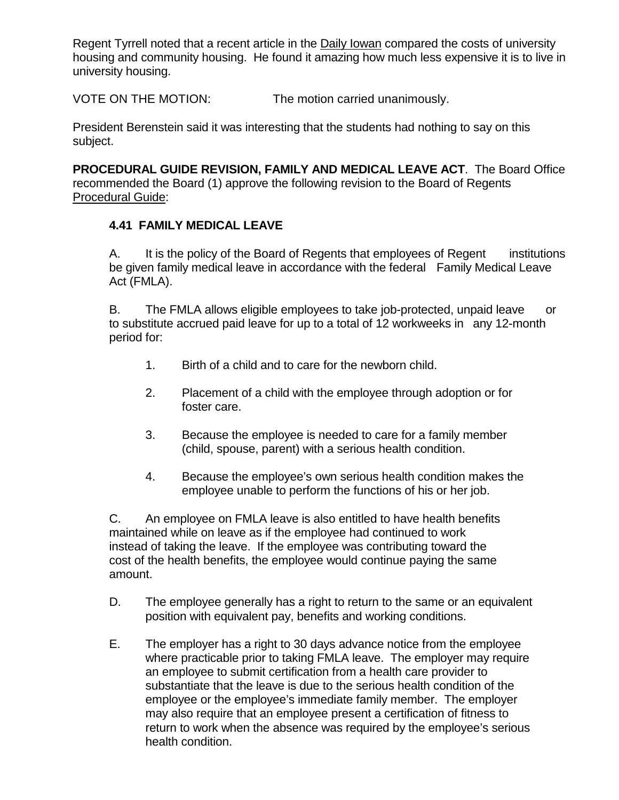Regent Tyrrell noted that a recent article in the Daily Iowan compared the costs of university housing and community housing. He found it amazing how much less expensive it is to live in university housing.

VOTE ON THE MOTION: The motion carried unanimously.

President Berenstein said it was interesting that the students had nothing to say on this subject.

**PROCEDURAL GUIDE REVISION, FAMILY AND MEDICAL LEAVE ACT**. The Board Office recommended the Board (1) approve the following revision to the Board of Regents Procedural Guide:

# **4.41 FAMILY MEDICAL LEAVE**

A. It is the policy of the Board of Regents that employees of Regent institutions be given family medical leave in accordance with the federal Family Medical Leave Act (FMLA).

B. The FMLA allows eligible employees to take job-protected, unpaid leave or to substitute accrued paid leave for up to a total of 12 workweeks in any 12-month period for:

- 1. Birth of a child and to care for the newborn child.
- 2. Placement of a child with the employee through adoption or for foster care.
- 3. Because the employee is needed to care for a family member (child, spouse, parent) with a serious health condition.
- 4. Because the employee's own serious health condition makes the employee unable to perform the functions of his or her job.

C. An employee on FMLA leave is also entitled to have health benefits maintained while on leave as if the employee had continued to work instead of taking the leave. If the employee was contributing toward the cost of the health benefits, the employee would continue paying the same amount.

- D. The employee generally has a right to return to the same or an equivalent position with equivalent pay, benefits and working conditions.
- E. The employer has a right to 30 days advance notice from the employee where practicable prior to taking FMLA leave. The employer may require an employee to submit certification from a health care provider to substantiate that the leave is due to the serious health condition of the employee or the employee's immediate family member. The employer may also require that an employee present a certification of fitness to return to work when the absence was required by the employee's serious health condition.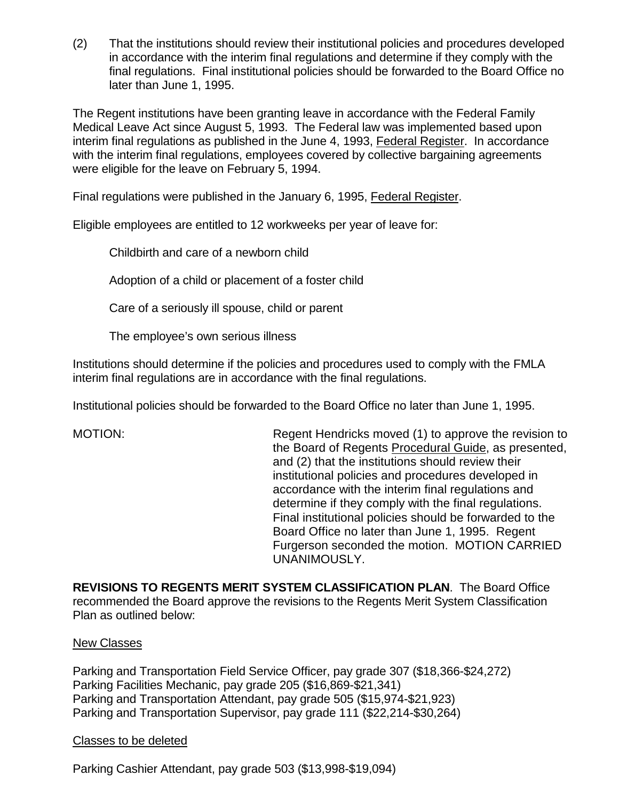(2) That the institutions should review their institutional policies and procedures developed in accordance with the interim final regulations and determine if they comply with the final regulations. Final institutional policies should be forwarded to the Board Office no later than June 1, 1995.

The Regent institutions have been granting leave in accordance with the Federal Family Medical Leave Act since August 5, 1993. The Federal law was implemented based upon interim final regulations as published in the June 4, 1993, Federal Register. In accordance with the interim final regulations, employees covered by collective bargaining agreements were eligible for the leave on February 5, 1994.

Final regulations were published in the January 6, 1995, Federal Register.

Eligible employees are entitled to 12 workweeks per year of leave for:

Childbirth and care of a newborn child

Adoption of a child or placement of a foster child

Care of a seriously ill spouse, child or parent

The employee's own serious illness

Institutions should determine if the policies and procedures used to comply with the FMLA interim final regulations are in accordance with the final regulations.

Institutional policies should be forwarded to the Board Office no later than June 1, 1995.

MOTION: Regent Hendricks moved (1) to approve the revision to the Board of Regents Procedural Guide, as presented, and (2) that the institutions should review their institutional policies and procedures developed in accordance with the interim final regulations and determine if they comply with the final regulations. Final institutional policies should be forwarded to the Board Office no later than June 1, 1995. Regent Furgerson seconded the motion. MOTION CARRIED UNANIMOUSLY.

**REVISIONS TO REGENTS MERIT SYSTEM CLASSIFICATION PLAN**. The Board Office recommended the Board approve the revisions to the Regents Merit System Classification Plan as outlined below:

#### New Classes

Parking and Transportation Field Service Officer, pay grade 307 (\$18,366-\$24,272) Parking Facilities Mechanic, pay grade 205 (\$16,869-\$21,341) Parking and Transportation Attendant, pay grade 505 (\$15,974-\$21,923) Parking and Transportation Supervisor, pay grade 111 (\$22,214-\$30,264)

#### Classes to be deleted

Parking Cashier Attendant, pay grade 503 (\$13,998-\$19,094)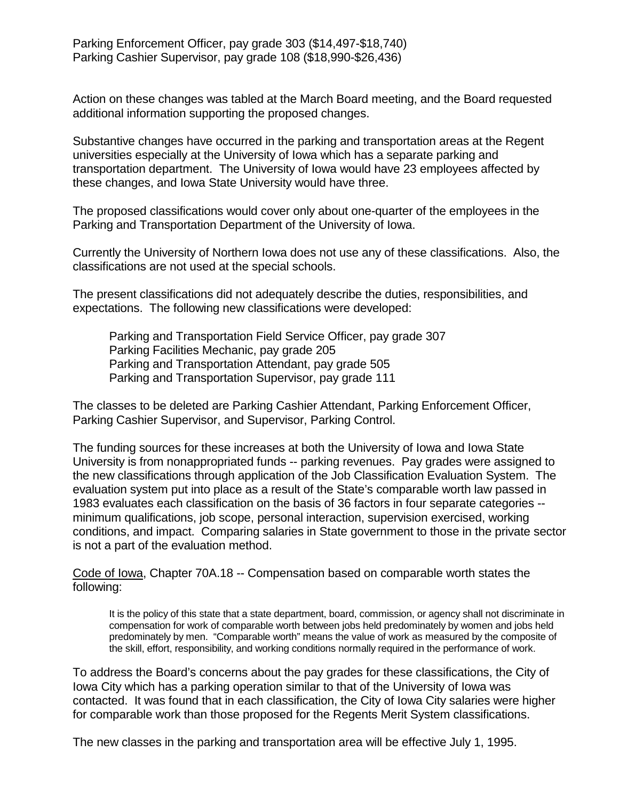Action on these changes was tabled at the March Board meeting, and the Board requested additional information supporting the proposed changes.

Substantive changes have occurred in the parking and transportation areas at the Regent universities especially at the University of Iowa which has a separate parking and transportation department. The University of Iowa would have 23 employees affected by these changes, and Iowa State University would have three.

The proposed classifications would cover only about one-quarter of the employees in the Parking and Transportation Department of the University of Iowa.

Currently the University of Northern Iowa does not use any of these classifications. Also, the classifications are not used at the special schools.

The present classifications did not adequately describe the duties, responsibilities, and expectations. The following new classifications were developed:

Parking and Transportation Field Service Officer, pay grade 307 Parking Facilities Mechanic, pay grade 205 Parking and Transportation Attendant, pay grade 505 Parking and Transportation Supervisor, pay grade 111

The classes to be deleted are Parking Cashier Attendant, Parking Enforcement Officer, Parking Cashier Supervisor, and Supervisor, Parking Control.

The funding sources for these increases at both the University of Iowa and Iowa State University is from nonappropriated funds -- parking revenues. Pay grades were assigned to the new classifications through application of the Job Classification Evaluation System. The evaluation system put into place as a result of the State's comparable worth law passed in 1983 evaluates each classification on the basis of 36 factors in four separate categories - minimum qualifications, job scope, personal interaction, supervision exercised, working conditions, and impact. Comparing salaries in State government to those in the private sector is not a part of the evaluation method.

Code of Iowa, Chapter 70A.18 -- Compensation based on comparable worth states the following:

It is the policy of this state that a state department, board, commission, or agency shall not discriminate in compensation for work of comparable worth between jobs held predominately by women and jobs held predominately by men. "Comparable worth" means the value of work as measured by the composite of the skill, effort, responsibility, and working conditions normally required in the performance of work.

To address the Board's concerns about the pay grades for these classifications, the City of Iowa City which has a parking operation similar to that of the University of Iowa was contacted. It was found that in each classification, the City of Iowa City salaries were higher for comparable work than those proposed for the Regents Merit System classifications.

The new classes in the parking and transportation area will be effective July 1, 1995.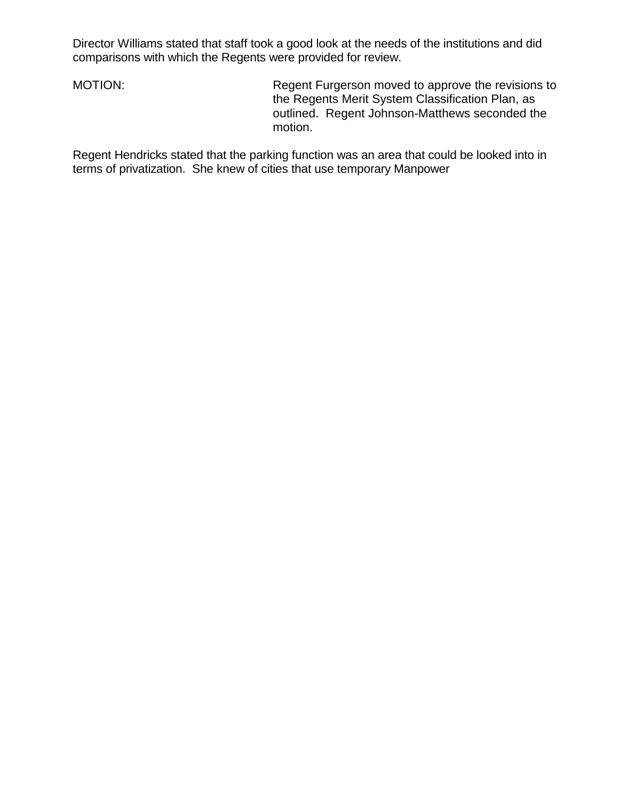Director Williams stated that staff took a good look at the needs of the institutions and did comparisons with which the Regents were provided for review.

MOTION: Regent Furgerson moved to approve the revisions to the Regents Merit System Classification Plan, as outlined. Regent Johnson-Matthews seconded the motion.

Regent Hendricks stated that the parking function was an area that could be looked into in terms of privatization. She knew of cities that use temporary Manpower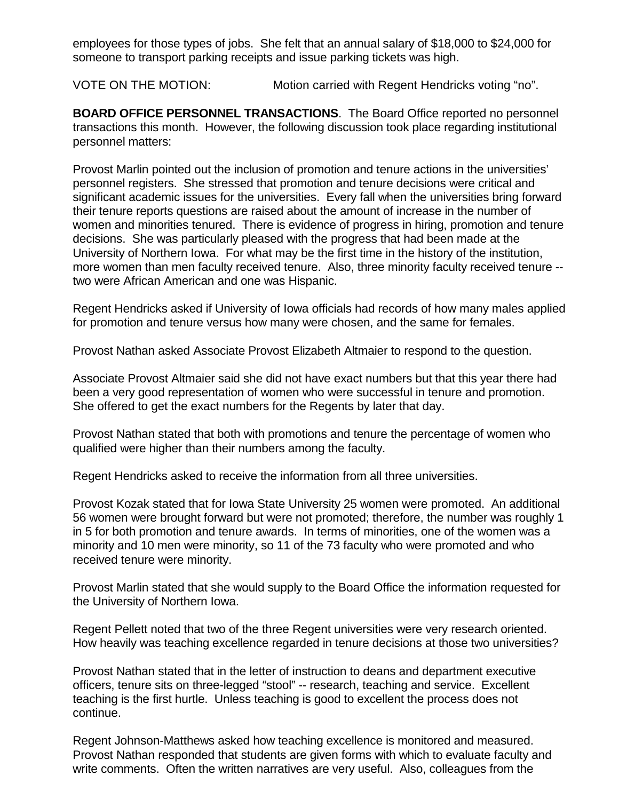employees for those types of jobs. She felt that an annual salary of \$18,000 to \$24,000 for someone to transport parking receipts and issue parking tickets was high.

VOTE ON THE MOTION: Motion carried with Regent Hendricks voting "no".

**BOARD OFFICE PERSONNEL TRANSACTIONS**. The Board Office reported no personnel transactions this month. However, the following discussion took place regarding institutional personnel matters:

Provost Marlin pointed out the inclusion of promotion and tenure actions in the universities' personnel registers. She stressed that promotion and tenure decisions were critical and significant academic issues for the universities. Every fall when the universities bring forward their tenure reports questions are raised about the amount of increase in the number of women and minorities tenured. There is evidence of progress in hiring, promotion and tenure decisions. She was particularly pleased with the progress that had been made at the University of Northern Iowa. For what may be the first time in the history of the institution, more women than men faculty received tenure. Also, three minority faculty received tenure - two were African American and one was Hispanic.

Regent Hendricks asked if University of Iowa officials had records of how many males applied for promotion and tenure versus how many were chosen, and the same for females.

Provost Nathan asked Associate Provost Elizabeth Altmaier to respond to the question.

Associate Provost Altmaier said she did not have exact numbers but that this year there had been a very good representation of women who were successful in tenure and promotion. She offered to get the exact numbers for the Regents by later that day.

Provost Nathan stated that both with promotions and tenure the percentage of women who qualified were higher than their numbers among the faculty.

Regent Hendricks asked to receive the information from all three universities.

Provost Kozak stated that for Iowa State University 25 women were promoted. An additional 56 women were brought forward but were not promoted; therefore, the number was roughly 1 in 5 for both promotion and tenure awards. In terms of minorities, one of the women was a minority and 10 men were minority, so 11 of the 73 faculty who were promoted and who received tenure were minority.

Provost Marlin stated that she would supply to the Board Office the information requested for the University of Northern Iowa.

Regent Pellett noted that two of the three Regent universities were very research oriented. How heavily was teaching excellence regarded in tenure decisions at those two universities?

Provost Nathan stated that in the letter of instruction to deans and department executive officers, tenure sits on three-legged "stool" -- research, teaching and service. Excellent teaching is the first hurtle. Unless teaching is good to excellent the process does not continue.

Regent Johnson-Matthews asked how teaching excellence is monitored and measured. Provost Nathan responded that students are given forms with which to evaluate faculty and write comments. Often the written narratives are very useful. Also, colleagues from the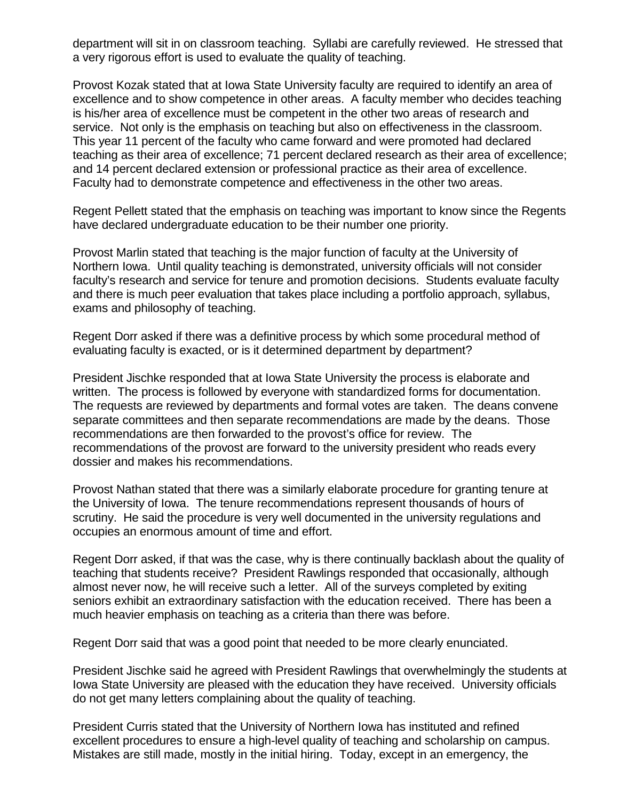department will sit in on classroom teaching. Syllabi are carefully reviewed. He stressed that a very rigorous effort is used to evaluate the quality of teaching.

Provost Kozak stated that at Iowa State University faculty are required to identify an area of excellence and to show competence in other areas. A faculty member who decides teaching is his/her area of excellence must be competent in the other two areas of research and service. Not only is the emphasis on teaching but also on effectiveness in the classroom. This year 11 percent of the faculty who came forward and were promoted had declared teaching as their area of excellence; 71 percent declared research as their area of excellence; and 14 percent declared extension or professional practice as their area of excellence. Faculty had to demonstrate competence and effectiveness in the other two areas.

Regent Pellett stated that the emphasis on teaching was important to know since the Regents have declared undergraduate education to be their number one priority.

Provost Marlin stated that teaching is the major function of faculty at the University of Northern Iowa. Until quality teaching is demonstrated, university officials will not consider faculty's research and service for tenure and promotion decisions. Students evaluate faculty and there is much peer evaluation that takes place including a portfolio approach, syllabus, exams and philosophy of teaching.

Regent Dorr asked if there was a definitive process by which some procedural method of evaluating faculty is exacted, or is it determined department by department?

President Jischke responded that at Iowa State University the process is elaborate and written. The process is followed by everyone with standardized forms for documentation. The requests are reviewed by departments and formal votes are taken. The deans convene separate committees and then separate recommendations are made by the deans. Those recommendations are then forwarded to the provost's office for review. The recommendations of the provost are forward to the university president who reads every dossier and makes his recommendations.

Provost Nathan stated that there was a similarly elaborate procedure for granting tenure at the University of Iowa. The tenure recommendations represent thousands of hours of scrutiny. He said the procedure is very well documented in the university regulations and occupies an enormous amount of time and effort.

Regent Dorr asked, if that was the case, why is there continually backlash about the quality of teaching that students receive? President Rawlings responded that occasionally, although almost never now, he will receive such a letter. All of the surveys completed by exiting seniors exhibit an extraordinary satisfaction with the education received. There has been a much heavier emphasis on teaching as a criteria than there was before.

Regent Dorr said that was a good point that needed to be more clearly enunciated.

President Jischke said he agreed with President Rawlings that overwhelmingly the students at Iowa State University are pleased with the education they have received. University officials do not get many letters complaining about the quality of teaching.

President Curris stated that the University of Northern Iowa has instituted and refined excellent procedures to ensure a high-level quality of teaching and scholarship on campus. Mistakes are still made, mostly in the initial hiring. Today, except in an emergency, the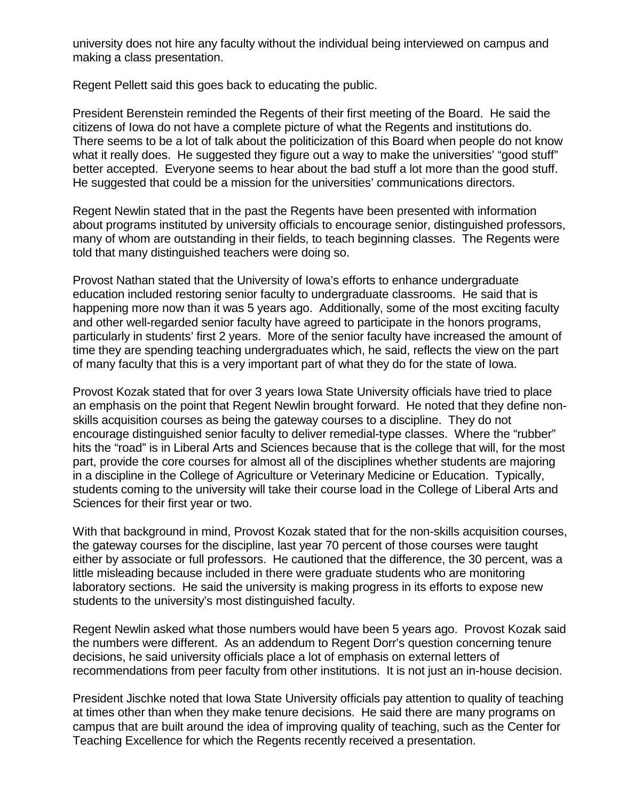university does not hire any faculty without the individual being interviewed on campus and making a class presentation.

Regent Pellett said this goes back to educating the public.

President Berenstein reminded the Regents of their first meeting of the Board. He said the citizens of Iowa do not have a complete picture of what the Regents and institutions do. There seems to be a lot of talk about the politicization of this Board when people do not know what it really does. He suggested they figure out a way to make the universities' "good stuff" better accepted. Everyone seems to hear about the bad stuff a lot more than the good stuff. He suggested that could be a mission for the universities' communications directors.

Regent Newlin stated that in the past the Regents have been presented with information about programs instituted by university officials to encourage senior, distinguished professors, many of whom are outstanding in their fields, to teach beginning classes. The Regents were told that many distinguished teachers were doing so.

Provost Nathan stated that the University of Iowa's efforts to enhance undergraduate education included restoring senior faculty to undergraduate classrooms. He said that is happening more now than it was 5 years ago. Additionally, some of the most exciting faculty and other well-regarded senior faculty have agreed to participate in the honors programs, particularly in students' first 2 years. More of the senior faculty have increased the amount of time they are spending teaching undergraduates which, he said, reflects the view on the part of many faculty that this is a very important part of what they do for the state of Iowa.

Provost Kozak stated that for over 3 years Iowa State University officials have tried to place an emphasis on the point that Regent Newlin brought forward. He noted that they define nonskills acquisition courses as being the gateway courses to a discipline. They do not encourage distinguished senior faculty to deliver remedial-type classes. Where the "rubber" hits the "road" is in Liberal Arts and Sciences because that is the college that will, for the most part, provide the core courses for almost all of the disciplines whether students are majoring in a discipline in the College of Agriculture or Veterinary Medicine or Education. Typically, students coming to the university will take their course load in the College of Liberal Arts and Sciences for their first year or two.

With that background in mind, Provost Kozak stated that for the non-skills acquisition courses, the gateway courses for the discipline, last year 70 percent of those courses were taught either by associate or full professors. He cautioned that the difference, the 30 percent, was a little misleading because included in there were graduate students who are monitoring laboratory sections. He said the university is making progress in its efforts to expose new students to the university's most distinguished faculty.

Regent Newlin asked what those numbers would have been 5 years ago. Provost Kozak said the numbers were different. As an addendum to Regent Dorr's question concerning tenure decisions, he said university officials place a lot of emphasis on external letters of recommendations from peer faculty from other institutions. It is not just an in-house decision.

President Jischke noted that Iowa State University officials pay attention to quality of teaching at times other than when they make tenure decisions. He said there are many programs on campus that are built around the idea of improving quality of teaching, such as the Center for Teaching Excellence for which the Regents recently received a presentation.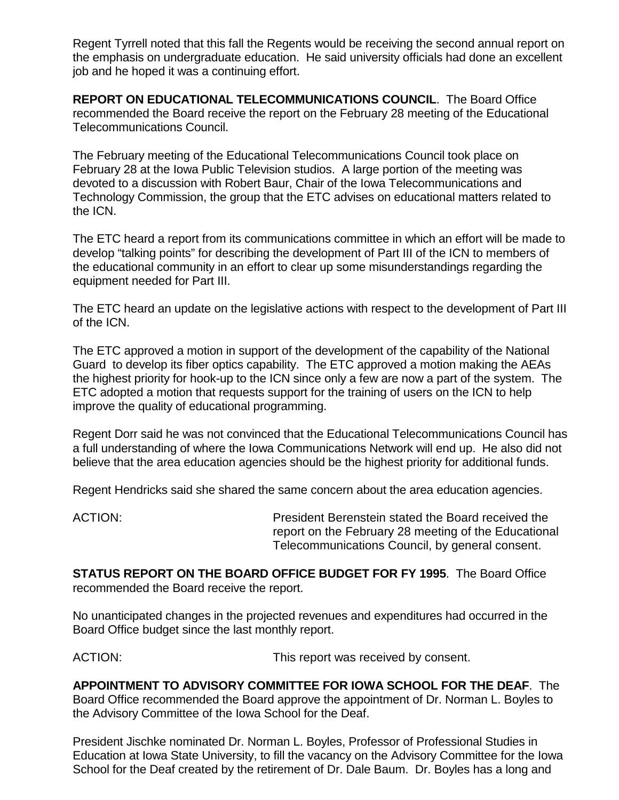Regent Tyrrell noted that this fall the Regents would be receiving the second annual report on the emphasis on undergraduate education. He said university officials had done an excellent job and he hoped it was a continuing effort.

**REPORT ON EDUCATIONAL TELECOMMUNICATIONS COUNCIL**. The Board Office recommended the Board receive the report on the February 28 meeting of the Educational Telecommunications Council.

The February meeting of the Educational Telecommunications Council took place on February 28 at the Iowa Public Television studios. A large portion of the meeting was devoted to a discussion with Robert Baur, Chair of the Iowa Telecommunications and Technology Commission, the group that the ETC advises on educational matters related to the ICN.

The ETC heard a report from its communications committee in which an effort will be made to develop "talking points" for describing the development of Part III of the ICN to members of the educational community in an effort to clear up some misunderstandings regarding the equipment needed for Part III.

The ETC heard an update on the legislative actions with respect to the development of Part III of the ICN.

The ETC approved a motion in support of the development of the capability of the National Guard to develop its fiber optics capability. The ETC approved a motion making the AEAs the highest priority for hook-up to the ICN since only a few are now a part of the system. The ETC adopted a motion that requests support for the training of users on the ICN to help improve the quality of educational programming.

Regent Dorr said he was not convinced that the Educational Telecommunications Council has a full understanding of where the Iowa Communications Network will end up. He also did not believe that the area education agencies should be the highest priority for additional funds.

Regent Hendricks said she shared the same concern about the area education agencies.

ACTION: President Berenstein stated the Board received the report on the February 28 meeting of the Educational Telecommunications Council, by general consent.

**STATUS REPORT ON THE BOARD OFFICE BUDGET FOR FY 1995**. The Board Office recommended the Board receive the report.

No unanticipated changes in the projected revenues and expenditures had occurred in the Board Office budget since the last monthly report.

ACTION:  $\blacksquare$  This report was received by consent.

**APPOINTMENT TO ADVISORY COMMITTEE FOR IOWA SCHOOL FOR THE DEAF**. The Board Office recommended the Board approve the appointment of Dr. Norman L. Boyles to the Advisory Committee of the Iowa School for the Deaf.

President Jischke nominated Dr. Norman L. Boyles, Professor of Professional Studies in Education at Iowa State University, to fill the vacancy on the Advisory Committee for the Iowa School for the Deaf created by the retirement of Dr. Dale Baum. Dr. Boyles has a long and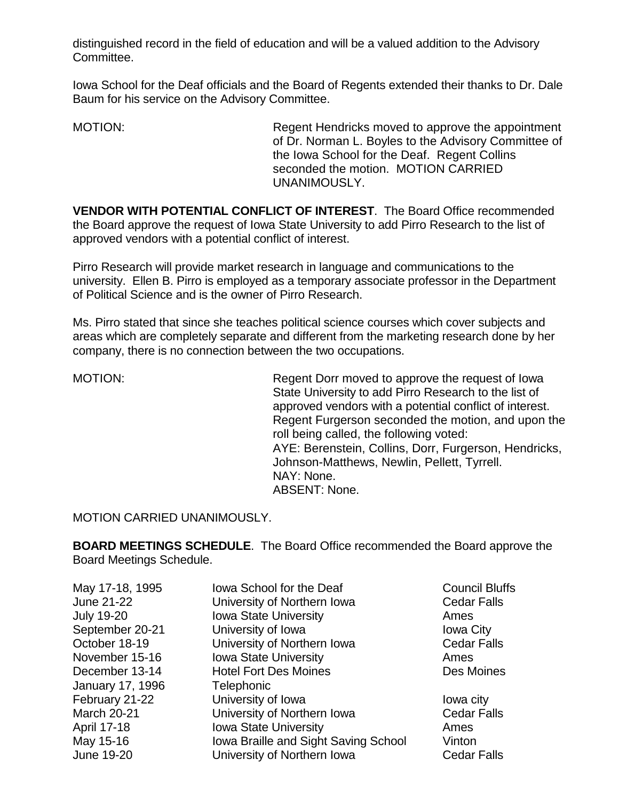distinguished record in the field of education and will be a valued addition to the Advisory Committee.

Iowa School for the Deaf officials and the Board of Regents extended their thanks to Dr. Dale Baum for his service on the Advisory Committee.

MOTION: Regent Hendricks moved to approve the appointment of Dr. Norman L. Boyles to the Advisory Committee of the Iowa School for the Deaf. Regent Collins seconded the motion. MOTION CARRIED UNANIMOUSLY.

**VENDOR WITH POTENTIAL CONFLICT OF INTEREST**. The Board Office recommended the Board approve the request of Iowa State University to add Pirro Research to the list of approved vendors with a potential conflict of interest.

Pirro Research will provide market research in language and communications to the university. Ellen B. Pirro is employed as a temporary associate professor in the Department of Political Science and is the owner of Pirro Research.

Ms. Pirro stated that since she teaches political science courses which cover subjects and areas which are completely separate and different from the marketing research done by her company, there is no connection between the two occupations.

MOTION: MOTION: Regent Dorr moved to approve the request of Iowa State University to add Pirro Research to the list of approved vendors with a potential conflict of interest. Regent Furgerson seconded the motion, and upon the roll being called, the following voted: AYE: Berenstein, Collins, Dorr, Furgerson, Hendricks, Johnson-Matthews, Newlin, Pellett, Tyrrell. NAY: None. ABSENT: None.

MOTION CARRIED UNANIMOUSLY.

**BOARD MEETINGS SCHEDULE**. The Board Office recommended the Board approve the Board Meetings Schedule.

| May 17-18, 1995    | lowa School for the Deaf             | <b>Council Bluffs</b> |
|--------------------|--------------------------------------|-----------------------|
| June 21-22         | University of Northern Iowa          | <b>Cedar Falls</b>    |
| <b>July 19-20</b>  | <b>Iowa State University</b>         | Ames                  |
| September 20-21    | University of Iowa                   | <b>Iowa City</b>      |
| October 18-19      | University of Northern Iowa          | <b>Cedar Falls</b>    |
| November 15-16     | <b>Iowa State University</b>         | Ames                  |
| December 13-14     | <b>Hotel Fort Des Moines</b>         | Des Moines            |
| January 17, 1996   | Telephonic                           |                       |
| February 21-22     | University of Iowa                   | lowa city             |
| <b>March 20-21</b> | University of Northern Iowa          | <b>Cedar Falls</b>    |
| April 17-18        | <b>Iowa State University</b>         | Ames                  |
| May 15-16          | Iowa Braille and Sight Saving School | Vinton                |
| June 19-20         | University of Northern Iowa          | <b>Cedar Falls</b>    |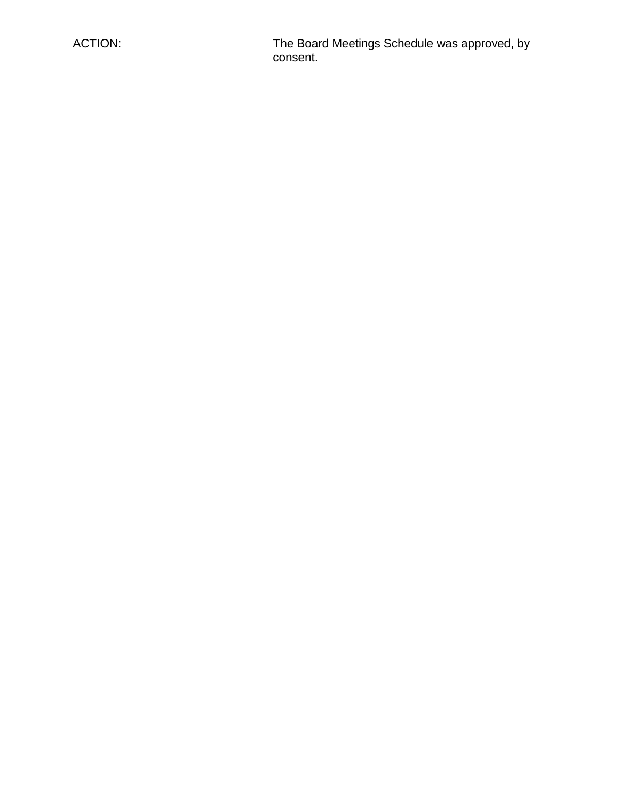ACTION: The Board Meetings Schedule was approved, by consent.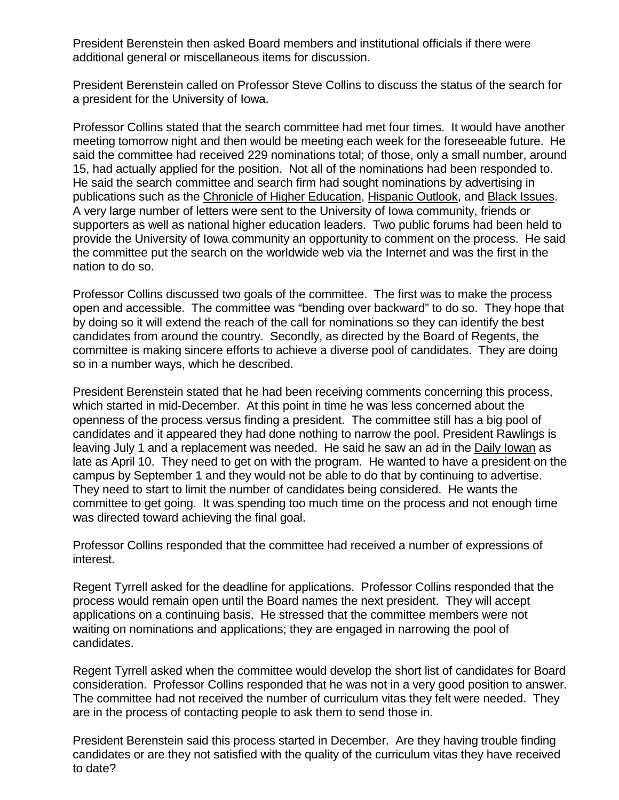President Berenstein then asked Board members and institutional officials if there were additional general or miscellaneous items for discussion.

President Berenstein called on Professor Steve Collins to discuss the status of the search for a president for the University of Iowa.

Professor Collins stated that the search committee had met four times. It would have another meeting tomorrow night and then would be meeting each week for the foreseeable future. He said the committee had received 229 nominations total; of those, only a small number, around 15, had actually applied for the position. Not all of the nominations had been responded to. He said the search committee and search firm had sought nominations by advertising in publications such as the Chronicle of Higher Education, Hispanic Outlook, and Black Issues. A very large number of letters were sent to the University of Iowa community, friends or supporters as well as national higher education leaders. Two public forums had been held to provide the University of Iowa community an opportunity to comment on the process. He said the committee put the search on the worldwide web via the Internet and was the first in the nation to do so.

Professor Collins discussed two goals of the committee. The first was to make the process open and accessible. The committee was "bending over backward" to do so. They hope that by doing so it will extend the reach of the call for nominations so they can identify the best candidates from around the country. Secondly, as directed by the Board of Regents, the committee is making sincere efforts to achieve a diverse pool of candidates. They are doing so in a number ways, which he described.

President Berenstein stated that he had been receiving comments concerning this process, which started in mid-December. At this point in time he was less concerned about the openness of the process versus finding a president. The committee still has a big pool of candidates and it appeared they had done nothing to narrow the pool. President Rawlings is leaving July 1 and a replacement was needed. He said he saw an ad in the Daily Iowan as late as April 10. They need to get on with the program. He wanted to have a president on the campus by September 1 and they would not be able to do that by continuing to advertise. They need to start to limit the number of candidates being considered. He wants the committee to get going. It was spending too much time on the process and not enough time was directed toward achieving the final goal.

Professor Collins responded that the committee had received a number of expressions of interest.

Regent Tyrrell asked for the deadline for applications. Professor Collins responded that the process would remain open until the Board names the next president. They will accept applications on a continuing basis. He stressed that the committee members were not waiting on nominations and applications; they are engaged in narrowing the pool of candidates.

Regent Tyrrell asked when the committee would develop the short list of candidates for Board consideration. Professor Collins responded that he was not in a very good position to answer. The committee had not received the number of curriculum vitas they felt were needed. They are in the process of contacting people to ask them to send those in.

President Berenstein said this process started in December. Are they having trouble finding candidates or are they not satisfied with the quality of the curriculum vitas they have received to date?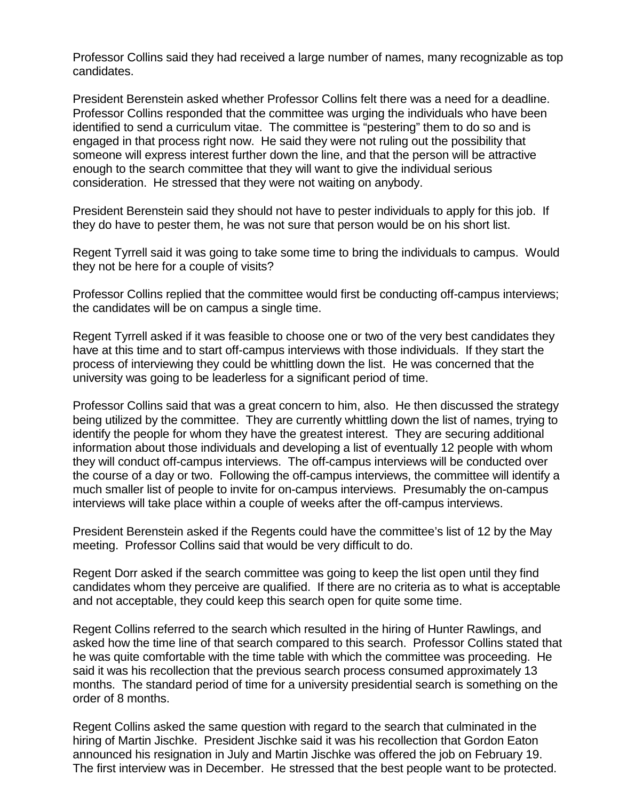Professor Collins said they had received a large number of names, many recognizable as top candidates.

President Berenstein asked whether Professor Collins felt there was a need for a deadline. Professor Collins responded that the committee was urging the individuals who have been identified to send a curriculum vitae. The committee is "pestering" them to do so and is engaged in that process right now. He said they were not ruling out the possibility that someone will express interest further down the line, and that the person will be attractive enough to the search committee that they will want to give the individual serious consideration. He stressed that they were not waiting on anybody.

President Berenstein said they should not have to pester individuals to apply for this job. If they do have to pester them, he was not sure that person would be on his short list.

Regent Tyrrell said it was going to take some time to bring the individuals to campus. Would they not be here for a couple of visits?

Professor Collins replied that the committee would first be conducting off-campus interviews; the candidates will be on campus a single time.

Regent Tyrrell asked if it was feasible to choose one or two of the very best candidates they have at this time and to start off-campus interviews with those individuals. If they start the process of interviewing they could be whittling down the list. He was concerned that the university was going to be leaderless for a significant period of time.

Professor Collins said that was a great concern to him, also. He then discussed the strategy being utilized by the committee. They are currently whittling down the list of names, trying to identify the people for whom they have the greatest interest. They are securing additional information about those individuals and developing a list of eventually 12 people with whom they will conduct off-campus interviews. The off-campus interviews will be conducted over the course of a day or two. Following the off-campus interviews, the committee will identify a much smaller list of people to invite for on-campus interviews. Presumably the on-campus interviews will take place within a couple of weeks after the off-campus interviews.

President Berenstein asked if the Regents could have the committee's list of 12 by the May meeting. Professor Collins said that would be very difficult to do.

Regent Dorr asked if the search committee was going to keep the list open until they find candidates whom they perceive are qualified. If there are no criteria as to what is acceptable and not acceptable, they could keep this search open for quite some time.

Regent Collins referred to the search which resulted in the hiring of Hunter Rawlings, and asked how the time line of that search compared to this search. Professor Collins stated that he was quite comfortable with the time table with which the committee was proceeding. He said it was his recollection that the previous search process consumed approximately 13 months. The standard period of time for a university presidential search is something on the order of 8 months.

Regent Collins asked the same question with regard to the search that culminated in the hiring of Martin Jischke. President Jischke said it was his recollection that Gordon Eaton announced his resignation in July and Martin Jischke was offered the job on February 19. The first interview was in December. He stressed that the best people want to be protected.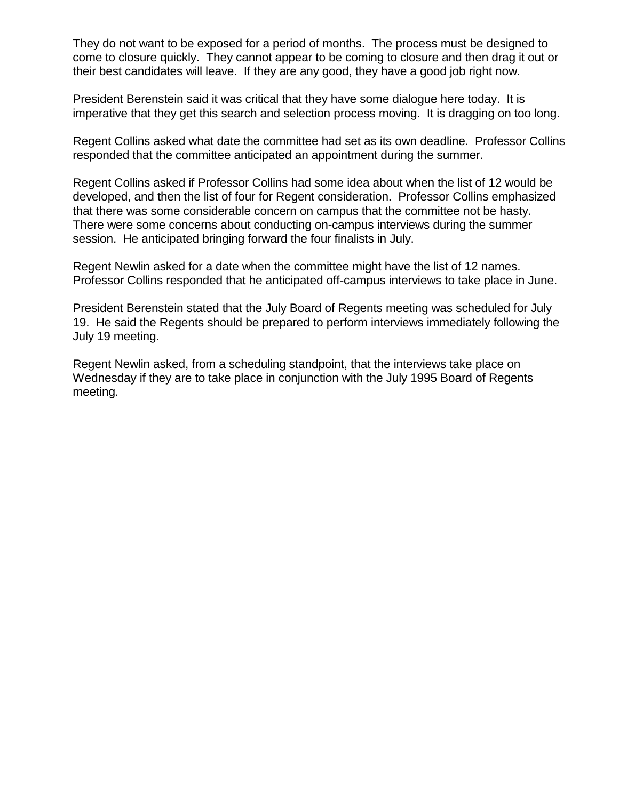They do not want to be exposed for a period of months. The process must be designed to come to closure quickly. They cannot appear to be coming to closure and then drag it out or their best candidates will leave. If they are any good, they have a good job right now.

President Berenstein said it was critical that they have some dialogue here today. It is imperative that they get this search and selection process moving. It is dragging on too long.

Regent Collins asked what date the committee had set as its own deadline. Professor Collins responded that the committee anticipated an appointment during the summer.

Regent Collins asked if Professor Collins had some idea about when the list of 12 would be developed, and then the list of four for Regent consideration. Professor Collins emphasized that there was some considerable concern on campus that the committee not be hasty. There were some concerns about conducting on-campus interviews during the summer session. He anticipated bringing forward the four finalists in July.

Regent Newlin asked for a date when the committee might have the list of 12 names. Professor Collins responded that he anticipated off-campus interviews to take place in June.

President Berenstein stated that the July Board of Regents meeting was scheduled for July 19. He said the Regents should be prepared to perform interviews immediately following the July 19 meeting.

Regent Newlin asked, from a scheduling standpoint, that the interviews take place on Wednesday if they are to take place in conjunction with the July 1995 Board of Regents meeting.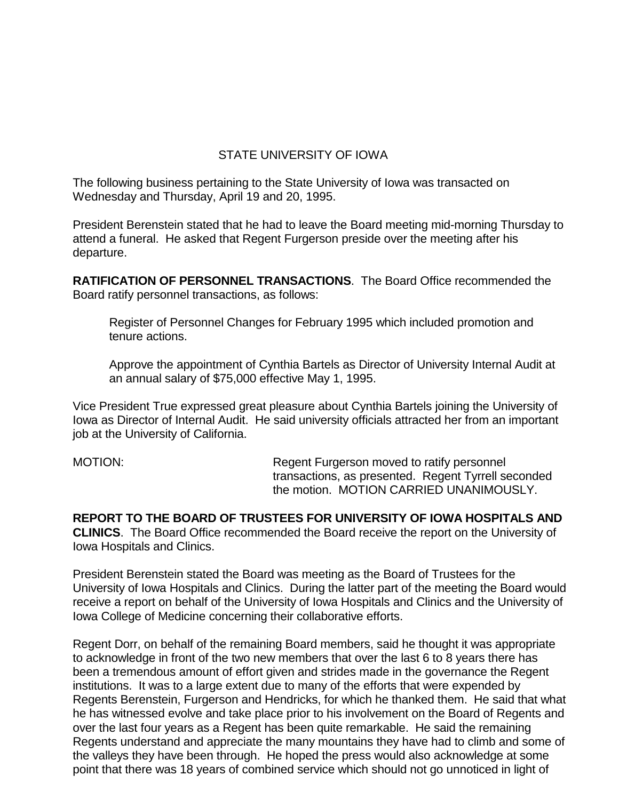## STATE UNIVERSITY OF IOWA

The following business pertaining to the State University of Iowa was transacted on Wednesday and Thursday, April 19 and 20, 1995.

President Berenstein stated that he had to leave the Board meeting mid-morning Thursday to attend a funeral. He asked that Regent Furgerson preside over the meeting after his departure.

**RATIFICATION OF PERSONNEL TRANSACTIONS**. The Board Office recommended the Board ratify personnel transactions, as follows:

Register of Personnel Changes for February 1995 which included promotion and tenure actions.

Approve the appointment of Cynthia Bartels as Director of University Internal Audit at an annual salary of \$75,000 effective May 1, 1995.

Vice President True expressed great pleasure about Cynthia Bartels joining the University of Iowa as Director of Internal Audit. He said university officials attracted her from an important job at the University of California.

MOTION: Regent Furgerson moved to ratify personnel transactions, as presented. Regent Tyrrell seconded the motion. MOTION CARRIED UNANIMOUSLY.

**REPORT TO THE BOARD OF TRUSTEES FOR UNIVERSITY OF IOWA HOSPITALS AND CLINICS**. The Board Office recommended the Board receive the report on the University of Iowa Hospitals and Clinics.

President Berenstein stated the Board was meeting as the Board of Trustees for the University of Iowa Hospitals and Clinics. During the latter part of the meeting the Board would receive a report on behalf of the University of Iowa Hospitals and Clinics and the University of Iowa College of Medicine concerning their collaborative efforts.

Regent Dorr, on behalf of the remaining Board members, said he thought it was appropriate to acknowledge in front of the two new members that over the last 6 to 8 years there has been a tremendous amount of effort given and strides made in the governance the Regent institutions. It was to a large extent due to many of the efforts that were expended by Regents Berenstein, Furgerson and Hendricks, for which he thanked them. He said that what he has witnessed evolve and take place prior to his involvement on the Board of Regents and over the last four years as a Regent has been quite remarkable. He said the remaining Regents understand and appreciate the many mountains they have had to climb and some of the valleys they have been through. He hoped the press would also acknowledge at some point that there was 18 years of combined service which should not go unnoticed in light of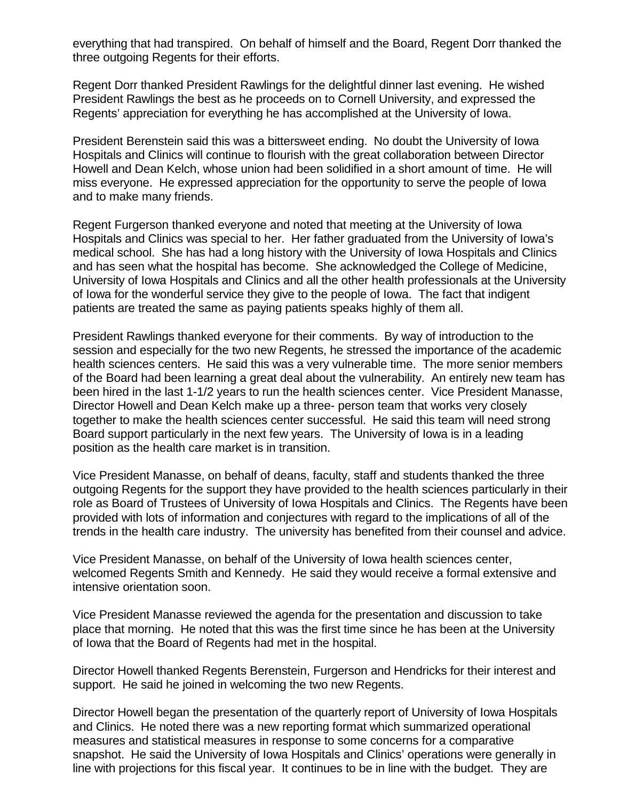everything that had transpired. On behalf of himself and the Board, Regent Dorr thanked the three outgoing Regents for their efforts.

Regent Dorr thanked President Rawlings for the delightful dinner last evening. He wished President Rawlings the best as he proceeds on to Cornell University, and expressed the Regents' appreciation for everything he has accomplished at the University of Iowa.

President Berenstein said this was a bittersweet ending. No doubt the University of Iowa Hospitals and Clinics will continue to flourish with the great collaboration between Director Howell and Dean Kelch, whose union had been solidified in a short amount of time. He will miss everyone. He expressed appreciation for the opportunity to serve the people of Iowa and to make many friends.

Regent Furgerson thanked everyone and noted that meeting at the University of Iowa Hospitals and Clinics was special to her. Her father graduated from the University of Iowa's medical school. She has had a long history with the University of Iowa Hospitals and Clinics and has seen what the hospital has become. She acknowledged the College of Medicine, University of Iowa Hospitals and Clinics and all the other health professionals at the University of Iowa for the wonderful service they give to the people of Iowa. The fact that indigent patients are treated the same as paying patients speaks highly of them all.

President Rawlings thanked everyone for their comments. By way of introduction to the session and especially for the two new Regents, he stressed the importance of the academic health sciences centers. He said this was a very vulnerable time. The more senior members of the Board had been learning a great deal about the vulnerability. An entirely new team has been hired in the last 1-1/2 years to run the health sciences center. Vice President Manasse, Director Howell and Dean Kelch make up a three- person team that works very closely together to make the health sciences center successful. He said this team will need strong Board support particularly in the next few years. The University of Iowa is in a leading position as the health care market is in transition.

Vice President Manasse, on behalf of deans, faculty, staff and students thanked the three outgoing Regents for the support they have provided to the health sciences particularly in their role as Board of Trustees of University of Iowa Hospitals and Clinics. The Regents have been provided with lots of information and conjectures with regard to the implications of all of the trends in the health care industry. The university has benefited from their counsel and advice.

Vice President Manasse, on behalf of the University of Iowa health sciences center, welcomed Regents Smith and Kennedy. He said they would receive a formal extensive and intensive orientation soon.

Vice President Manasse reviewed the agenda for the presentation and discussion to take place that morning. He noted that this was the first time since he has been at the University of Iowa that the Board of Regents had met in the hospital.

Director Howell thanked Regents Berenstein, Furgerson and Hendricks for their interest and support. He said he joined in welcoming the two new Regents.

Director Howell began the presentation of the quarterly report of University of Iowa Hospitals and Clinics. He noted there was a new reporting format which summarized operational measures and statistical measures in response to some concerns for a comparative snapshot. He said the University of Iowa Hospitals and Clinics' operations were generally in line with projections for this fiscal year. It continues to be in line with the budget. They are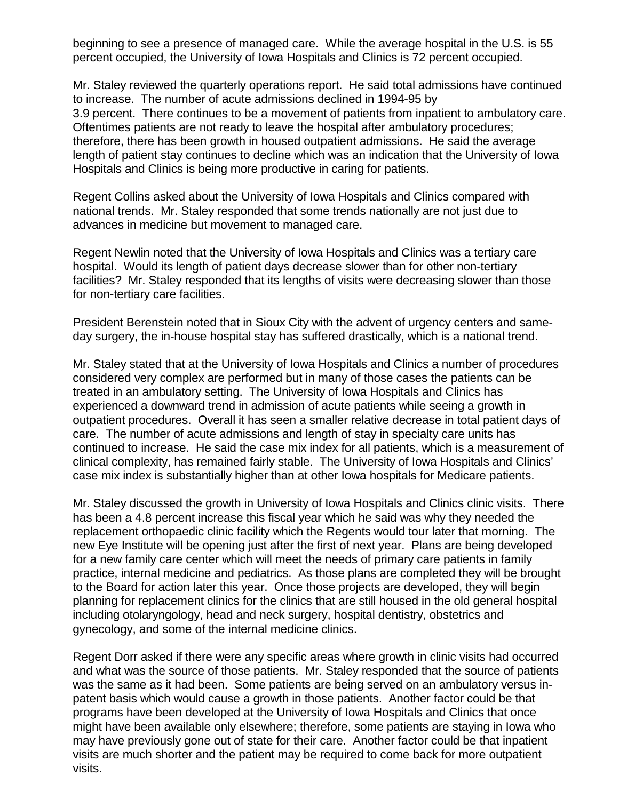beginning to see a presence of managed care. While the average hospital in the U.S. is 55 percent occupied, the University of Iowa Hospitals and Clinics is 72 percent occupied.

Mr. Staley reviewed the quarterly operations report. He said total admissions have continued to increase. The number of acute admissions declined in 1994-95 by 3.9 percent. There continues to be a movement of patients from inpatient to ambulatory care. Oftentimes patients are not ready to leave the hospital after ambulatory procedures; therefore, there has been growth in housed outpatient admissions. He said the average length of patient stay continues to decline which was an indication that the University of Iowa Hospitals and Clinics is being more productive in caring for patients.

Regent Collins asked about the University of Iowa Hospitals and Clinics compared with national trends. Mr. Staley responded that some trends nationally are not just due to advances in medicine but movement to managed care.

Regent Newlin noted that the University of Iowa Hospitals and Clinics was a tertiary care hospital. Would its length of patient days decrease slower than for other non-tertiary facilities? Mr. Staley responded that its lengths of visits were decreasing slower than those for non-tertiary care facilities.

President Berenstein noted that in Sioux City with the advent of urgency centers and sameday surgery, the in-house hospital stay has suffered drastically, which is a national trend.

Mr. Staley stated that at the University of Iowa Hospitals and Clinics a number of procedures considered very complex are performed but in many of those cases the patients can be treated in an ambulatory setting. The University of Iowa Hospitals and Clinics has experienced a downward trend in admission of acute patients while seeing a growth in outpatient procedures. Overall it has seen a smaller relative decrease in total patient days of care. The number of acute admissions and length of stay in specialty care units has continued to increase. He said the case mix index for all patients, which is a measurement of clinical complexity, has remained fairly stable. The University of Iowa Hospitals and Clinics' case mix index is substantially higher than at other Iowa hospitals for Medicare patients.

Mr. Staley discussed the growth in University of Iowa Hospitals and Clinics clinic visits. There has been a 4.8 percent increase this fiscal year which he said was why they needed the replacement orthopaedic clinic facility which the Regents would tour later that morning. The new Eye Institute will be opening just after the first of next year. Plans are being developed for a new family care center which will meet the needs of primary care patients in family practice, internal medicine and pediatrics. As those plans are completed they will be brought to the Board for action later this year. Once those projects are developed, they will begin planning for replacement clinics for the clinics that are still housed in the old general hospital including otolaryngology, head and neck surgery, hospital dentistry, obstetrics and gynecology, and some of the internal medicine clinics.

Regent Dorr asked if there were any specific areas where growth in clinic visits had occurred and what was the source of those patients. Mr. Staley responded that the source of patients was the same as it had been. Some patients are being served on an ambulatory versus inpatent basis which would cause a growth in those patients. Another factor could be that programs have been developed at the University of Iowa Hospitals and Clinics that once might have been available only elsewhere; therefore, some patients are staying in Iowa who may have previously gone out of state for their care. Another factor could be that inpatient visits are much shorter and the patient may be required to come back for more outpatient visits.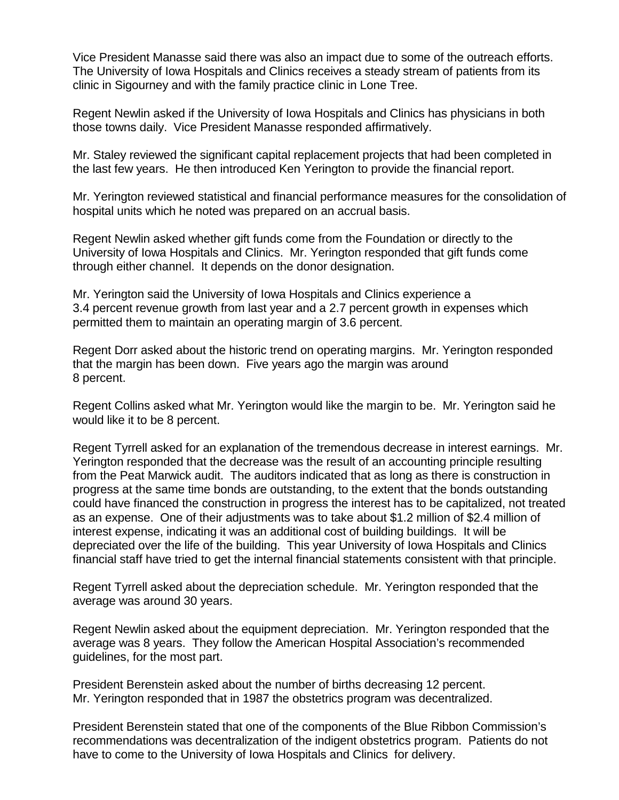Vice President Manasse said there was also an impact due to some of the outreach efforts. The University of Iowa Hospitals and Clinics receives a steady stream of patients from its clinic in Sigourney and with the family practice clinic in Lone Tree.

Regent Newlin asked if the University of Iowa Hospitals and Clinics has physicians in both those towns daily. Vice President Manasse responded affirmatively.

Mr. Staley reviewed the significant capital replacement projects that had been completed in the last few years. He then introduced Ken Yerington to provide the financial report.

Mr. Yerington reviewed statistical and financial performance measures for the consolidation of hospital units which he noted was prepared on an accrual basis.

Regent Newlin asked whether gift funds come from the Foundation or directly to the University of Iowa Hospitals and Clinics. Mr. Yerington responded that gift funds come through either channel. It depends on the donor designation.

Mr. Yerington said the University of Iowa Hospitals and Clinics experience a 3.4 percent revenue growth from last year and a 2.7 percent growth in expenses which permitted them to maintain an operating margin of 3.6 percent.

Regent Dorr asked about the historic trend on operating margins. Mr. Yerington responded that the margin has been down. Five years ago the margin was around 8 percent.

Regent Collins asked what Mr. Yerington would like the margin to be. Mr. Yerington said he would like it to be 8 percent.

Regent Tyrrell asked for an explanation of the tremendous decrease in interest earnings. Mr. Yerington responded that the decrease was the result of an accounting principle resulting from the Peat Marwick audit. The auditors indicated that as long as there is construction in progress at the same time bonds are outstanding, to the extent that the bonds outstanding could have financed the construction in progress the interest has to be capitalized, not treated as an expense. One of their adjustments was to take about \$1.2 million of \$2.4 million of interest expense, indicating it was an additional cost of building buildings. It will be depreciated over the life of the building. This year University of Iowa Hospitals and Clinics financial staff have tried to get the internal financial statements consistent with that principle.

Regent Tyrrell asked about the depreciation schedule. Mr. Yerington responded that the average was around 30 years.

Regent Newlin asked about the equipment depreciation. Mr. Yerington responded that the average was 8 years. They follow the American Hospital Association's recommended guidelines, for the most part.

President Berenstein asked about the number of births decreasing 12 percent. Mr. Yerington responded that in 1987 the obstetrics program was decentralized.

President Berenstein stated that one of the components of the Blue Ribbon Commission's recommendations was decentralization of the indigent obstetrics program. Patients do not have to come to the University of Iowa Hospitals and Clinics for delivery.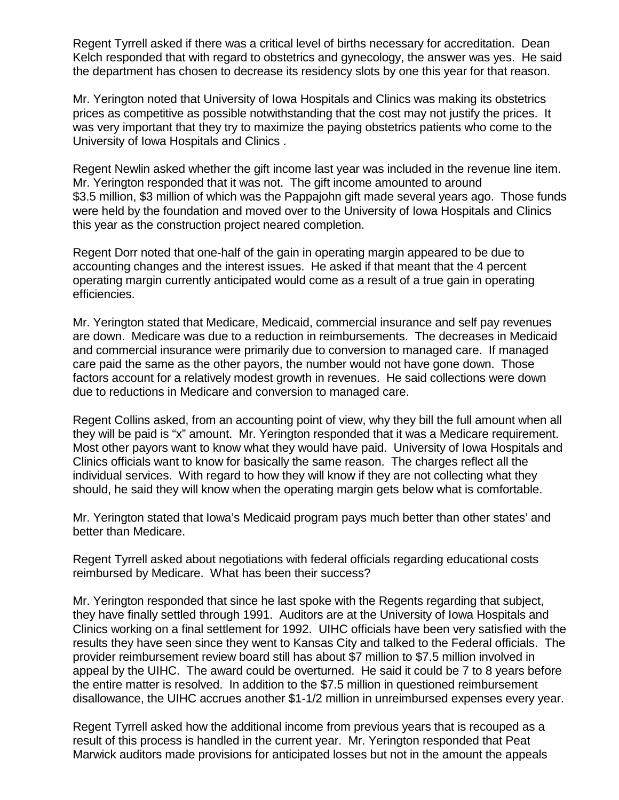Regent Tyrrell asked if there was a critical level of births necessary for accreditation. Dean Kelch responded that with regard to obstetrics and gynecology, the answer was yes. He said the department has chosen to decrease its residency slots by one this year for that reason.

Mr. Yerington noted that University of Iowa Hospitals and Clinics was making its obstetrics prices as competitive as possible notwithstanding that the cost may not justify the prices. It was very important that they try to maximize the paying obstetrics patients who come to the University of Iowa Hospitals and Clinics .

Regent Newlin asked whether the gift income last year was included in the revenue line item. Mr. Yerington responded that it was not. The gift income amounted to around \$3.5 million, \$3 million of which was the Pappajohn gift made several years ago. Those funds were held by the foundation and moved over to the University of Iowa Hospitals and Clinics this year as the construction project neared completion.

Regent Dorr noted that one-half of the gain in operating margin appeared to be due to accounting changes and the interest issues. He asked if that meant that the 4 percent operating margin currently anticipated would come as a result of a true gain in operating efficiencies.

Mr. Yerington stated that Medicare, Medicaid, commercial insurance and self pay revenues are down. Medicare was due to a reduction in reimbursements. The decreases in Medicaid and commercial insurance were primarily due to conversion to managed care. If managed care paid the same as the other payors, the number would not have gone down. Those factors account for a relatively modest growth in revenues. He said collections were down due to reductions in Medicare and conversion to managed care.

Regent Collins asked, from an accounting point of view, why they bill the full amount when all they will be paid is "x" amount. Mr. Yerington responded that it was a Medicare requirement. Most other payors want to know what they would have paid. University of Iowa Hospitals and Clinics officials want to know for basically the same reason. The charges reflect all the individual services. With regard to how they will know if they are not collecting what they should, he said they will know when the operating margin gets below what is comfortable.

Mr. Yerington stated that Iowa's Medicaid program pays much better than other states' and better than Medicare.

Regent Tyrrell asked about negotiations with federal officials regarding educational costs reimbursed by Medicare. What has been their success?

Mr. Yerington responded that since he last spoke with the Regents regarding that subject, they have finally settled through 1991. Auditors are at the University of Iowa Hospitals and Clinics working on a final settlement for 1992. UIHC officials have been very satisfied with the results they have seen since they went to Kansas City and talked to the Federal officials. The provider reimbursement review board still has about \$7 million to \$7.5 million involved in appeal by the UIHC. The award could be overturned. He said it could be 7 to 8 years before the entire matter is resolved. In addition to the \$7.5 million in questioned reimbursement disallowance, the UIHC accrues another \$1-1/2 million in unreimbursed expenses every year.

Regent Tyrrell asked how the additional income from previous years that is recouped as a result of this process is handled in the current year. Mr. Yerington responded that Peat Marwick auditors made provisions for anticipated losses but not in the amount the appeals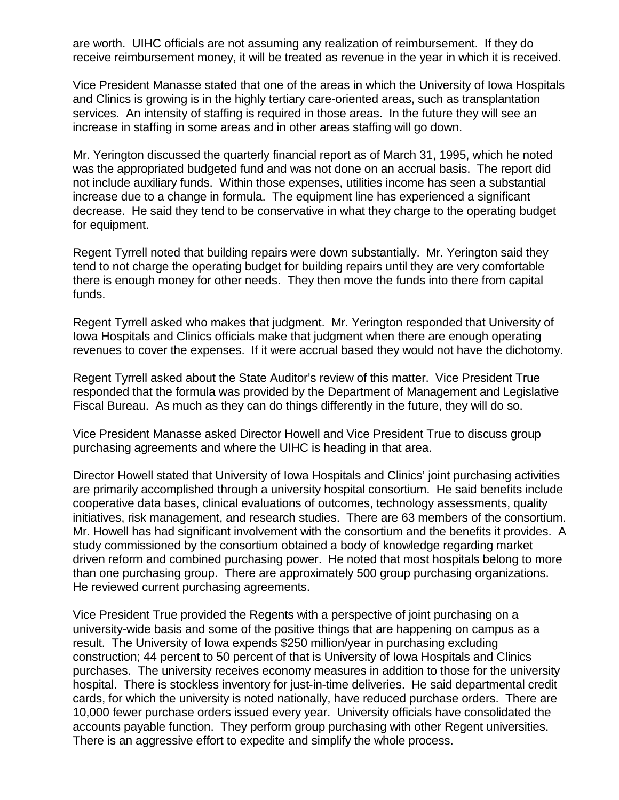are worth. UIHC officials are not assuming any realization of reimbursement. If they do receive reimbursement money, it will be treated as revenue in the year in which it is received.

Vice President Manasse stated that one of the areas in which the University of Iowa Hospitals and Clinics is growing is in the highly tertiary care-oriented areas, such as transplantation services. An intensity of staffing is required in those areas. In the future they will see an increase in staffing in some areas and in other areas staffing will go down.

Mr. Yerington discussed the quarterly financial report as of March 31, 1995, which he noted was the appropriated budgeted fund and was not done on an accrual basis. The report did not include auxiliary funds. Within those expenses, utilities income has seen a substantial increase due to a change in formula. The equipment line has experienced a significant decrease. He said they tend to be conservative in what they charge to the operating budget for equipment.

Regent Tyrrell noted that building repairs were down substantially. Mr. Yerington said they tend to not charge the operating budget for building repairs until they are very comfortable there is enough money for other needs. They then move the funds into there from capital funds.

Regent Tyrrell asked who makes that judgment. Mr. Yerington responded that University of Iowa Hospitals and Clinics officials make that judgment when there are enough operating revenues to cover the expenses. If it were accrual based they would not have the dichotomy.

Regent Tyrrell asked about the State Auditor's review of this matter. Vice President True responded that the formula was provided by the Department of Management and Legislative Fiscal Bureau. As much as they can do things differently in the future, they will do so.

Vice President Manasse asked Director Howell and Vice President True to discuss group purchasing agreements and where the UIHC is heading in that area.

Director Howell stated that University of Iowa Hospitals and Clinics' joint purchasing activities are primarily accomplished through a university hospital consortium. He said benefits include cooperative data bases, clinical evaluations of outcomes, technology assessments, quality initiatives, risk management, and research studies. There are 63 members of the consortium. Mr. Howell has had significant involvement with the consortium and the benefits it provides. A study commissioned by the consortium obtained a body of knowledge regarding market driven reform and combined purchasing power. He noted that most hospitals belong to more than one purchasing group. There are approximately 500 group purchasing organizations. He reviewed current purchasing agreements.

Vice President True provided the Regents with a perspective of joint purchasing on a university-wide basis and some of the positive things that are happening on campus as a result. The University of Iowa expends \$250 million/year in purchasing excluding construction; 44 percent to 50 percent of that is University of Iowa Hospitals and Clinics purchases. The university receives economy measures in addition to those for the university hospital. There is stockless inventory for just-in-time deliveries. He said departmental credit cards, for which the university is noted nationally, have reduced purchase orders. There are 10,000 fewer purchase orders issued every year. University officials have consolidated the accounts payable function. They perform group purchasing with other Regent universities. There is an aggressive effort to expedite and simplify the whole process.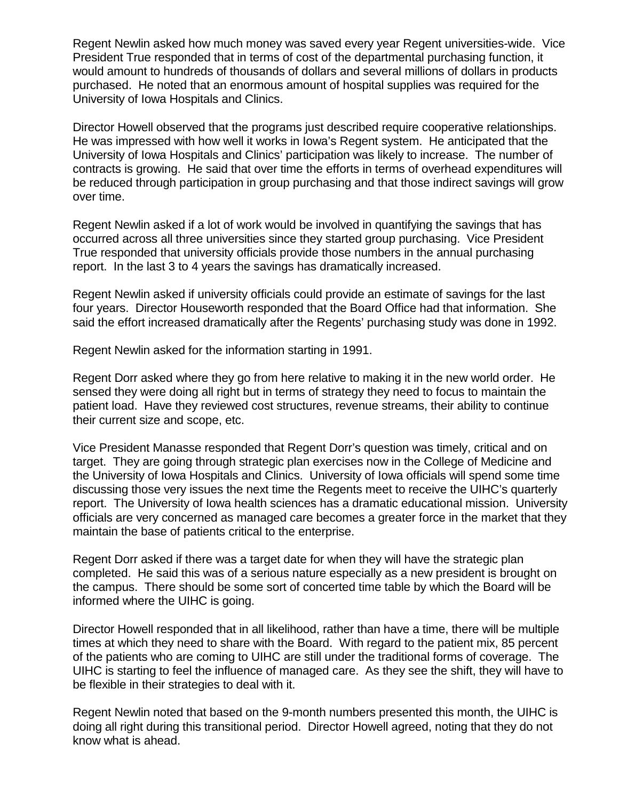Regent Newlin asked how much money was saved every year Regent universities-wide. Vice President True responded that in terms of cost of the departmental purchasing function, it would amount to hundreds of thousands of dollars and several millions of dollars in products purchased. He noted that an enormous amount of hospital supplies was required for the University of Iowa Hospitals and Clinics.

Director Howell observed that the programs just described require cooperative relationships. He was impressed with how well it works in Iowa's Regent system. He anticipated that the University of Iowa Hospitals and Clinics' participation was likely to increase. The number of contracts is growing. He said that over time the efforts in terms of overhead expenditures will be reduced through participation in group purchasing and that those indirect savings will grow over time.

Regent Newlin asked if a lot of work would be involved in quantifying the savings that has occurred across all three universities since they started group purchasing. Vice President True responded that university officials provide those numbers in the annual purchasing report. In the last 3 to 4 years the savings has dramatically increased.

Regent Newlin asked if university officials could provide an estimate of savings for the last four years. Director Houseworth responded that the Board Office had that information. She said the effort increased dramatically after the Regents' purchasing study was done in 1992.

Regent Newlin asked for the information starting in 1991.

Regent Dorr asked where they go from here relative to making it in the new world order. He sensed they were doing all right but in terms of strategy they need to focus to maintain the patient load. Have they reviewed cost structures, revenue streams, their ability to continue their current size and scope, etc.

Vice President Manasse responded that Regent Dorr's question was timely, critical and on target. They are going through strategic plan exercises now in the College of Medicine and the University of Iowa Hospitals and Clinics. University of Iowa officials will spend some time discussing those very issues the next time the Regents meet to receive the UIHC's quarterly report. The University of Iowa health sciences has a dramatic educational mission. University officials are very concerned as managed care becomes a greater force in the market that they maintain the base of patients critical to the enterprise.

Regent Dorr asked if there was a target date for when they will have the strategic plan completed. He said this was of a serious nature especially as a new president is brought on the campus. There should be some sort of concerted time table by which the Board will be informed where the UIHC is going.

Director Howell responded that in all likelihood, rather than have a time, there will be multiple times at which they need to share with the Board. With regard to the patient mix, 85 percent of the patients who are coming to UIHC are still under the traditional forms of coverage. The UIHC is starting to feel the influence of managed care. As they see the shift, they will have to be flexible in their strategies to deal with it.

Regent Newlin noted that based on the 9-month numbers presented this month, the UIHC is doing all right during this transitional period. Director Howell agreed, noting that they do not know what is ahead.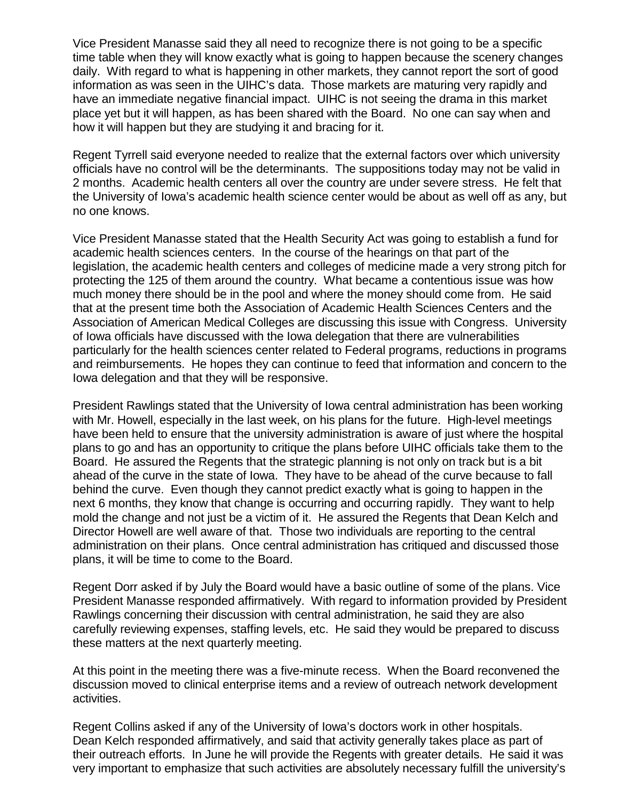Vice President Manasse said they all need to recognize there is not going to be a specific time table when they will know exactly what is going to happen because the scenery changes daily. With regard to what is happening in other markets, they cannot report the sort of good information as was seen in the UIHC's data. Those markets are maturing very rapidly and have an immediate negative financial impact. UIHC is not seeing the drama in this market place yet but it will happen, as has been shared with the Board. No one can say when and how it will happen but they are studying it and bracing for it.

Regent Tyrrell said everyone needed to realize that the external factors over which university officials have no control will be the determinants. The suppositions today may not be valid in 2 months. Academic health centers all over the country are under severe stress. He felt that the University of Iowa's academic health science center would be about as well off as any, but no one knows.

Vice President Manasse stated that the Health Security Act was going to establish a fund for academic health sciences centers. In the course of the hearings on that part of the legislation, the academic health centers and colleges of medicine made a very strong pitch for protecting the 125 of them around the country. What became a contentious issue was how much money there should be in the pool and where the money should come from. He said that at the present time both the Association of Academic Health Sciences Centers and the Association of American Medical Colleges are discussing this issue with Congress. University of Iowa officials have discussed with the Iowa delegation that there are vulnerabilities particularly for the health sciences center related to Federal programs, reductions in programs and reimbursements. He hopes they can continue to feed that information and concern to the Iowa delegation and that they will be responsive.

President Rawlings stated that the University of Iowa central administration has been working with Mr. Howell, especially in the last week, on his plans for the future. High-level meetings have been held to ensure that the university administration is aware of just where the hospital plans to go and has an opportunity to critique the plans before UIHC officials take them to the Board. He assured the Regents that the strategic planning is not only on track but is a bit ahead of the curve in the state of Iowa. They have to be ahead of the curve because to fall behind the curve. Even though they cannot predict exactly what is going to happen in the next 6 months, they know that change is occurring and occurring rapidly. They want to help mold the change and not just be a victim of it. He assured the Regents that Dean Kelch and Director Howell are well aware of that. Those two individuals are reporting to the central administration on their plans. Once central administration has critiqued and discussed those plans, it will be time to come to the Board.

Regent Dorr asked if by July the Board would have a basic outline of some of the plans. Vice President Manasse responded affirmatively. With regard to information provided by President Rawlings concerning their discussion with central administration, he said they are also carefully reviewing expenses, staffing levels, etc. He said they would be prepared to discuss these matters at the next quarterly meeting.

At this point in the meeting there was a five-minute recess. When the Board reconvened the discussion moved to clinical enterprise items and a review of outreach network development activities.

Regent Collins asked if any of the University of Iowa's doctors work in other hospitals. Dean Kelch responded affirmatively, and said that activity generally takes place as part of their outreach efforts. In June he will provide the Regents with greater details. He said it was very important to emphasize that such activities are absolutely necessary fulfill the university's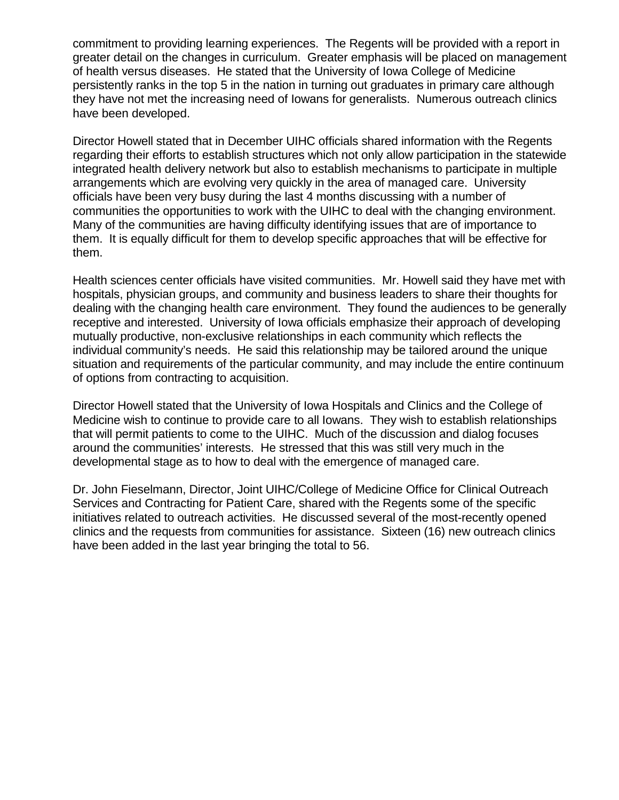commitment to providing learning experiences. The Regents will be provided with a report in greater detail on the changes in curriculum. Greater emphasis will be placed on management of health versus diseases. He stated that the University of Iowa College of Medicine persistently ranks in the top 5 in the nation in turning out graduates in primary care although they have not met the increasing need of Iowans for generalists. Numerous outreach clinics have been developed.

Director Howell stated that in December UIHC officials shared information with the Regents regarding their efforts to establish structures which not only allow participation in the statewide integrated health delivery network but also to establish mechanisms to participate in multiple arrangements which are evolving very quickly in the area of managed care. University officials have been very busy during the last 4 months discussing with a number of communities the opportunities to work with the UIHC to deal with the changing environment. Many of the communities are having difficulty identifying issues that are of importance to them. It is equally difficult for them to develop specific approaches that will be effective for them.

Health sciences center officials have visited communities. Mr. Howell said they have met with hospitals, physician groups, and community and business leaders to share their thoughts for dealing with the changing health care environment. They found the audiences to be generally receptive and interested. University of Iowa officials emphasize their approach of developing mutually productive, non-exclusive relationships in each community which reflects the individual community's needs. He said this relationship may be tailored around the unique situation and requirements of the particular community, and may include the entire continuum of options from contracting to acquisition.

Director Howell stated that the University of Iowa Hospitals and Clinics and the College of Medicine wish to continue to provide care to all Iowans. They wish to establish relationships that will permit patients to come to the UIHC. Much of the discussion and dialog focuses around the communities' interests. He stressed that this was still very much in the developmental stage as to how to deal with the emergence of managed care.

Dr. John Fieselmann, Director, Joint UIHC/College of Medicine Office for Clinical Outreach Services and Contracting for Patient Care, shared with the Regents some of the specific initiatives related to outreach activities. He discussed several of the most-recently opened clinics and the requests from communities for assistance. Sixteen (16) new outreach clinics have been added in the last year bringing the total to 56.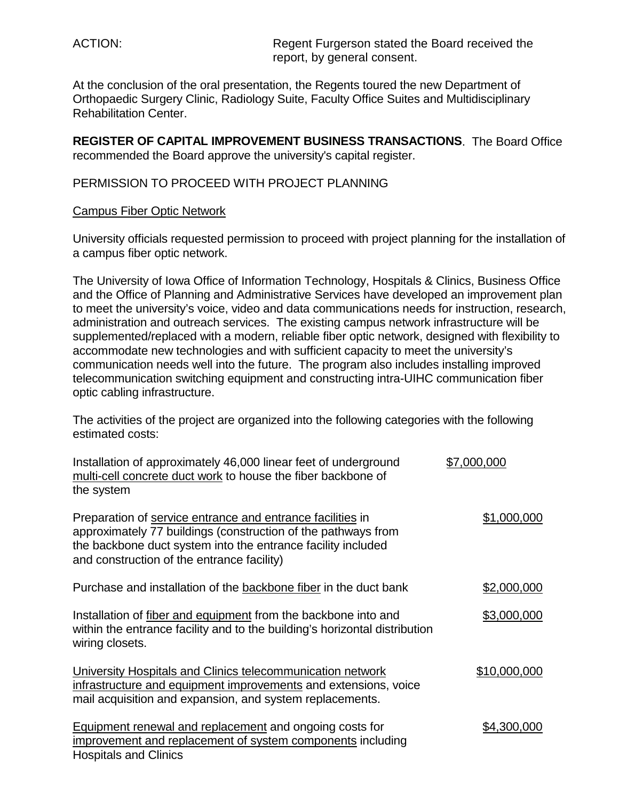ACTION: Regent Furgerson stated the Board received the report, by general consent.

At the conclusion of the oral presentation, the Regents toured the new Department of Orthopaedic Surgery Clinic, Radiology Suite, Faculty Office Suites and Multidisciplinary Rehabilitation Center.

**REGISTER OF CAPITAL IMPROVEMENT BUSINESS TRANSACTIONS**. The Board Office recommended the Board approve the university's capital register.

#### PERMISSION TO PROCEED WITH PROJECT PLANNING

#### Campus Fiber Optic Network

University officials requested permission to proceed with project planning for the installation of a campus fiber optic network.

The University of Iowa Office of Information Technology, Hospitals & Clinics, Business Office and the Office of Planning and Administrative Services have developed an improvement plan to meet the university's voice, video and data communications needs for instruction, research, administration and outreach services. The existing campus network infrastructure will be supplemented/replaced with a modern, reliable fiber optic network, designed with flexibility to accommodate new technologies and with sufficient capacity to meet the university's communication needs well into the future. The program also includes installing improved telecommunication switching equipment and constructing intra-UIHC communication fiber optic cabling infrastructure.

The activities of the project are organized into the following categories with the following estimated costs:

| Installation of approximately 46,000 linear feet of underground<br>multi-cell concrete duct work to house the fiber backbone of<br>the system                                                                                             | \$7,000,000  |
|-------------------------------------------------------------------------------------------------------------------------------------------------------------------------------------------------------------------------------------------|--------------|
| Preparation of service entrance and entrance facilities in<br>approximately 77 buildings (construction of the pathways from<br>the backbone duct system into the entrance facility included<br>and construction of the entrance facility) | \$1,000,000  |
| Purchase and installation of the backbone fiber in the duct bank                                                                                                                                                                          | \$2,000,000  |
| Installation of fiber and equipment from the backbone into and<br>within the entrance facility and to the building's horizontal distribution<br>wiring closets.                                                                           | \$3,000,000  |
| University Hospitals and Clinics telecommunication network<br>infrastructure and equipment improvements and extensions, voice<br>mail acquisition and expansion, and system replacements.                                                 | \$10,000,000 |
| <b>Equipment renewal and replacement and ongoing costs for</b><br>improvement and replacement of system components including<br><b>Hospitals and Clinics</b>                                                                              | \$4,300,000  |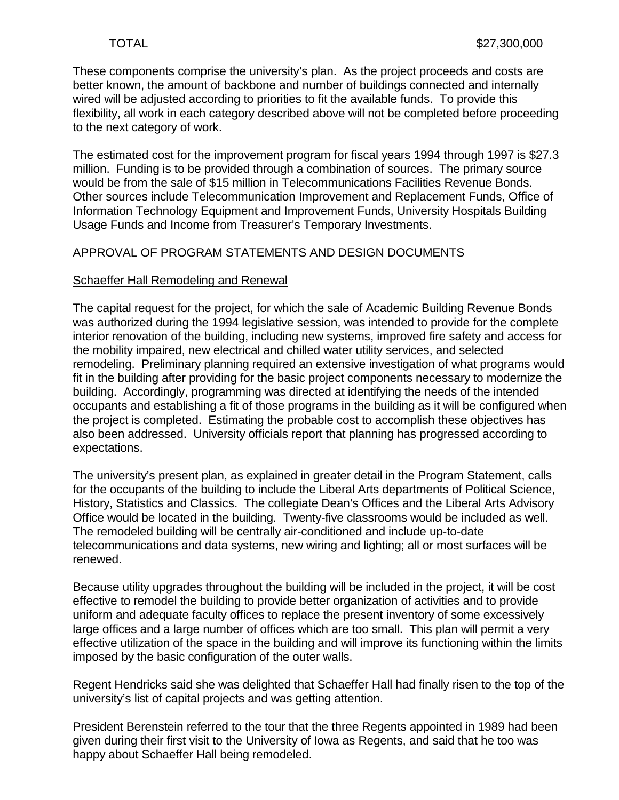These components comprise the university's plan. As the project proceeds and costs are better known, the amount of backbone and number of buildings connected and internally wired will be adjusted according to priorities to fit the available funds. To provide this flexibility, all work in each category described above will not be completed before proceeding to the next category of work.

The estimated cost for the improvement program for fiscal years 1994 through 1997 is \$27.3 million. Funding is to be provided through a combination of sources. The primary source would be from the sale of \$15 million in Telecommunications Facilities Revenue Bonds. Other sources include Telecommunication Improvement and Replacement Funds, Office of Information Technology Equipment and Improvement Funds, University Hospitals Building Usage Funds and Income from Treasurer's Temporary Investments.

#### APPROVAL OF PROGRAM STATEMENTS AND DESIGN DOCUMENTS

#### Schaeffer Hall Remodeling and Renewal

The capital request for the project, for which the sale of Academic Building Revenue Bonds was authorized during the 1994 legislative session, was intended to provide for the complete interior renovation of the building, including new systems, improved fire safety and access for the mobility impaired, new electrical and chilled water utility services, and selected remodeling. Preliminary planning required an extensive investigation of what programs would fit in the building after providing for the basic project components necessary to modernize the building. Accordingly, programming was directed at identifying the needs of the intended occupants and establishing a fit of those programs in the building as it will be configured when the project is completed. Estimating the probable cost to accomplish these objectives has also been addressed. University officials report that planning has progressed according to expectations.

The university's present plan, as explained in greater detail in the Program Statement, calls for the occupants of the building to include the Liberal Arts departments of Political Science, History, Statistics and Classics. The collegiate Dean's Offices and the Liberal Arts Advisory Office would be located in the building. Twenty-five classrooms would be included as well. The remodeled building will be centrally air-conditioned and include up-to-date telecommunications and data systems, new wiring and lighting; all or most surfaces will be renewed.

Because utility upgrades throughout the building will be included in the project, it will be cost effective to remodel the building to provide better organization of activities and to provide uniform and adequate faculty offices to replace the present inventory of some excessively large offices and a large number of offices which are too small. This plan will permit a very effective utilization of the space in the building and will improve its functioning within the limits imposed by the basic configuration of the outer walls.

Regent Hendricks said she was delighted that Schaeffer Hall had finally risen to the top of the university's list of capital projects and was getting attention.

President Berenstein referred to the tour that the three Regents appointed in 1989 had been given during their first visit to the University of Iowa as Regents, and said that he too was happy about Schaeffer Hall being remodeled.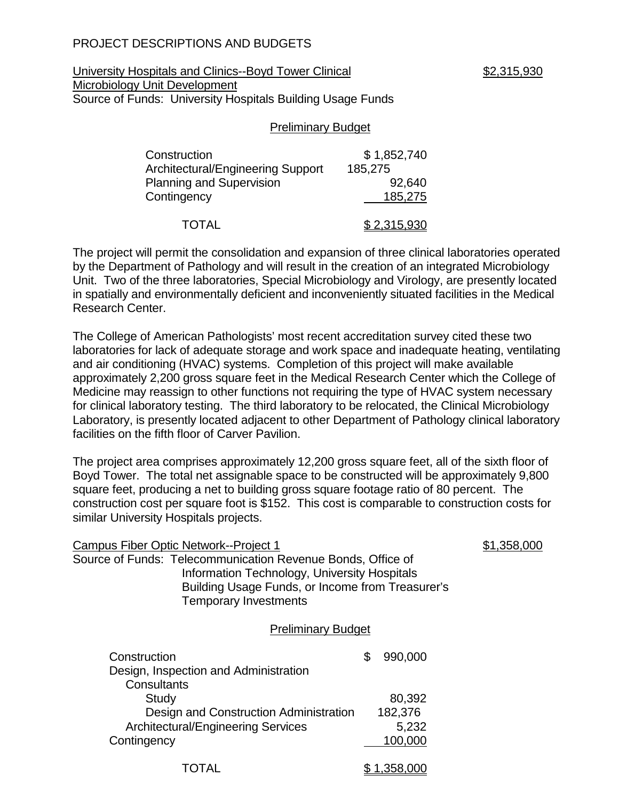## PROJECT DESCRIPTIONS AND BUDGETS

#### University Hospitals and Clinics--Boyd Tower Clinical  $$2,315,930$ Microbiology Unit Development Source of Funds: University Hospitals Building Usage Funds

# Preliminary Budget

| Construction                      | \$1,852,740 |
|-----------------------------------|-------------|
| Architectural/Engineering Support | 185,275     |
| <b>Planning and Supervision</b>   | 92,640      |
| Contingency                       | 185,275     |
| <b>TOTAL</b>                      | \$2,315,930 |

The project will permit the consolidation and expansion of three clinical laboratories operated by the Department of Pathology and will result in the creation of an integrated Microbiology Unit. Two of the three laboratories, Special Microbiology and Virology, are presently located in spatially and environmentally deficient and inconveniently situated facilities in the Medical Research Center.

The College of American Pathologists' most recent accreditation survey cited these two laboratories for lack of adequate storage and work space and inadequate heating, ventilating and air conditioning (HVAC) systems. Completion of this project will make available approximately 2,200 gross square feet in the Medical Research Center which the College of Medicine may reassign to other functions not requiring the type of HVAC system necessary for clinical laboratory testing. The third laboratory to be relocated, the Clinical Microbiology Laboratory, is presently located adjacent to other Department of Pathology clinical laboratory facilities on the fifth floor of Carver Pavilion.

The project area comprises approximately 12,200 gross square feet, all of the sixth floor of Boyd Tower. The total net assignable space to be constructed will be approximately 9,800 square feet, producing a net to building gross square footage ratio of 80 percent. The construction cost per square foot is \$152. This cost is comparable to construction costs for similar University Hospitals projects.

| Campus Fiber Optic Network--Project 1                                                                                                                                                           |               | \$1,358,000 |
|-------------------------------------------------------------------------------------------------------------------------------------------------------------------------------------------------|---------------|-------------|
| Source of Funds: Telecommunication Revenue Bonds, Office of<br>Information Technology, University Hospitals<br>Building Usage Funds, or Income from Treasurer's<br><b>Temporary Investments</b> |               |             |
| <b>Preliminary Budget</b>                                                                                                                                                                       |               |             |
| Construction<br>Design, Inspection and Administration<br>Consultants                                                                                                                            | \$<br>990,000 |             |
| Study                                                                                                                                                                                           | 80,392        |             |
| Design and Construction Administration                                                                                                                                                          | 182,376       |             |
| <b>Architectural/Engineering Services</b>                                                                                                                                                       | 5,232         |             |
| Contingency                                                                                                                                                                                     | 100,000       |             |
| TOTAL                                                                                                                                                                                           | ,358,000      |             |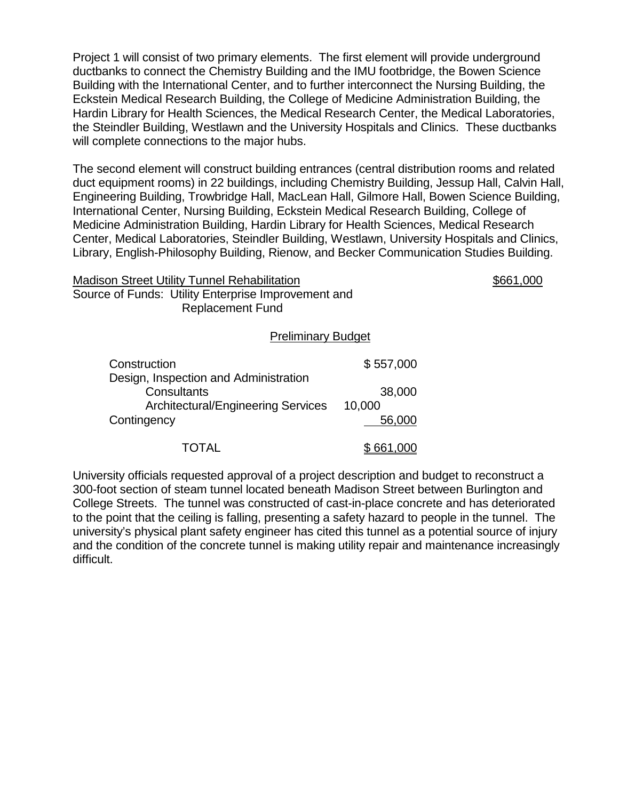Project 1 will consist of two primary elements. The first element will provide underground ductbanks to connect the Chemistry Building and the IMU footbridge, the Bowen Science Building with the International Center, and to further interconnect the Nursing Building, the Eckstein Medical Research Building, the College of Medicine Administration Building, the Hardin Library for Health Sciences, the Medical Research Center, the Medical Laboratories, the Steindler Building, Westlawn and the University Hospitals and Clinics. These ductbanks will complete connections to the major hubs.

The second element will construct building entrances (central distribution rooms and related duct equipment rooms) in 22 buildings, including Chemistry Building, Jessup Hall, Calvin Hall, Engineering Building, Trowbridge Hall, MacLean Hall, Gilmore Hall, Bowen Science Building, International Center, Nursing Building, Eckstein Medical Research Building, College of Medicine Administration Building, Hardin Library for Health Sciences, Medical Research Center, Medical Laboratories, Steindler Building, Westlawn, University Hospitals and Clinics, Library, English-Philosophy Building, Rienow, and Becker Communication Studies Building.

| <b>Madison Street Utility Tunnel Rehabilitation</b> | \$661,000 |
|-----------------------------------------------------|-----------|
| Source of Funds: Utility Enterprise Improvement and |           |
| Replacement Fund                                    |           |

#### Preliminary Budget

| Construction                                                                                      | \$557,000        |
|---------------------------------------------------------------------------------------------------|------------------|
| Design, Inspection and Administration<br>Consultants<br><b>Architectural/Engineering Services</b> | 38,000<br>10,000 |
| Contingency                                                                                       | 56,000           |
| TOTAL                                                                                             | \$661,000        |

University officials requested approval of a project description and budget to reconstruct a 300-foot section of steam tunnel located beneath Madison Street between Burlington and College Streets. The tunnel was constructed of cast-in-place concrete and has deteriorated to the point that the ceiling is falling, presenting a safety hazard to people in the tunnel. The university's physical plant safety engineer has cited this tunnel as a potential source of injury and the condition of the concrete tunnel is making utility repair and maintenance increasingly difficult.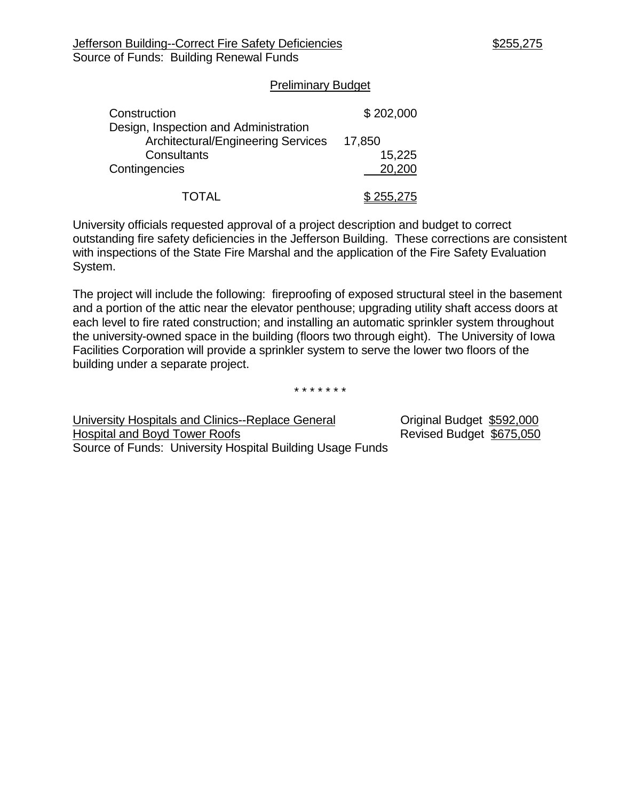#### Preliminary Budget

| Construction                                                                       | \$202,000 |
|------------------------------------------------------------------------------------|-----------|
| Design, Inspection and Administration<br><b>Architectural/Engineering Services</b> | 17,850    |
| Consultants                                                                        | 15,225    |
| Contingencies                                                                      | 20,200    |
| TOTAL                                                                              | 255,275   |

University officials requested approval of a project description and budget to correct outstanding fire safety deficiencies in the Jefferson Building. These corrections are consistent with inspections of the State Fire Marshal and the application of the Fire Safety Evaluation System.

The project will include the following: fireproofing of exposed structural steel in the basement and a portion of the attic near the elevator penthouse; upgrading utility shaft access doors at each level to fire rated construction; and installing an automatic sprinkler system throughout the university-owned space in the building (floors two through eight). The University of Iowa Facilities Corporation will provide a sprinkler system to serve the lower two floors of the building under a separate project.

\* \* \* \* \* \* \*

University Hospitals and Clinics--Replace General Criginal Budget \$592,000 Hospital and Boyd Tower Roofs **Revised Budget \$675,050** Source of Funds: University Hospital Building Usage Funds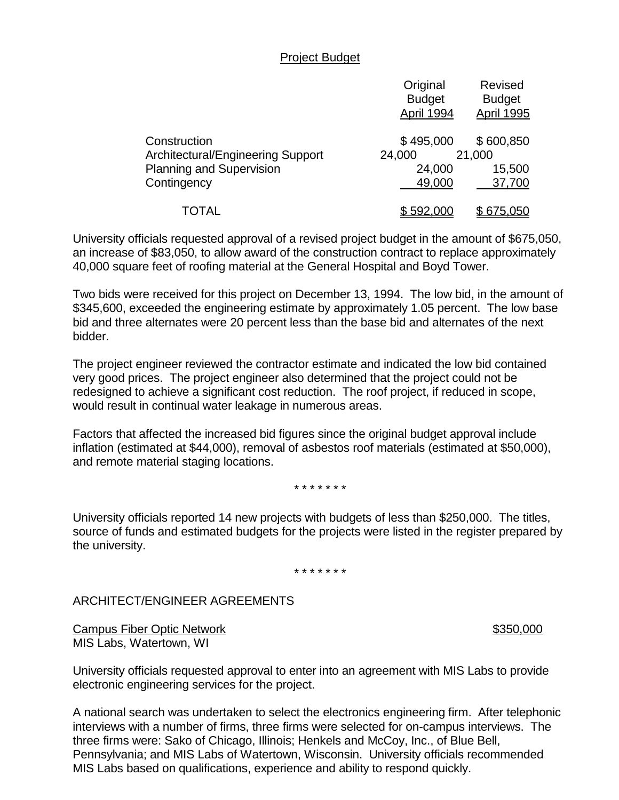#### Project Budget

|                                   | Original<br><b>Budget</b><br>April 1994 | Revised<br><b>Budget</b><br><b>April 1995</b> |
|-----------------------------------|-----------------------------------------|-----------------------------------------------|
| Construction                      | \$495,000                               | \$600,850                                     |
| Architectural/Engineering Support | 24,000                                  | 21,000                                        |
| <b>Planning and Supervision</b>   | 24,000                                  | 15,500                                        |
| Contingency                       | 49,000                                  | 37,700                                        |
| TOTAL                             | \$592,000                               | \$675,050                                     |

University officials requested approval of a revised project budget in the amount of \$675,050, an increase of \$83,050, to allow award of the construction contract to replace approximately 40,000 square feet of roofing material at the General Hospital and Boyd Tower.

Two bids were received for this project on December 13, 1994. The low bid, in the amount of \$345,600, exceeded the engineering estimate by approximately 1.05 percent. The low base bid and three alternates were 20 percent less than the base bid and alternates of the next bidder.

The project engineer reviewed the contractor estimate and indicated the low bid contained very good prices. The project engineer also determined that the project could not be redesigned to achieve a significant cost reduction. The roof project, if reduced in scope, would result in continual water leakage in numerous areas.

Factors that affected the increased bid figures since the original budget approval include inflation (estimated at \$44,000), removal of asbestos roof materials (estimated at \$50,000), and remote material staging locations.

\* \* \* \* \* \* \*

University officials reported 14 new projects with budgets of less than \$250,000. The titles, source of funds and estimated budgets for the projects were listed in the register prepared by the university.

\* \* \* \* \* \* \*

### ARCHITECT/ENGINEER AGREEMENTS

Campus Fiber Optic Network **\$350,000** MIS Labs, Watertown, WI

University officials requested approval to enter into an agreement with MIS Labs to provide electronic engineering services for the project.

A national search was undertaken to select the electronics engineering firm. After telephonic interviews with a number of firms, three firms were selected for on-campus interviews. The three firms were: Sako of Chicago, Illinois; Henkels and McCoy, Inc., of Blue Bell, Pennsylvania; and MIS Labs of Watertown, Wisconsin. University officials recommended MIS Labs based on qualifications, experience and ability to respond quickly.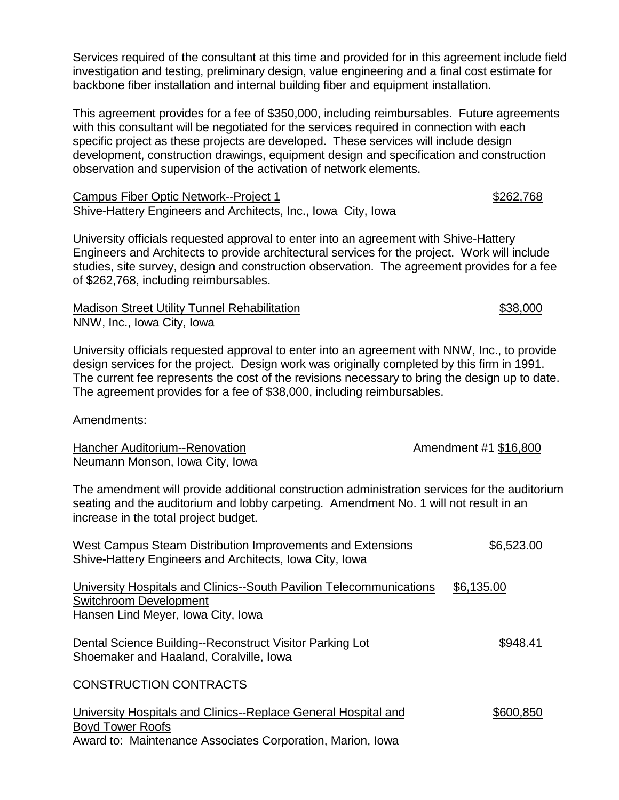Services required of the consultant at this time and provided for in this agreement include field investigation and testing, preliminary design, value engineering and a final cost estimate for backbone fiber installation and internal building fiber and equipment installation.

This agreement provides for a fee of \$350,000, including reimbursables. Future agreements with this consultant will be negotiated for the services required in connection with each specific project as these projects are developed. These services will include design development, construction drawings, equipment design and specification and construction observation and supervision of the activation of network elements.

Campus Fiber Optic Network--Project 1 \$262,768 Shive-Hattery Engineers and Architects, Inc., Iowa City, Iowa

University officials requested approval to enter into an agreement with Shive-Hattery Engineers and Architects to provide architectural services for the project. Work will include studies, site survey, design and construction observation. The agreement provides for a fee of \$262,768, including reimbursables.

Madison Street Utility Tunnel Rehabilitation  $$38,000$ NNW, Inc., Iowa City, Iowa

University officials requested approval to enter into an agreement with NNW, Inc., to provide design services for the project. Design work was originally completed by this firm in 1991. The current fee represents the cost of the revisions necessary to bring the design up to date. The agreement provides for a fee of \$38,000, including reimbursables.

### Amendments:

| Hancher Auditorium--Renovation<br>Neumann Monson, Iowa City, Iowa                                                                                                                                                               | Amendment #1 \$16,800 |
|---------------------------------------------------------------------------------------------------------------------------------------------------------------------------------------------------------------------------------|-----------------------|
| The amendment will provide additional construction administration services for the auditorium<br>seating and the auditorium and lobby carpeting. Amendment No. 1 will not result in an<br>increase in the total project budget. |                       |
| <b>West Campus Steam Distribution Improvements and Extensions</b><br>Shive-Hattery Engineers and Architects, Iowa City, Iowa                                                                                                    | \$6,523.00            |
| University Hospitals and Clinics--South Pavilion Telecommunications<br><b>Switchroom Development</b><br>Hansen Lind Meyer, Iowa City, Iowa                                                                                      | \$6,135.00            |
| Dental Science Building--Reconstruct Visitor Parking Lot<br>Shoemaker and Haaland, Coralville, Iowa                                                                                                                             | \$948.41              |
| <b>CONSTRUCTION CONTRACTS</b>                                                                                                                                                                                                   |                       |
| University Hospitals and Clinics--Replace General Hospital and<br><b>Boyd Tower Roofs</b><br>Award to: Maintenance Associates Corporation, Marion, Iowa                                                                         | \$600,850             |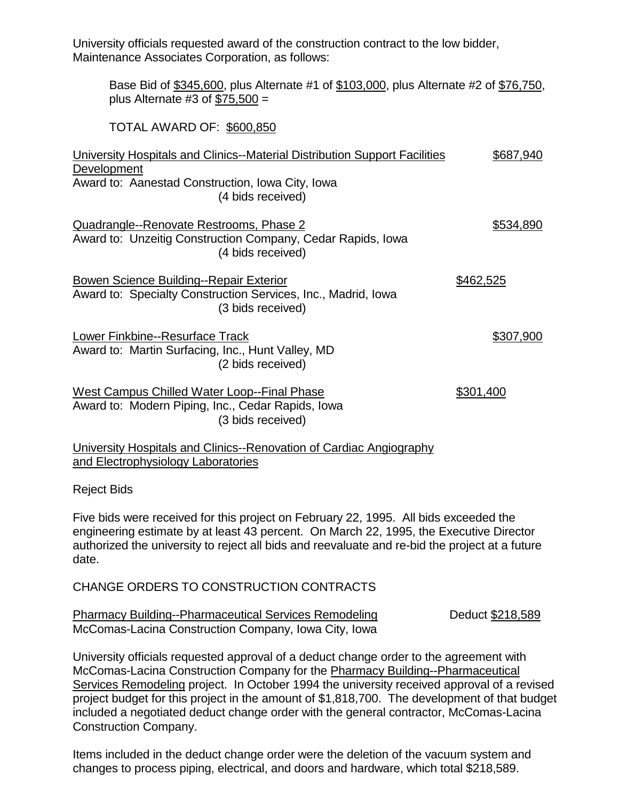University officials requested award of the construction contract to the low bidder, Maintenance Associates Corporation, as follows:

Base Bid of \$345,600, plus Alternate #1 of \$103,000, plus Alternate #2 of \$76,750, plus Alternate #3 of  $$75,500 =$ 

TOTAL AWARD OF: \$600,850

| University Hospitals and Clinics--Material Distribution Support Facilities<br>Development                                            | \$687,940 |
|--------------------------------------------------------------------------------------------------------------------------------------|-----------|
| Award to: Aanestad Construction, Iowa City, Iowa<br>(4 bids received)                                                                |           |
| Quadrangle--Renovate Restrooms, Phase 2<br>Award to: Unzeitig Construction Company, Cedar Rapids, Iowa<br>(4 bids received)          | \$534,890 |
| <b>Bowen Science Building--Repair Exterior</b><br>Award to: Specialty Construction Services, Inc., Madrid, Iowa<br>(3 bids received) | \$462,525 |
| Lower Finkbine--Resurface Track<br>Award to: Martin Surfacing, Inc., Hunt Valley, MD<br>(2 bids received)                            | \$307,900 |
| West Campus Chilled Water Loop--Final Phase<br>Award to: Modern Piping, Inc., Cedar Rapids, Iowa<br>(3 bids received)                | \$301,400 |
| University Hospitals and Clinics--Renovation of Cardiac Angiography                                                                  |           |
| and Electrophysiology Laboratories                                                                                                   |           |

Reject Bids

Five bids were received for this project on February 22, 1995. All bids exceeded the engineering estimate by at least 43 percent. On March 22, 1995, the Executive Director authorized the university to reject all bids and reevaluate and re-bid the project at a future date.

CHANGE ORDERS TO CONSTRUCTION CONTRACTS

| <b>Pharmacy Building--Pharmaceutical Services Remodeling</b> | Deduct \$218,589 |
|--------------------------------------------------------------|------------------|
| McComas-Lacina Construction Company, Iowa City, Iowa         |                  |

University officials requested approval of a deduct change order to the agreement with McComas-Lacina Construction Company for the Pharmacy Building--Pharmaceutical Services Remodeling project. In October 1994 the university received approval of a revised project budget for this project in the amount of \$1,818,700. The development of that budget included a negotiated deduct change order with the general contractor, McComas-Lacina Construction Company.

Items included in the deduct change order were the deletion of the vacuum system and changes to process piping, electrical, and doors and hardware, which total \$218,589.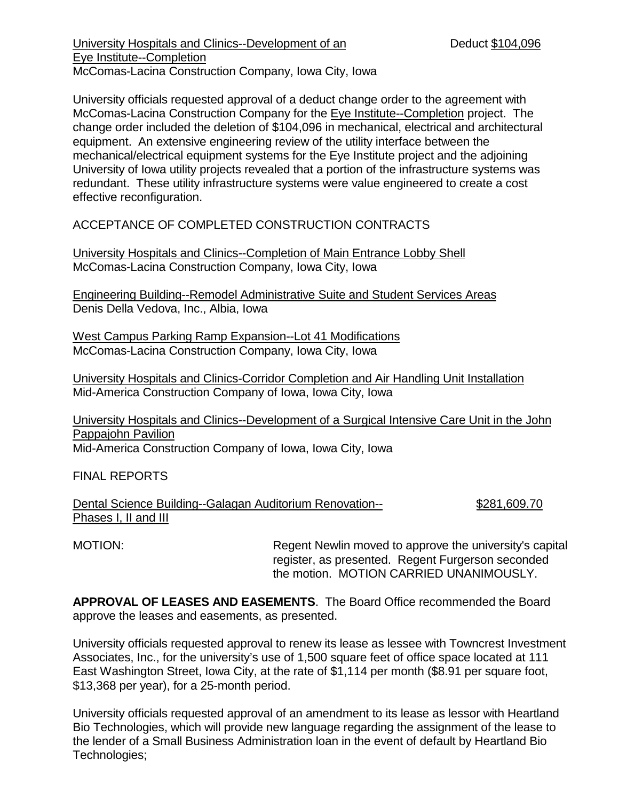University Hospitals and Clinics--Development of an Deduct \$104,096 Eye Institute--Completion McComas-Lacina Construction Company, Iowa City, Iowa

University officials requested approval of a deduct change order to the agreement with McComas-Lacina Construction Company for the Eye Institute--Completion project.The change order included the deletion of \$104,096 in mechanical, electrical and architectural equipment. An extensive engineering review of the utility interface between the mechanical/electrical equipment systems for the Eye Institute project and the adjoining University of Iowa utility projects revealed that a portion of the infrastructure systems was redundant. These utility infrastructure systems were value engineered to create a cost effective reconfiguration.

ACCEPTANCE OF COMPLETED CONSTRUCTION CONTRACTS

University Hospitals and Clinics--Completion of Main Entrance Lobby Shell McComas-Lacina Construction Company, Iowa City, Iowa

Engineering Building--Remodel Administrative Suite and Student Services Areas Denis Della Vedova, Inc., Albia, Iowa

West Campus Parking Ramp Expansion--Lot 41 Modifications McComas-Lacina Construction Company, Iowa City, Iowa

University Hospitals and Clinics-Corridor Completion and Air Handling Unit Installation Mid-America Construction Company of Iowa, Iowa City, Iowa

University Hospitals and Clinics--Development of a Surgical Intensive Care Unit in the John Pappajohn Pavilion Mid-America Construction Company of Iowa, Iowa City, Iowa

FINAL REPORTS

Dental Science Building--Galagan Auditorium Renovation-- \$281,609.70 Phases I, II and III

MOTION: Regent Newlin moved to approve the university's capital register, as presented. Regent Furgerson seconded the motion. MOTION CARRIED UNANIMOUSLY.

**APPROVAL OF LEASES AND EASEMENTS**. The Board Office recommended the Board approve the leases and easements, as presented.

University officials requested approval to renew its lease as lessee with Towncrest Investment Associates, Inc., for the university's use of 1,500 square feet of office space located at 111 East Washington Street, Iowa City, at the rate of \$1,114 per month (\$8.91 per square foot, \$13,368 per year), for a 25-month period.

University officials requested approval of an amendment to its lease as lessor with Heartland Bio Technologies, which will provide new language regarding the assignment of the lease to the lender of a Small Business Administration loan in the event of default by Heartland Bio Technologies;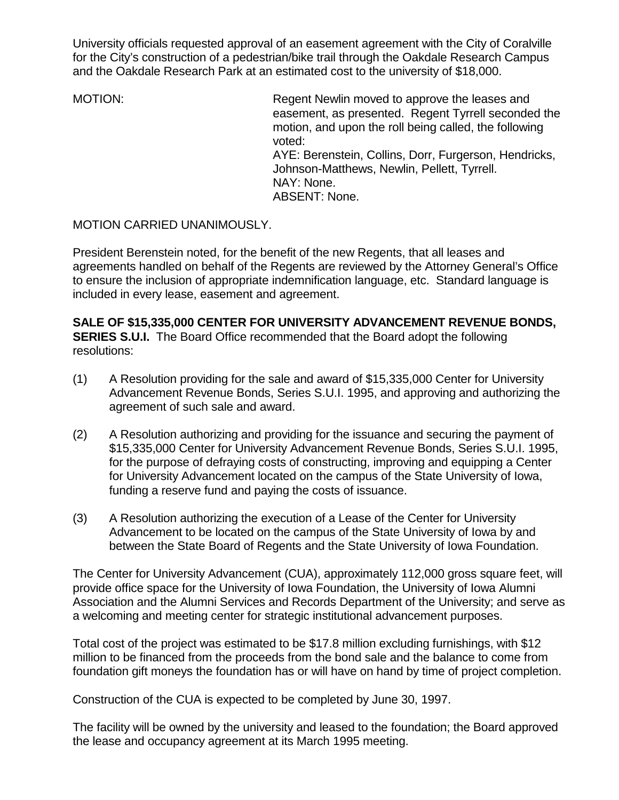University officials requested approval of an easement agreement with the City of Coralville for the City's construction of a pedestrian/bike trail through the Oakdale Research Campus and the Oakdale Research Park at an estimated cost to the university of \$18,000.

MOTION: Regent Newlin moved to approve the leases and easement, as presented. Regent Tyrrell seconded the motion, and upon the roll being called, the following voted: AYE: Berenstein, Collins, Dorr, Furgerson, Hendricks, Johnson-Matthews, Newlin, Pellett, Tyrrell. NAY: None. ABSENT: None.

MOTION CARRIED UNANIMOUSLY.

President Berenstein noted, for the benefit of the new Regents, that all leases and agreements handled on behalf of the Regents are reviewed by the Attorney General's Office to ensure the inclusion of appropriate indemnification language, etc. Standard language is included in every lease, easement and agreement.

**SALE OF \$15,335,000 CENTER FOR UNIVERSITY ADVANCEMENT REVENUE BONDS, SERIES S.U.I.** The Board Office recommended that the Board adopt the following resolutions:

- (1) A Resolution providing for the sale and award of \$15,335,000 Center for University Advancement Revenue Bonds, Series S.U.I. 1995, and approving and authorizing the agreement of such sale and award.
- (2) A Resolution authorizing and providing for the issuance and securing the payment of \$15,335,000 Center for University Advancement Revenue Bonds, Series S.U.I. 1995, for the purpose of defraying costs of constructing, improving and equipping a Center for University Advancement located on the campus of the State University of Iowa, funding a reserve fund and paying the costs of issuance.
- (3) A Resolution authorizing the execution of a Lease of the Center for University Advancement to be located on the campus of the State University of Iowa by and between the State Board of Regents and the State University of Iowa Foundation.

The Center for University Advancement (CUA), approximately 112,000 gross square feet, will provide office space for the University of Iowa Foundation, the University of Iowa Alumni Association and the Alumni Services and Records Department of the University; and serve as a welcoming and meeting center for strategic institutional advancement purposes.

Total cost of the project was estimated to be \$17.8 million excluding furnishings, with \$12 million to be financed from the proceeds from the bond sale and the balance to come from foundation gift moneys the foundation has or will have on hand by time of project completion.

Construction of the CUA is expected to be completed by June 30, 1997.

The facility will be owned by the university and leased to the foundation; the Board approved the lease and occupancy agreement at its March 1995 meeting.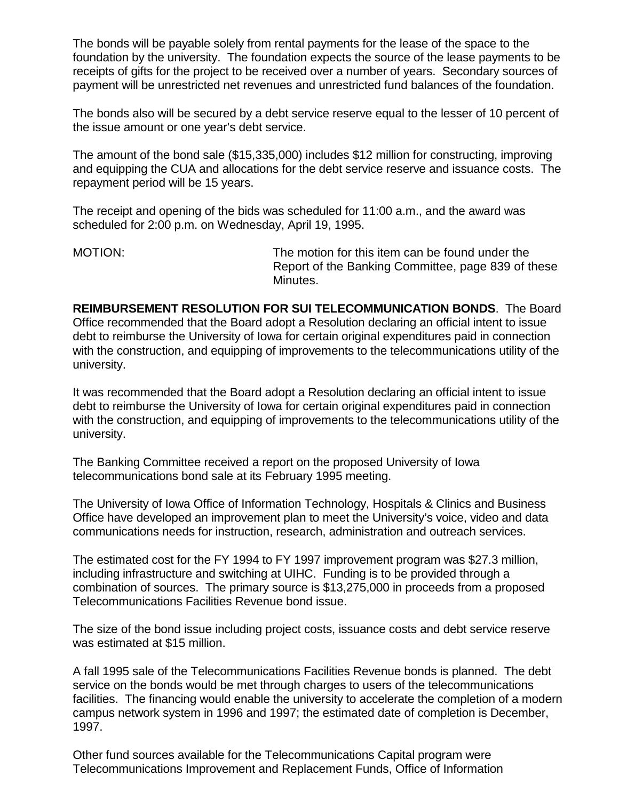The bonds will be payable solely from rental payments for the lease of the space to the foundation by the university. The foundation expects the source of the lease payments to be receipts of gifts for the project to be received over a number of years. Secondary sources of payment will be unrestricted net revenues and unrestricted fund balances of the foundation.

The bonds also will be secured by a debt service reserve equal to the lesser of 10 percent of the issue amount or one year's debt service.

The amount of the bond sale (\$15,335,000) includes \$12 million for constructing, improving and equipping the CUA and allocations for the debt service reserve and issuance costs. The repayment period will be 15 years.

The receipt and opening of the bids was scheduled for 11:00 a.m., and the award was scheduled for 2:00 p.m. on Wednesday, April 19, 1995.

MOTION: The motion for this item can be found under the Report of the Banking Committee, page 839 of these Minutes.

**REIMBURSEMENT RESOLUTION FOR SUI TELECOMMUNICATION BONDS**. The Board Office recommended that the Board adopt a Resolution declaring an official intent to issue debt to reimburse the University of Iowa for certain original expenditures paid in connection with the construction, and equipping of improvements to the telecommunications utility of the university.

It was recommended that the Board adopt a Resolution declaring an official intent to issue debt to reimburse the University of Iowa for certain original expenditures paid in connection with the construction, and equipping of improvements to the telecommunications utility of the university.

The Banking Committee received a report on the proposed University of Iowa telecommunications bond sale at its February 1995 meeting.

The University of Iowa Office of Information Technology, Hospitals & Clinics and Business Office have developed an improvement plan to meet the University's voice, video and data communications needs for instruction, research, administration and outreach services.

The estimated cost for the FY 1994 to FY 1997 improvement program was \$27.3 million, including infrastructure and switching at UIHC. Funding is to be provided through a combination of sources. The primary source is \$13,275,000 in proceeds from a proposed Telecommunications Facilities Revenue bond issue.

The size of the bond issue including project costs, issuance costs and debt service reserve was estimated at \$15 million.

A fall 1995 sale of the Telecommunications Facilities Revenue bonds is planned. The debt service on the bonds would be met through charges to users of the telecommunications facilities. The financing would enable the university to accelerate the completion of a modern campus network system in 1996 and 1997; the estimated date of completion is December, 1997.

Other fund sources available for the Telecommunications Capital program were Telecommunications Improvement and Replacement Funds, Office of Information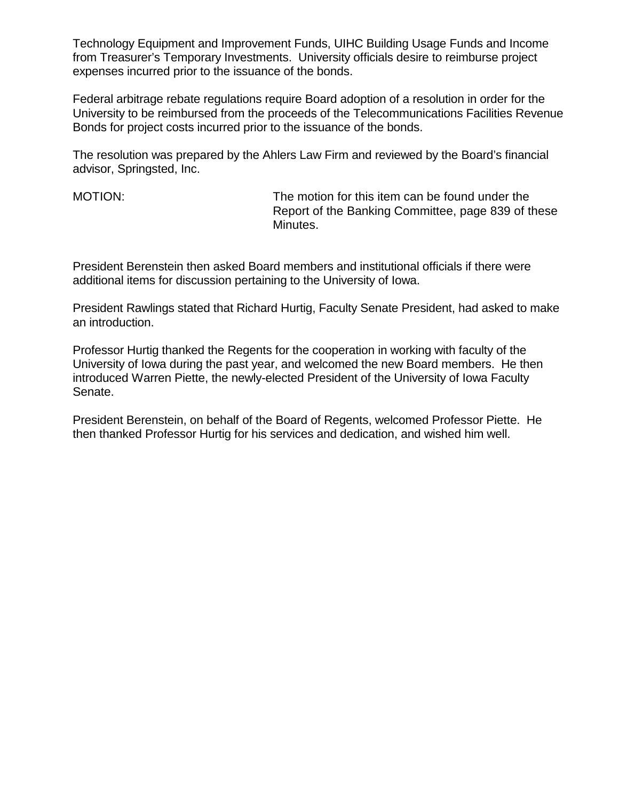Technology Equipment and Improvement Funds, UIHC Building Usage Funds and Income from Treasurer's Temporary Investments. University officials desire to reimburse project expenses incurred prior to the issuance of the bonds.

Federal arbitrage rebate regulations require Board adoption of a resolution in order for the University to be reimbursed from the proceeds of the Telecommunications Facilities Revenue Bonds for project costs incurred prior to the issuance of the bonds.

The resolution was prepared by the Ahlers Law Firm and reviewed by the Board's financial advisor, Springsted, Inc.

MOTION: The motion for this item can be found under the Report of the Banking Committee, page 839 of these Minutes.

President Berenstein then asked Board members and institutional officials if there were additional items for discussion pertaining to the University of Iowa.

President Rawlings stated that Richard Hurtig, Faculty Senate President, had asked to make an introduction.

Professor Hurtig thanked the Regents for the cooperation in working with faculty of the University of Iowa during the past year, and welcomed the new Board members. He then introduced Warren Piette, the newly-elected President of the University of Iowa Faculty Senate.

President Berenstein, on behalf of the Board of Regents, welcomed Professor Piette. He then thanked Professor Hurtig for his services and dedication, and wished him well.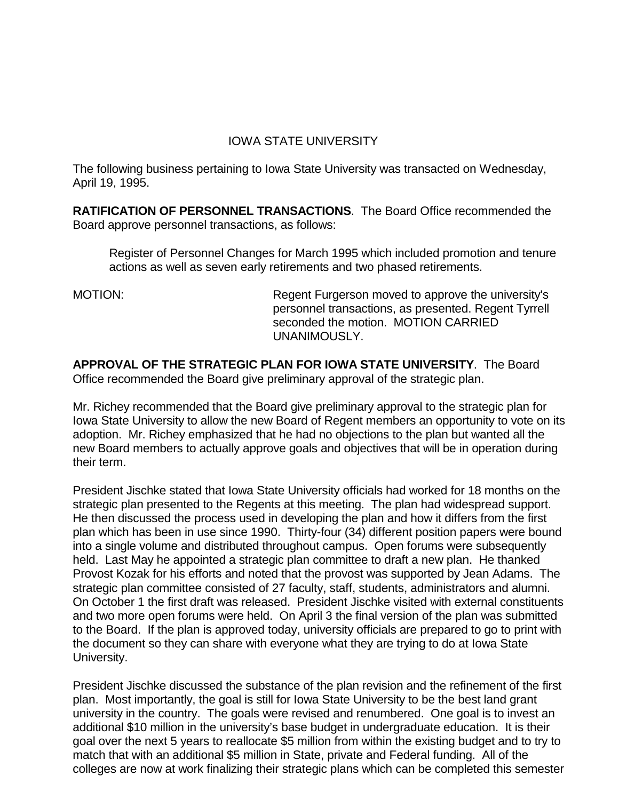## IOWA STATE UNIVERSITY

The following business pertaining to Iowa State University was transacted on Wednesday, April 19, 1995.

**RATIFICATION OF PERSONNEL TRANSACTIONS**. The Board Office recommended the Board approve personnel transactions, as follows:

Register of Personnel Changes for March 1995 which included promotion and tenure actions as well as seven early retirements and two phased retirements.

MOTION: Regent Furgerson moved to approve the university's personnel transactions, as presented. Regent Tyrrell seconded the motion. MOTION CARRIED UNANIMOUSLY.

**APPROVAL OF THE STRATEGIC PLAN FOR IOWA STATE UNIVERSITY**. The Board Office recommended the Board give preliminary approval of the strategic plan.

Mr. Richey recommended that the Board give preliminary approval to the strategic plan for Iowa State University to allow the new Board of Regent members an opportunity to vote on its adoption. Mr. Richey emphasized that he had no objections to the plan but wanted all the new Board members to actually approve goals and objectives that will be in operation during their term.

President Jischke stated that Iowa State University officials had worked for 18 months on the strategic plan presented to the Regents at this meeting. The plan had widespread support. He then discussed the process used in developing the plan and how it differs from the first plan which has been in use since 1990. Thirty-four (34) different position papers were bound into a single volume and distributed throughout campus. Open forums were subsequently held. Last May he appointed a strategic plan committee to draft a new plan. He thanked Provost Kozak for his efforts and noted that the provost was supported by Jean Adams. The strategic plan committee consisted of 27 faculty, staff, students, administrators and alumni. On October 1 the first draft was released. President Jischke visited with external constituents and two more open forums were held. On April 3 the final version of the plan was submitted to the Board. If the plan is approved today, university officials are prepared to go to print with the document so they can share with everyone what they are trying to do at Iowa State University.

President Jischke discussed the substance of the plan revision and the refinement of the first plan. Most importantly, the goal is still for Iowa State University to be the best land grant university in the country. The goals were revised and renumbered. One goal is to invest an additional \$10 million in the university's base budget in undergraduate education. It is their goal over the next 5 years to reallocate \$5 million from within the existing budget and to try to match that with an additional \$5 million in State, private and Federal funding. All of the colleges are now at work finalizing their strategic plans which can be completed this semester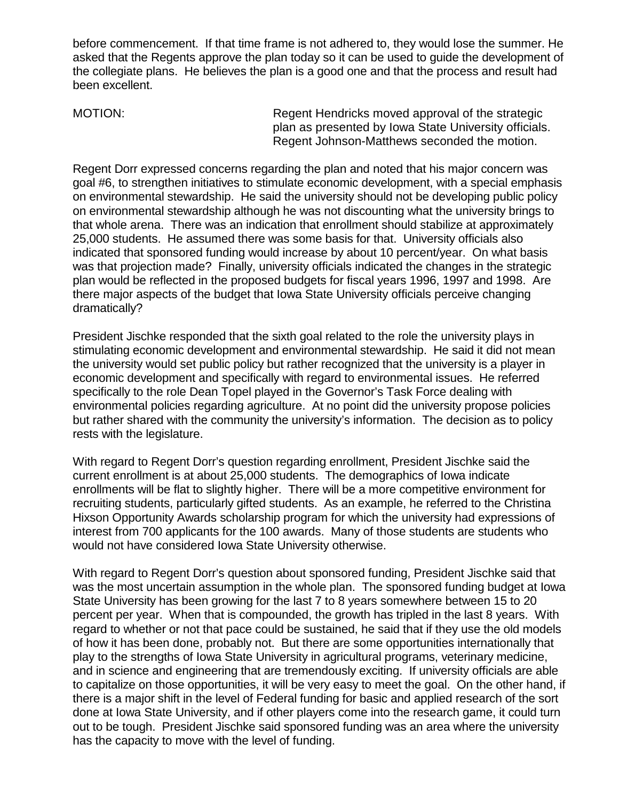before commencement. If that time frame is not adhered to, they would lose the summer. He asked that the Regents approve the plan today so it can be used to guide the development of the collegiate plans. He believes the plan is a good one and that the process and result had been excellent.

MOTION: Regent Hendricks moved approval of the strategic plan as presented by Iowa State University officials. Regent Johnson-Matthews seconded the motion.

Regent Dorr expressed concerns regarding the plan and noted that his major concern was goal #6, to strengthen initiatives to stimulate economic development, with a special emphasis on environmental stewardship. He said the university should not be developing public policy on environmental stewardship although he was not discounting what the university brings to that whole arena. There was an indication that enrollment should stabilize at approximately 25,000 students. He assumed there was some basis for that. University officials also indicated that sponsored funding would increase by about 10 percent/year. On what basis was that projection made? Finally, university officials indicated the changes in the strategic plan would be reflected in the proposed budgets for fiscal years 1996, 1997 and 1998. Are there major aspects of the budget that Iowa State University officials perceive changing dramatically?

President Jischke responded that the sixth goal related to the role the university plays in stimulating economic development and environmental stewardship. He said it did not mean the university would set public policy but rather recognized that the university is a player in economic development and specifically with regard to environmental issues. He referred specifically to the role Dean Topel played in the Governor's Task Force dealing with environmental policies regarding agriculture. At no point did the university propose policies but rather shared with the community the university's information. The decision as to policy rests with the legislature.

With regard to Regent Dorr's question regarding enrollment, President Jischke said the current enrollment is at about 25,000 students. The demographics of Iowa indicate enrollments will be flat to slightly higher. There will be a more competitive environment for recruiting students, particularly gifted students. As an example, he referred to the Christina Hixson Opportunity Awards scholarship program for which the university had expressions of interest from 700 applicants for the 100 awards. Many of those students are students who would not have considered Iowa State University otherwise.

With regard to Regent Dorr's question about sponsored funding, President Jischke said that was the most uncertain assumption in the whole plan. The sponsored funding budget at Iowa State University has been growing for the last 7 to 8 years somewhere between 15 to 20 percent per year. When that is compounded, the growth has tripled in the last 8 years. With regard to whether or not that pace could be sustained, he said that if they use the old models of how it has been done, probably not. But there are some opportunities internationally that play to the strengths of Iowa State University in agricultural programs, veterinary medicine, and in science and engineering that are tremendously exciting. If university officials are able to capitalize on those opportunities, it will be very easy to meet the goal. On the other hand, if there is a major shift in the level of Federal funding for basic and applied research of the sort done at Iowa State University, and if other players come into the research game, it could turn out to be tough. President Jischke said sponsored funding was an area where the university has the capacity to move with the level of funding.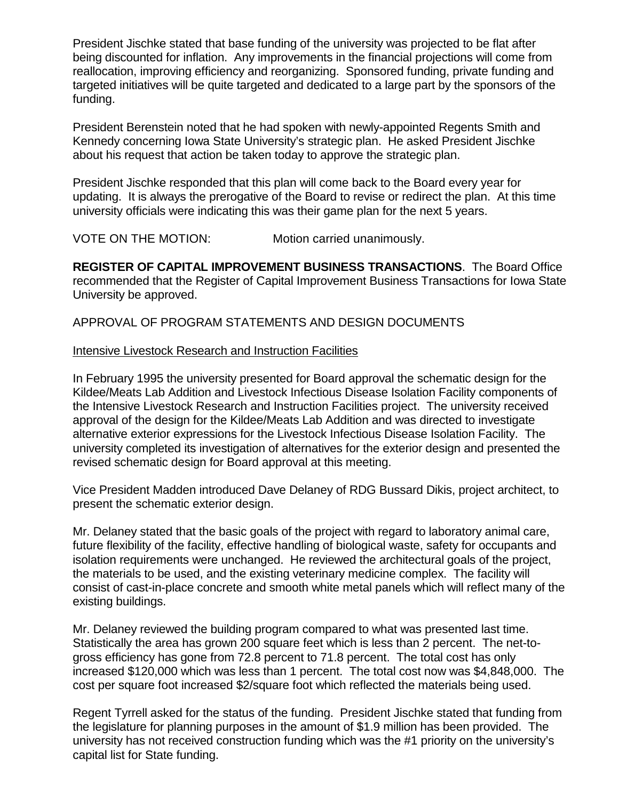President Jischke stated that base funding of the university was projected to be flat after being discounted for inflation. Any improvements in the financial projections will come from reallocation, improving efficiency and reorganizing. Sponsored funding, private funding and targeted initiatives will be quite targeted and dedicated to a large part by the sponsors of the funding.

President Berenstein noted that he had spoken with newly-appointed Regents Smith and Kennedy concerning Iowa State University's strategic plan. He asked President Jischke about his request that action be taken today to approve the strategic plan.

President Jischke responded that this plan will come back to the Board every year for updating. It is always the prerogative of the Board to revise or redirect the plan. At this time university officials were indicating this was their game plan for the next 5 years.

VOTE ON THE MOTION: Motion carried unanimously.

**REGISTER OF CAPITAL IMPROVEMENT BUSINESS TRANSACTIONS**. The Board Office recommended that the Register of Capital Improvement Business Transactions for Iowa State University be approved.

APPROVAL OF PROGRAM STATEMENTS AND DESIGN DOCUMENTS

#### Intensive Livestock Research and Instruction Facilities

In February 1995 the university presented for Board approval the schematic design for the Kildee/Meats Lab Addition and Livestock Infectious Disease Isolation Facility components of the Intensive Livestock Research and Instruction Facilities project. The university received approval of the design for the Kildee/Meats Lab Addition and was directed to investigate alternative exterior expressions for the Livestock Infectious Disease Isolation Facility. The university completed its investigation of alternatives for the exterior design and presented the revised schematic design for Board approval at this meeting.

Vice President Madden introduced Dave Delaney of RDG Bussard Dikis, project architect, to present the schematic exterior design.

Mr. Delaney stated that the basic goals of the project with regard to laboratory animal care, future flexibility of the facility, effective handling of biological waste, safety for occupants and isolation requirements were unchanged. He reviewed the architectural goals of the project, the materials to be used, and the existing veterinary medicine complex. The facility will consist of cast-in-place concrete and smooth white metal panels which will reflect many of the existing buildings.

Mr. Delaney reviewed the building program compared to what was presented last time. Statistically the area has grown 200 square feet which is less than 2 percent. The net-togross efficiency has gone from 72.8 percent to 71.8 percent. The total cost has only increased \$120,000 which was less than 1 percent. The total cost now was \$4,848,000. The cost per square foot increased \$2/square foot which reflected the materials being used.

Regent Tyrrell asked for the status of the funding. President Jischke stated that funding from the legislature for planning purposes in the amount of \$1.9 million has been provided. The university has not received construction funding which was the #1 priority on the university's capital list for State funding.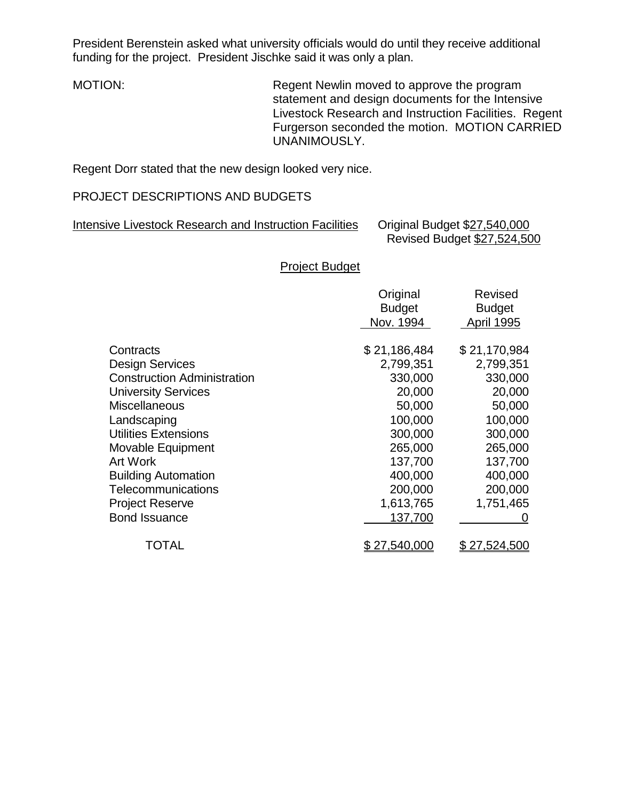President Berenstein asked what university officials would do until they receive additional funding for the project. President Jischke said it was only a plan.

MOTION: Regent Newlin moved to approve the program statement and design documents for the Intensive Livestock Research and Instruction Facilities. Regent Furgerson seconded the motion. MOTION CARRIED UNANIMOUSLY.

Regent Dorr stated that the new design looked very nice.

## PROJECT DESCRIPTIONS AND BUDGETS

| Intensive Livestock Research and Instruction Facilities | Original Budget \$27,540,000 |
|---------------------------------------------------------|------------------------------|
|                                                         | Revised Budget \$27,524,500  |

Project Budget

|                                    | Original<br><b>Budget</b><br>Nov. 1994 | <b>Revised</b><br><b>Budget</b><br><b>April 1995</b> |
|------------------------------------|----------------------------------------|------------------------------------------------------|
| Contracts                          | \$21,186,484                           | \$21,170,984                                         |
| <b>Design Services</b>             | 2,799,351                              | 2,799,351                                            |
| <b>Construction Administration</b> | 330,000                                | 330,000                                              |
| <b>University Services</b>         | 20,000                                 | 20,000                                               |
| <b>Miscellaneous</b>               | 50,000                                 | 50,000                                               |
| Landscaping                        | 100,000                                | 100,000                                              |
| <b>Utilities Extensions</b>        | 300,000                                | 300,000                                              |
| Movable Equipment                  | 265,000                                | 265,000                                              |
| <b>Art Work</b>                    | 137,700                                | 137,700                                              |
| <b>Building Automation</b>         | 400,000                                | 400,000                                              |
| <b>Telecommunications</b>          | 200,000                                | 200,000                                              |
| <b>Project Reserve</b>             | 1,613,765                              | 1,751,465                                            |
| <b>Bond Issuance</b>               | 137,700                                | O                                                    |
| TOTAL                              | 27,540,000                             | 27,524,500                                           |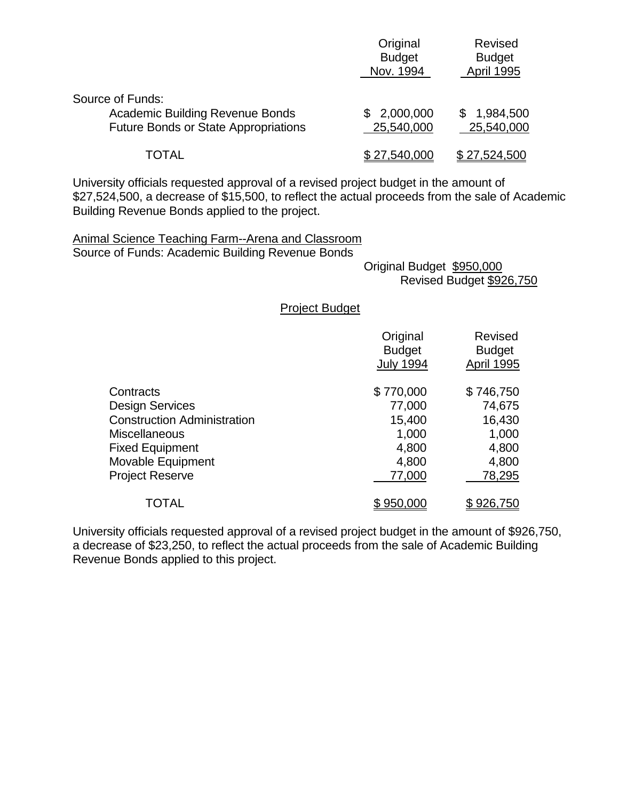|                                                                                                           | Original<br><b>Budget</b><br>Nov. 1994 | Revised<br><b>Budget</b><br>April 1995 |
|-----------------------------------------------------------------------------------------------------------|----------------------------------------|----------------------------------------|
| Source of Funds:<br><b>Academic Building Revenue Bonds</b><br><b>Future Bonds or State Appropriations</b> | 2,000,000<br>\$.<br>25,540,000         | 1,984,500<br>SS.<br>25,540,000         |
| TOTAL                                                                                                     | \$27,540,000                           | \$27,524,500                           |

University officials requested approval of a revised project budget in the amount of \$27,524,500, a decrease of \$15,500, to reflect the actual proceeds from the sale of Academic Building Revenue Bonds applied to the project.

Animal Science Teaching Farm--Arena and Classroom Source of Funds: Academic Building Revenue Bonds

 Original Budget \$950,000 Revised Budget \$926,750

Project Budget

|                                    | Original<br><b>Budget</b><br><b>July 1994</b> | <b>Revised</b><br><b>Budget</b><br><b>April 1995</b> |
|------------------------------------|-----------------------------------------------|------------------------------------------------------|
| Contracts                          | \$770,000                                     | \$746,750                                            |
| Design Services                    | 77,000                                        | 74,675                                               |
| <b>Construction Administration</b> | 15,400                                        | 16,430                                               |
| Miscellaneous                      | 1,000                                         | 1,000                                                |
| <b>Fixed Equipment</b>             | 4,800                                         | 4,800                                                |
| <b>Movable Equipment</b>           | 4,800                                         | 4,800                                                |
| <b>Project Reserve</b>             | 77,000                                        | 78,295                                               |
| TOTAL                              | \$950,000                                     | \$926,750                                            |

University officials requested approval of a revised project budget in the amount of \$926,750, a decrease of \$23,250, to reflect the actual proceeds from the sale of Academic Building Revenue Bonds applied to this project.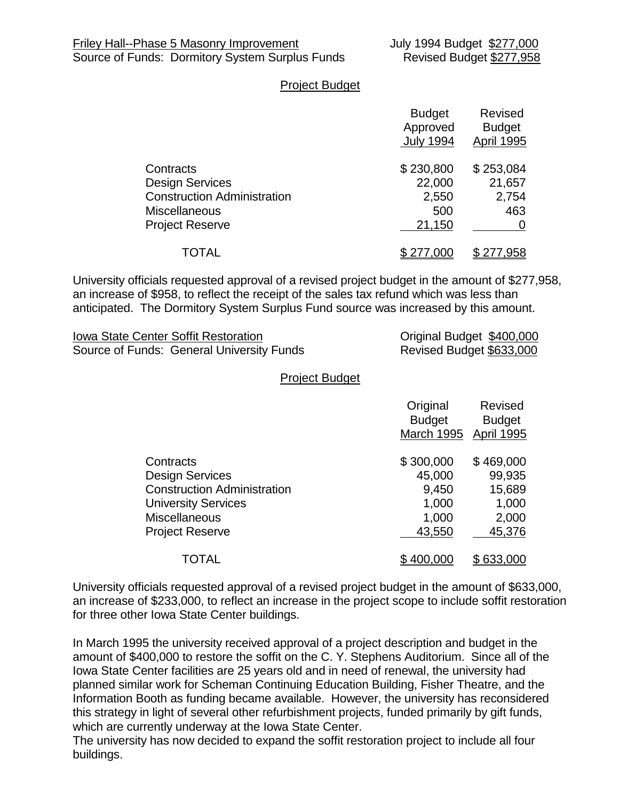#### Project Budget

|                                                                                                                             | <b>Budget</b><br>Approved<br><b>July 1994</b> | <b>Revised</b><br><b>Budget</b><br><b>April 1995</b> |
|-----------------------------------------------------------------------------------------------------------------------------|-----------------------------------------------|------------------------------------------------------|
| Contracts<br><b>Design Services</b><br><b>Construction Administration</b><br><b>Miscellaneous</b><br><b>Project Reserve</b> | \$230,800<br>22,000<br>2,550<br>500<br>21,150 | \$253,084<br>21,657<br>2,754<br>463                  |
| <b>TOTAL</b>                                                                                                                | \$277,000                                     | <u>958,</u>                                          |

University officials requested approval of a revised project budget in the amount of \$277,958, an increase of \$958, to reflect the receipt of the sales tax refund which was less than anticipated. The Dormitory System Surplus Fund source was increased by this amount.

| <b>Iowa State Center Soffit Restoration</b> | Original Budget \$400,000 |
|---------------------------------------------|---------------------------|
| Source of Funds: General University Funds   | Revised Budget \$633,000  |

#### Project Budget

|                                    | Original<br><b>Budget</b><br><b>March 1995</b> | <b>Revised</b><br><b>Budget</b><br><b>April 1995</b> |
|------------------------------------|------------------------------------------------|------------------------------------------------------|
| Contracts                          | \$300,000                                      | \$469,000                                            |
| <b>Design Services</b>             | 45,000                                         | 99,935                                               |
| <b>Construction Administration</b> | 9,450                                          | 15,689                                               |
| <b>University Services</b>         | 1,000                                          | 1,000                                                |
| <b>Miscellaneous</b>               | 1,000                                          | 2,000                                                |
| <b>Project Reserve</b>             | 43,550                                         | 45,376                                               |
| TOTAL                              | \$400,000                                      | 633,000                                              |

University officials requested approval of a revised project budget in the amount of \$633,000, an increase of \$233,000, to reflect an increase in the project scope to include soffit restoration for three other Iowa State Center buildings.

In March 1995 the university received approval of a project description and budget in the amount of \$400,000 to restore the soffit on the C. Y. Stephens Auditorium. Since all of the Iowa State Center facilities are 25 years old and in need of renewal, the university had planned similar work for Scheman Continuing Education Building, Fisher Theatre, and the Information Booth as funding became available. However, the university has reconsidered this strategy in light of several other refurbishment projects, funded primarily by gift funds, which are currently underway at the Iowa State Center.

The university has now decided to expand the soffit restoration project to include all four buildings.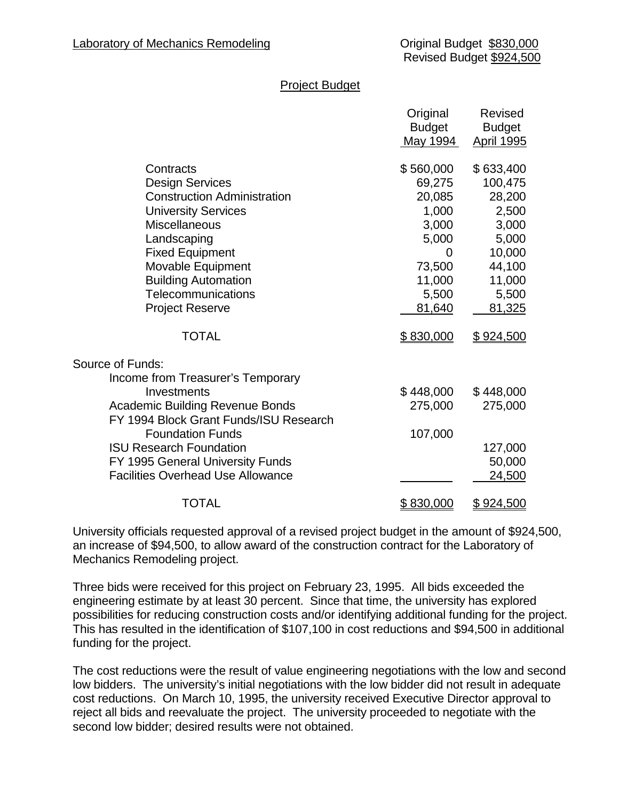#### Project Budget

|                                          | Original<br><b>Budget</b><br>May 1994 | <b>Revised</b><br><b>Budget</b><br><b>April 1995</b> |
|------------------------------------------|---------------------------------------|------------------------------------------------------|
| Contracts                                | \$560,000                             | \$633,400                                            |
| <b>Design Services</b>                   | 69,275                                | 100,475                                              |
| <b>Construction Administration</b>       | 20,085                                | 28,200                                               |
| <b>University Services</b>               | 1,000                                 | 2,500                                                |
| <b>Miscellaneous</b>                     | 3,000                                 | 3,000                                                |
| Landscaping                              | 5,000                                 | 5,000                                                |
| <b>Fixed Equipment</b>                   | 0                                     | 10,000                                               |
| <b>Movable Equipment</b>                 | 73,500                                | 44,100                                               |
| <b>Building Automation</b>               | 11,000                                | 11,000                                               |
| Telecommunications                       | 5,500                                 | 5,500                                                |
| <b>Project Reserve</b>                   | 81,640                                | 81,325                                               |
| <b>TOTAL</b>                             | \$830,000                             | \$924,500                                            |
| Source of Funds:                         |                                       |                                                      |
| Income from Treasurer's Temporary        |                                       |                                                      |
| Investments                              | \$448,000                             | \$448,000                                            |
| <b>Academic Building Revenue Bonds</b>   | 275,000                               | 275,000                                              |
| FY 1994 Block Grant Funds/ISU Research   |                                       |                                                      |
| <b>Foundation Funds</b>                  | 107,000                               |                                                      |
| <b>ISU Research Foundation</b>           |                                       | 127,000                                              |
| FY 1995 General University Funds         |                                       | 50,000                                               |
| <b>Facilities Overhead Use Allowance</b> |                                       | 24,500                                               |
| <b>TOTAL</b>                             | \$830,000                             | \$924,500                                            |

University officials requested approval of a revised project budget in the amount of \$924,500, an increase of \$94,500, to allow award of the construction contract for the Laboratory of Mechanics Remodeling project.

Three bids were received for this project on February 23, 1995. All bids exceeded the engineering estimate by at least 30 percent. Since that time, the university has explored possibilities for reducing construction costs and/or identifying additional funding for the project. This has resulted in the identification of \$107,100 in cost reductions and \$94,500 in additional funding for the project.

The cost reductions were the result of value engineering negotiations with the low and second low bidders. The university's initial negotiations with the low bidder did not result in adequate cost reductions. On March 10, 1995, the university received Executive Director approval to reject all bids and reevaluate the project. The university proceeded to negotiate with the second low bidder; desired results were not obtained.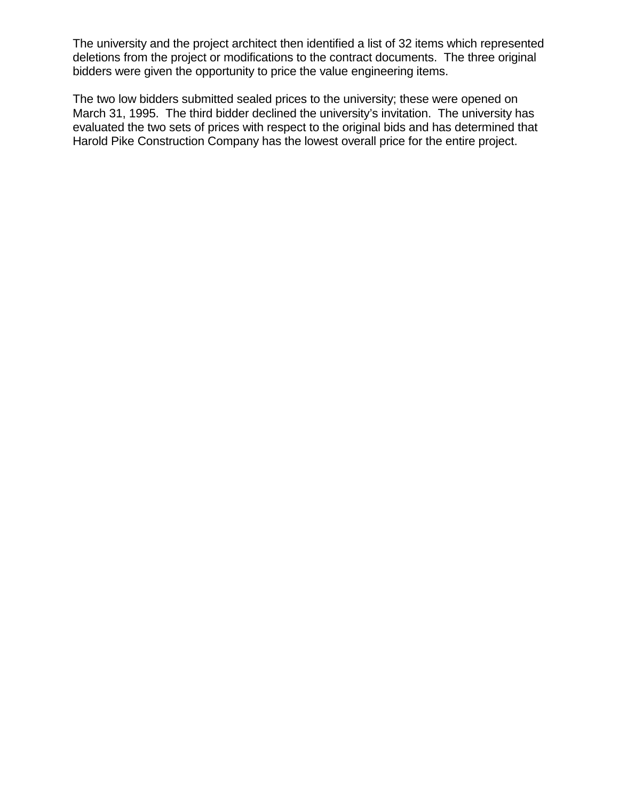The university and the project architect then identified a list of 32 items which represented deletions from the project or modifications to the contract documents. The three original bidders were given the opportunity to price the value engineering items.

The two low bidders submitted sealed prices to the university; these were opened on March 31, 1995. The third bidder declined the university's invitation. The university has evaluated the two sets of prices with respect to the original bids and has determined that Harold Pike Construction Company has the lowest overall price for the entire project.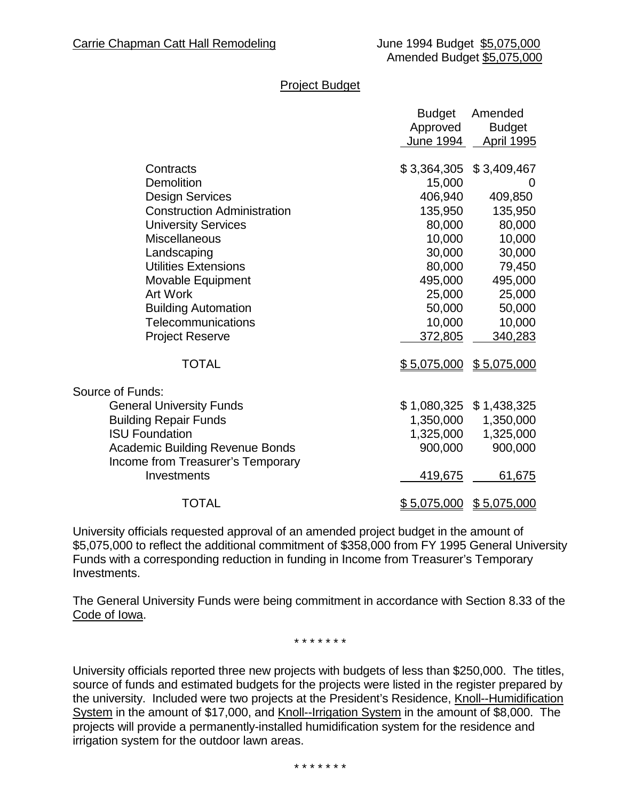#### Project Budget

|                                    | <b>Budget</b>      | Amended           |
|------------------------------------|--------------------|-------------------|
|                                    | Approved           | <b>Budget</b>     |
|                                    | June 1994          | <b>April 1995</b> |
|                                    |                    |                   |
| Contracts                          | \$3,364,305        | \$3,409,467       |
| Demolition                         | 15,000             | $\theta$          |
| <b>Design Services</b>             | 406,940            | 409,850           |
| <b>Construction Administration</b> | 135,950            | 135,950           |
| <b>University Services</b>         | 80,000             | 80,000            |
| <b>Miscellaneous</b>               | 10,000             | 10,000            |
| Landscaping                        | 30,000             | 30,000            |
| <b>Utilities Extensions</b>        | 80,000             | 79,450            |
| Movable Equipment                  | 495,000            | 495,000           |
| <b>Art Work</b>                    | 25,000             | 25,000            |
| <b>Building Automation</b>         | 50,000             | 50,000            |
| Telecommunications                 | 10,000             | 10,000            |
| <b>Project Reserve</b>             | 372,805            | 340,283           |
|                                    |                    |                   |
| <b>TOTAL</b>                       | \$5,075,000        | \$5,075,000       |
| Source of Funds:                   |                    |                   |
| <b>General University Funds</b>    | \$1,080,325        | \$1,438,325       |
| <b>Building Repair Funds</b>       | 1,350,000          | 1,350,000         |
| <b>ISU Foundation</b>              | 1,325,000          | 1,325,000         |
| Academic Building Revenue Bonds    | 900,000            | 900,000           |
| Income from Treasurer's Temporary  |                    |                   |
| Investments                        | 419,675            | 61,675            |
|                                    |                    |                   |
| <b>TOTAL</b>                       | <u>\$5,075,000</u> | \$5,075,000       |

University officials requested approval of an amended project budget in the amount of \$5,075,000 to reflect the additional commitment of \$358,000 from FY 1995 General University Funds with a corresponding reduction in funding in Income from Treasurer's Temporary Investments.

The General University Funds were being commitment in accordance with Section 8.33 of the Code of Iowa.

\* \* \* \* \* \* \*

University officials reported three new projects with budgets of less than \$250,000. The titles, source of funds and estimated budgets for the projects were listed in the register prepared by the university. Included were two projects at the President's Residence, Knoll--Humidification System in the amount of \$17,000, and Knoll--Irrigation System in the amount of \$8,000. The projects will provide a permanently-installed humidification system for the residence and irrigation system for the outdoor lawn areas.

\* \* \* \* \* \* \*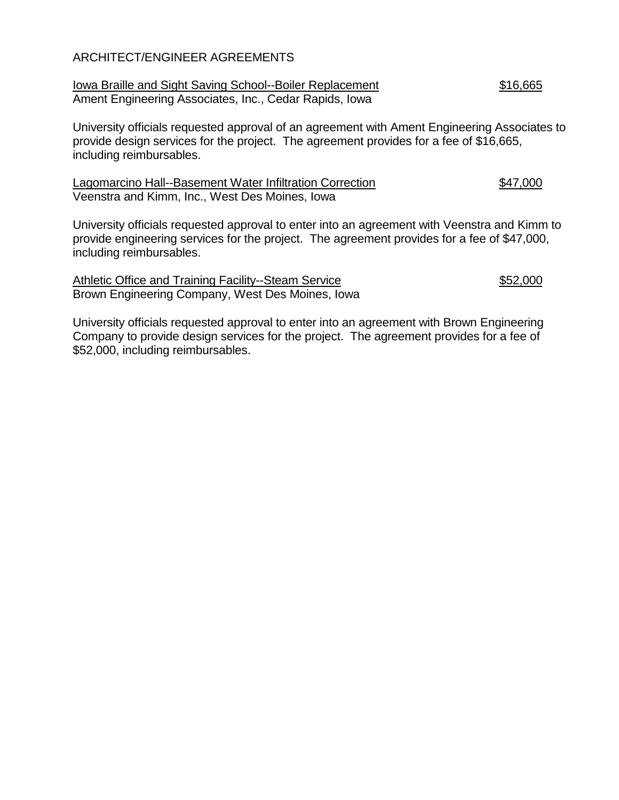### ARCHITECT/ENGINEER AGREEMENTS

| <b>Iowa Braille and Sight Saving School--Boiler Replacement</b> | \$16,665 |
|-----------------------------------------------------------------|----------|
| Ament Engineering Associates, Inc., Cedar Rapids, Iowa          |          |

University officials requested approval of an agreement with Ament Engineering Associates to provide design services for the project. The agreement provides for a fee of \$16,665, including reimbursables.

Lagomarcino Hall--Basement Water Infiltration Correction  $$47,000$ Veenstra and Kimm, Inc., West Des Moines, Iowa

University officials requested approval to enter into an agreement with Veenstra and Kimm to provide engineering services for the project. The agreement provides for a fee of \$47,000, including reimbursables.

Athletic Office and Training Facility--Steam Service \$52,000 Brown Engineering Company, West Des Moines, Iowa

University officials requested approval to enter into an agreement with Brown Engineering Company to provide design services for the project. The agreement provides for a fee of \$52,000, including reimbursables.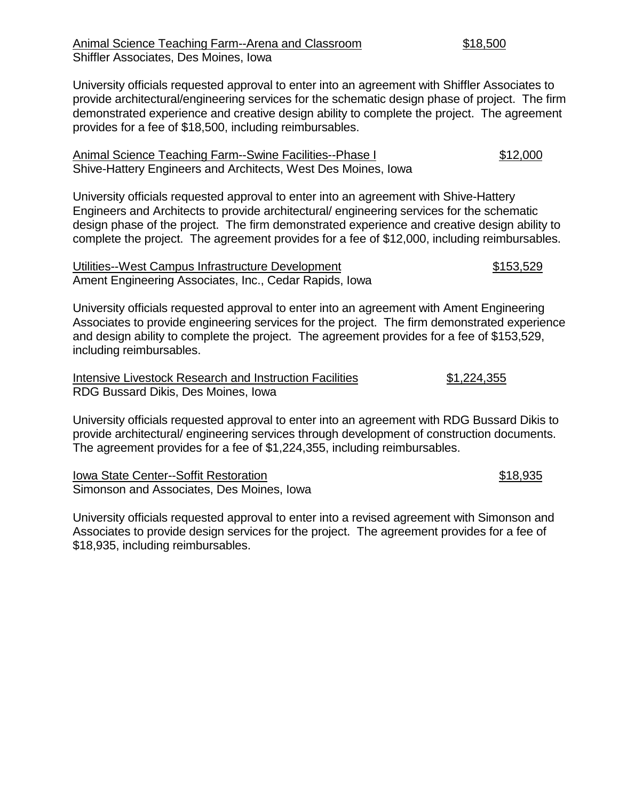University officials requested approval to enter into an agreement with Shiffler Associates to provide architectural/engineering services for the schematic design phase of project. The firm demonstrated experience and creative design ability to complete the project. The agreement provides for a fee of \$18,500, including reimbursables.

| Animal Science Teaching Farm--Swine Facilities--Phase I       | \$12,000 |
|---------------------------------------------------------------|----------|
| Shive-Hattery Engineers and Architects, West Des Moines, Iowa |          |

University officials requested approval to enter into an agreement with Shive-Hattery Engineers and Architects to provide architectural/ engineering services for the schematic design phase of the project. The firm demonstrated experience and creative design ability to complete the project. The agreement provides for a fee of \$12,000, including reimbursables.

Utilities--West Campus Infrastructure Development  $$153,529$ Ament Engineering Associates, Inc., Cedar Rapids, Iowa

University officials requested approval to enter into an agreement with Ament Engineering Associates to provide engineering services for the project. The firm demonstrated experience and design ability to complete the project. The agreement provides for a fee of \$153,529, including reimbursables.

| Intensive Livestock Research and Instruction Facilities | \$1,224,355 |
|---------------------------------------------------------|-------------|
| RDG Bussard Dikis, Des Moines, Iowa                     |             |

University officials requested approval to enter into an agreement with RDG Bussard Dikis to provide architectural/ engineering services through development of construction documents. The agreement provides for a fee of \$1,224,355, including reimbursables.

Iowa State Center--Soffit Restoration  $$18,935$ Simonson and Associates, Des Moines, Iowa

University officials requested approval to enter into a revised agreement with Simonson and Associates to provide design services for the project. The agreement provides for a fee of \$18,935, including reimbursables.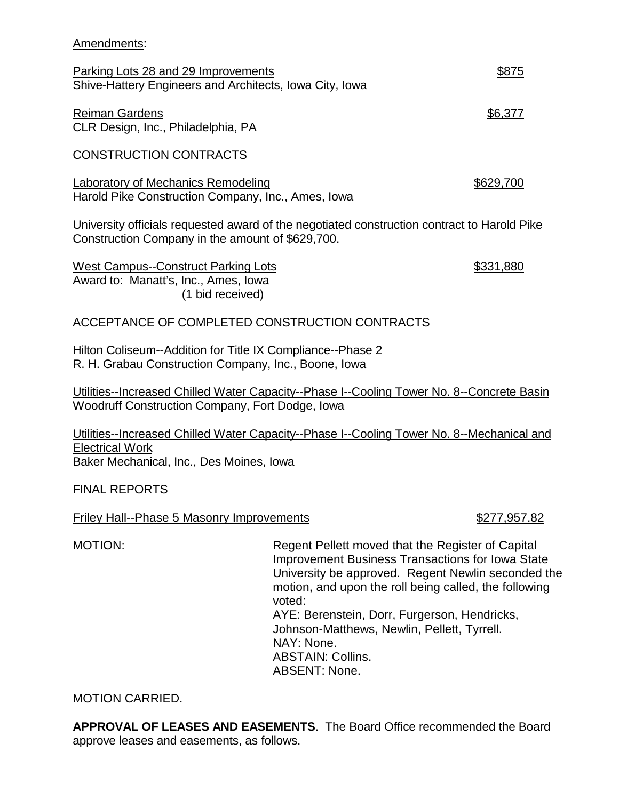#### Amendments:

Parking Lots 28 and 29 Improvements **\$875** Shive-Hattery Engineers and Architects, Iowa City, Iowa

Reiman Gardens **\$6,377** CLR Design, Inc., Philadelphia, PA

CONSTRUCTION CONTRACTS

Laboratory of Mechanics Remodeling  $$629,700$ Harold Pike Construction Company, Inc., Ames, Iowa

University officials requested award of the negotiated construction contract to Harold Pike Construction Company in the amount of \$629,700.

West Campus--Construct Parking Lots  $$331,880$ Award to: Manatt's, Inc., Ames, Iowa (1 bid received)

## ACCEPTANCE OF COMPLETED CONSTRUCTION CONTRACTS

Hilton Coliseum--Addition for Title IX Compliance--Phase 2 R. H. Grabau Construction Company, Inc., Boone, Iowa

Utilities--Increased Chilled Water Capacity--Phase I--Cooling Tower No. 8--Concrete Basin Woodruff Construction Company, Fort Dodge, Iowa

Utilities--Increased Chilled Water Capacity--Phase I--Cooling Tower No. 8--Mechanical and Electrical Work Baker Mechanical, Inc., Des Moines, Iowa

FINAL REPORTS

Friley Hall--Phase 5 Masonry Improvements \$277,957.82

MOTION: Regent Pellett moved that the Register of Capital Improvement Business Transactions for Iowa State University be approved. Regent Newlin seconded the motion, and upon the roll being called, the following voted: AYE: Berenstein, Dorr, Furgerson, Hendricks, Johnson-Matthews, Newlin, Pellett, Tyrrell. NAY: None. ABSTAIN: Collins. ABSENT: None.

MOTION CARRIED.

**APPROVAL OF LEASES AND EASEMENTS**. The Board Office recommended the Board approve leases and easements, as follows.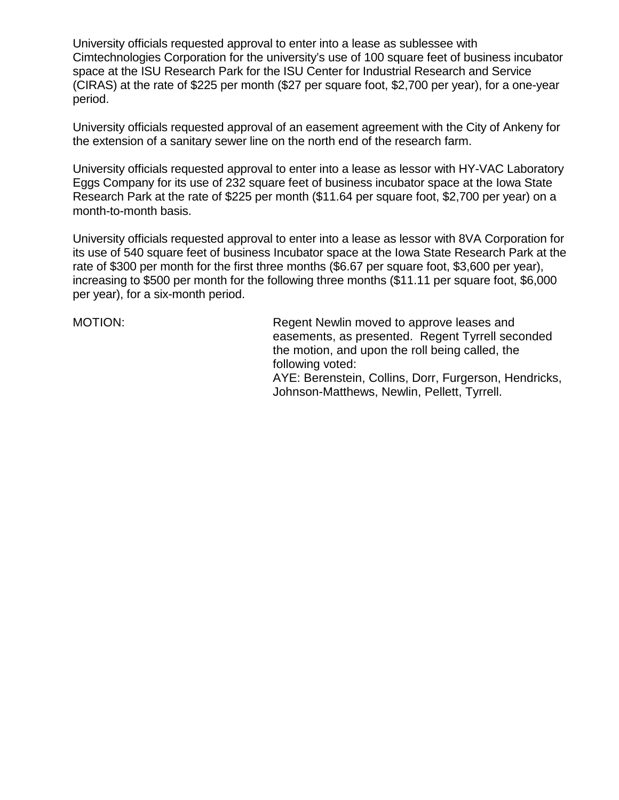University officials requested approval to enter into a lease as sublessee with Cimtechnologies Corporation for the university's use of 100 square feet of business incubator space at the ISU Research Park for the ISU Center for Industrial Research and Service (CIRAS) at the rate of \$225 per month (\$27 per square foot, \$2,700 per year), for a one-year period.

University officials requested approval of an easement agreement with the City of Ankeny for the extension of a sanitary sewer line on the north end of the research farm.

University officials requested approval to enter into a lease as lessor with HY-VAC Laboratory Eggs Company for its use of 232 square feet of business incubator space at the Iowa State Research Park at the rate of \$225 per month (\$11.64 per square foot, \$2,700 per year) on a month-to-month basis.

University officials requested approval to enter into a lease as lessor with 8VA Corporation for its use of 540 square feet of business Incubator space at the Iowa State Research Park at the rate of \$300 per month for the first three months (\$6.67 per square foot, \$3,600 per year), increasing to \$500 per month for the following three months (\$11.11 per square foot, \$6,000 per year), for a six-month period.

MOTION: Regent Newlin moved to approve leases and easements, as presented. Regent Tyrrell seconded the motion, and upon the roll being called, the following voted:

AYE: Berenstein, Collins, Dorr, Furgerson, Hendricks, Johnson-Matthews, Newlin, Pellett, Tyrrell.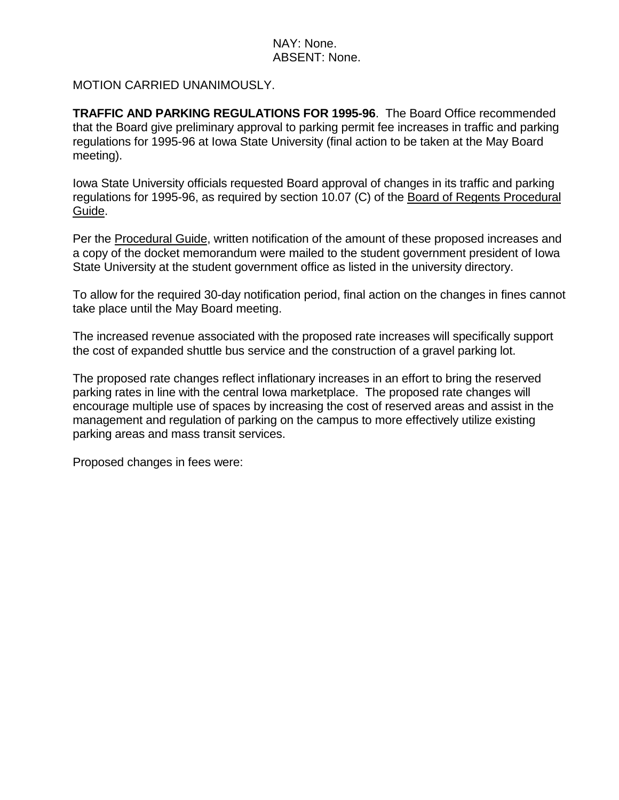## NAY: None. ABSENT: None.

## MOTION CARRIED UNANIMOUSLY.

**TRAFFIC AND PARKING REGULATIONS FOR 1995-96**. The Board Office recommended that the Board give preliminary approval to parking permit fee increases in traffic and parking regulations for 1995-96 at Iowa State University (final action to be taken at the May Board meeting).

Iowa State University officials requested Board approval of changes in its traffic and parking regulations for 1995-96, as required by section 10.07 (C) of the Board of Regents Procedural Guide.

Per the Procedural Guide, written notification of the amount of these proposed increases and a copy of the docket memorandum were mailed to the student government president of Iowa State University at the student government office as listed in the university directory.

To allow for the required 30-day notification period, final action on the changes in fines cannot take place until the May Board meeting.

The increased revenue associated with the proposed rate increases will specifically support the cost of expanded shuttle bus service and the construction of a gravel parking lot.

The proposed rate changes reflect inflationary increases in an effort to bring the reserved parking rates in line with the central Iowa marketplace. The proposed rate changes will encourage multiple use of spaces by increasing the cost of reserved areas and assist in the management and regulation of parking on the campus to more effectively utilize existing parking areas and mass transit services.

Proposed changes in fees were: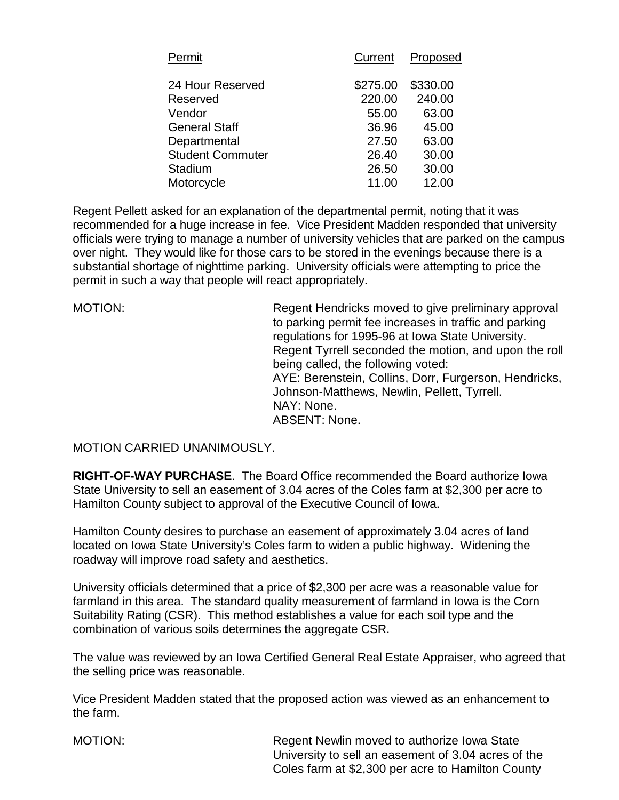| Permit                  | Current  | Proposed |
|-------------------------|----------|----------|
| 24 Hour Reserved        | \$275.00 | \$330.00 |
| Reserved                | 220.00   | 240.00   |
| Vendor                  | 55.00    | 63.00    |
| <b>General Staff</b>    | 36.96    | 45.00    |
| Departmental            | 27.50    | 63.00    |
| <b>Student Commuter</b> | 26.40    | 30.00    |
| Stadium                 | 26.50    | 30.00    |
| Motorcycle              | 11.00    | 12.00    |

Regent Pellett asked for an explanation of the departmental permit, noting that it was recommended for a huge increase in fee. Vice President Madden responded that university officials were trying to manage a number of university vehicles that are parked on the campus over night. They would like for those cars to be stored in the evenings because there is a substantial shortage of nighttime parking. University officials were attempting to price the permit in such a way that people will react appropriately.

MOTION: Regent Hendricks moved to give preliminary approval to parking permit fee increases in traffic and parking regulations for 1995-96 at Iowa State University. Regent Tyrrell seconded the motion, and upon the roll being called, the following voted: AYE: Berenstein, Collins, Dorr, Furgerson, Hendricks, Johnson-Matthews, Newlin, Pellett, Tyrrell. NAY: None. ABSENT: None.

MOTION CARRIED UNANIMOUSLY.

**RIGHT-OF-WAY PURCHASE**. The Board Office recommended the Board authorize Iowa State University to sell an easement of 3.04 acres of the Coles farm at \$2,300 per acre to Hamilton County subject to approval of the Executive Council of Iowa.

Hamilton County desires to purchase an easement of approximately 3.04 acres of land located on Iowa State University's Coles farm to widen a public highway. Widening the roadway will improve road safety and aesthetics.

University officials determined that a price of \$2,300 per acre was a reasonable value for farmland in this area. The standard quality measurement of farmland in Iowa is the Corn Suitability Rating (CSR). This method establishes a value for each soil type and the combination of various soils determines the aggregate CSR.

The value was reviewed by an Iowa Certified General Real Estate Appraiser, who agreed that the selling price was reasonable.

Vice President Madden stated that the proposed action was viewed as an enhancement to the farm.

MOTION: Regent Newlin moved to authorize Iowa State University to sell an easement of 3.04 acres of the Coles farm at \$2,300 per acre to Hamilton County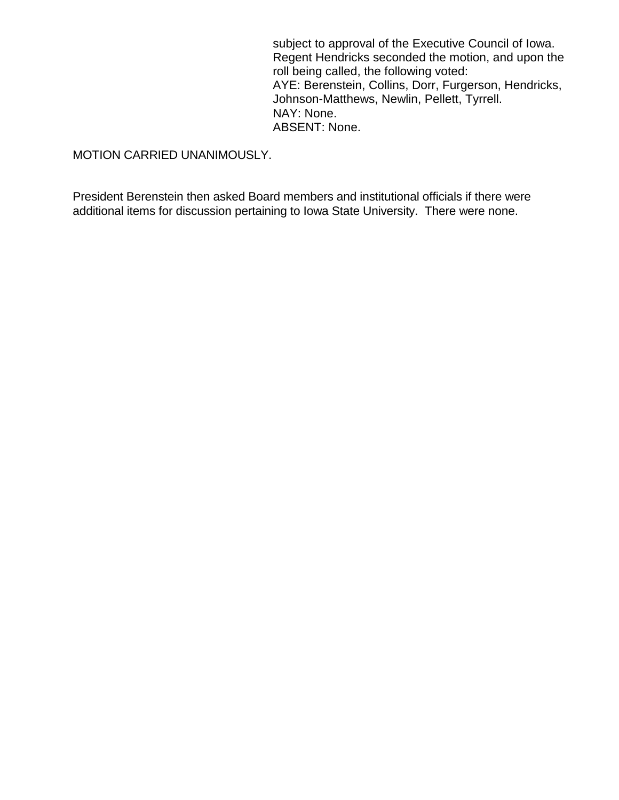subject to approval of the Executive Council of Iowa. Regent Hendricks seconded the motion, and upon the roll being called, the following voted: AYE: Berenstein, Collins, Dorr, Furgerson, Hendricks, Johnson-Matthews, Newlin, Pellett, Tyrrell. NAY: None. ABSENT: None.

MOTION CARRIED UNANIMOUSLY.

President Berenstein then asked Board members and institutional officials if there were additional items for discussion pertaining to Iowa State University. There were none.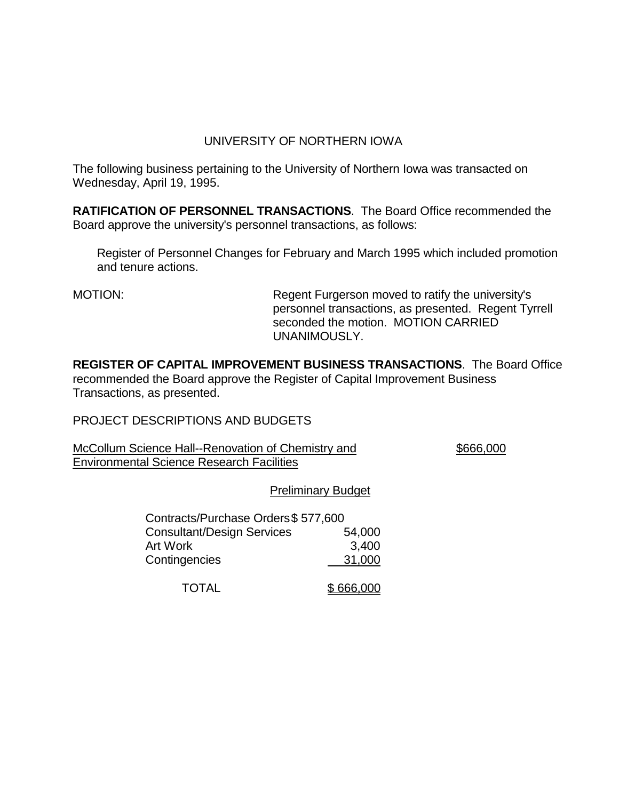## UNIVERSITY OF NORTHERN IOWA

The following business pertaining to the University of Northern Iowa was transacted on Wednesday, April 19, 1995.

**RATIFICATION OF PERSONNEL TRANSACTIONS**. The Board Office recommended the Board approve the university's personnel transactions, as follows:

Register of Personnel Changes for February and March 1995 which included promotion and tenure actions.

MOTION: Regent Furgerson moved to ratify the university's personnel transactions, as presented. Regent Tyrrell seconded the motion. MOTION CARRIED UNANIMOUSLY.

**REGISTER OF CAPITAL IMPROVEMENT BUSINESS TRANSACTIONS**. The Board Office recommended the Board approve the Register of Capital Improvement Business Transactions, as presented.

PROJECT DESCRIPTIONS AND BUDGETS

McCollum Science Hall--Renovation of Chemistry and \$666,000 Environmental Science Research Facilities

### Preliminary Budget

| Contracts/Purchase Orders\$ 577,600 |           |
|-------------------------------------|-----------|
| <b>Consultant/Design Services</b>   | 54,000    |
| Art Work                            | 3,400     |
| Contingencies                       | 31,000    |
| <b>TOTAL</b>                        | \$666,000 |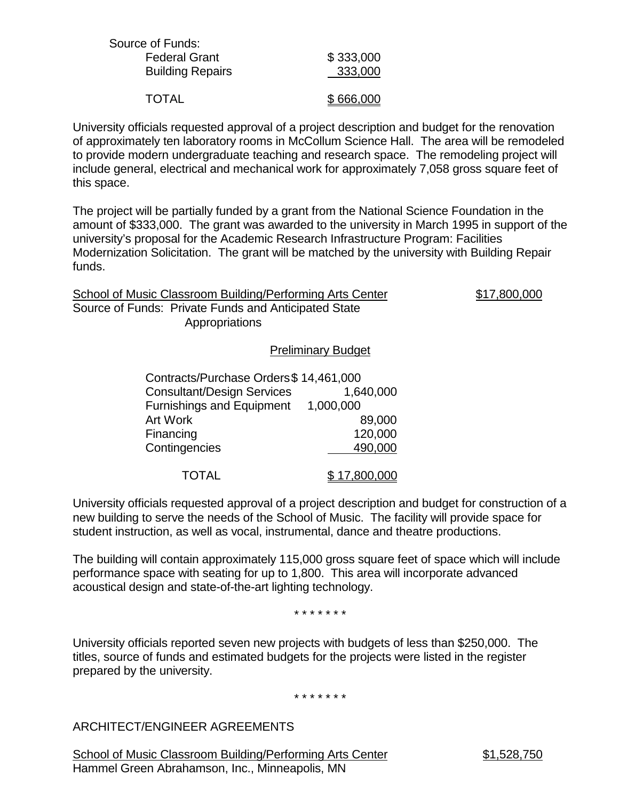| Source of Funds:        |           |
|-------------------------|-----------|
| <b>Federal Grant</b>    | \$333,000 |
| <b>Building Repairs</b> | 333,000   |
| <b>TOTAL</b>            | \$666,000 |
|                         |           |

University officials requested approval of a project description and budget for the renovation of approximately ten laboratory rooms in McCollum Science Hall. The area will be remodeled to provide modern undergraduate teaching and research space. The remodeling project will include general, electrical and mechanical work for approximately 7,058 gross square feet of this space.

The project will be partially funded by a grant from the National Science Foundation in the amount of \$333,000. The grant was awarded to the university in March 1995 in support of the university's proposal for the Academic Research Infrastructure Program: Facilities Modernization Solicitation. The grant will be matched by the university with Building Repair funds.

| School of Music Classroom Building/Performing Arts Center              | \$17,800,000 |
|------------------------------------------------------------------------|--------------|
| Source of Funds: Private Funds and Anticipated State<br>Appropriations |              |
|                                                                        |              |

### Preliminary Budget

| Contracts/Purchase Orders \$14,461,000 |                      |
|----------------------------------------|----------------------|
| <b>Consultant/Design Services</b>      | 1,640,000            |
| <b>Furnishings and Equipment</b>       | 1,000,000            |
| <b>Art Work</b>                        | 89,000               |
| Financing                              | 120,000              |
| Contingencies                          | 490,000              |
|                                        |                      |
| <b>TOTAL</b>                           | <u>\$ 17,800,000</u> |

University officials requested approval of a project description and budget for construction of a new building to serve the needs of the School of Music. The facility will provide space for student instruction, as well as vocal, instrumental, dance and theatre productions.

The building will contain approximately 115,000 gross square feet of space which will include performance space with seating for up to 1,800. This area will incorporate advanced acoustical design and state-of-the-art lighting technology.

\* \* \* \* \* \* \*

University officials reported seven new projects with budgets of less than \$250,000. The titles, source of funds and estimated budgets for the projects were listed in the register prepared by the university.

\* \* \* \* \* \* \*

ARCHITECT/ENGINEER AGREEMENTS

School of Music Classroom Building/Performing Arts Center \$1,528,750 Hammel Green Abrahamson, Inc., Minneapolis, MN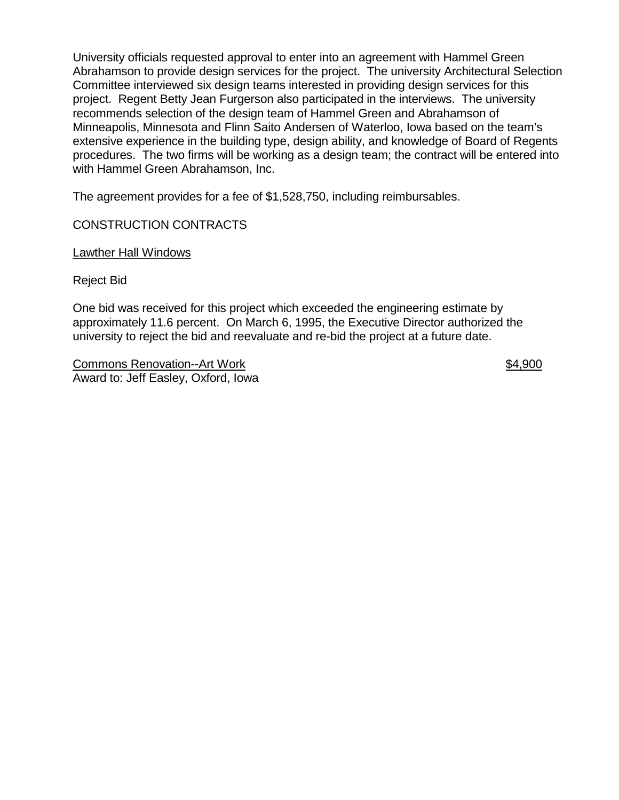University officials requested approval to enter into an agreement with Hammel Green Abrahamson to provide design services for the project. The university Architectural Selection Committee interviewed six design teams interested in providing design services for this project. Regent Betty Jean Furgerson also participated in the interviews. The university recommends selection of the design team of Hammel Green and Abrahamson of Minneapolis, Minnesota and Flinn Saito Andersen of Waterloo, Iowa based on the team's extensive experience in the building type, design ability, and knowledge of Board of Regents procedures. The two firms will be working as a design team; the contract will be entered into with Hammel Green Abrahamson, Inc.

The agreement provides for a fee of \$1,528,750, including reimbursables.

## CONSTRUCTION CONTRACTS

Lawther Hall Windows

Reject Bid

One bid was received for this project which exceeded the engineering estimate by approximately 11.6 percent. On March 6, 1995, the Executive Director authorized the university to reject the bid and reevaluate and re-bid the project at a future date.

Commons Renovation--Art Work  $$4,900$ Award to: Jeff Easley, Oxford, Iowa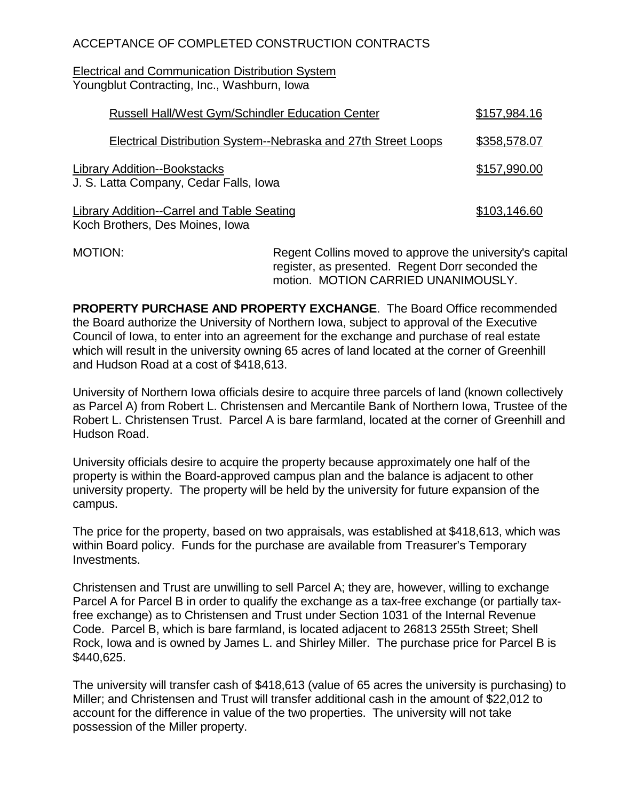# ACCEPTANCE OF COMPLETED CONSTRUCTION CONTRACTS

Electrical and Communication Distribution System Youngblut Contracting, Inc., Washburn, Iowa

| <b>Russell Hall/West Gym/Schindler Education Center</b>                              | \$157,984.16 |
|--------------------------------------------------------------------------------------|--------------|
| <b>Electrical Distribution System--Nebraska and 27th Street Loops</b>                | \$358,578.07 |
| <b>Library Addition--Bookstacks</b><br>J. S. Latta Company, Cedar Falls, Iowa        | \$157,990.00 |
| <b>Library Addition--Carrel and Table Seating</b><br>Koch Brothers, Des Moines, Iowa | \$103,146.60 |

MOTION: Regent Collins moved to approve the university's capital register, as presented. Regent Dorr seconded the motion. MOTION CARRIED UNANIMOUSLY.

**PROPERTY PURCHASE AND PROPERTY EXCHANGE**. The Board Office recommended the Board authorize the University of Northern Iowa, subject to approval of the Executive Council of Iowa, to enter into an agreement for the exchange and purchase of real estate which will result in the university owning 65 acres of land located at the corner of Greenhill and Hudson Road at a cost of \$418,613.

University of Northern Iowa officials desire to acquire three parcels of land (known collectively as Parcel A) from Robert L. Christensen and Mercantile Bank of Northern Iowa, Trustee of the Robert L. Christensen Trust. Parcel A is bare farmland, located at the corner of Greenhill and Hudson Road.

University officials desire to acquire the property because approximately one half of the property is within the Board-approved campus plan and the balance is adjacent to other university property. The property will be held by the university for future expansion of the campus.

The price for the property, based on two appraisals, was established at \$418,613, which was within Board policy. Funds for the purchase are available from Treasurer's Temporary Investments.

Christensen and Trust are unwilling to sell Parcel A; they are, however, willing to exchange Parcel A for Parcel B in order to qualify the exchange as a tax-free exchange (or partially taxfree exchange) as to Christensen and Trust under Section 1031 of the Internal Revenue Code. Parcel B, which is bare farmland, is located adjacent to 26813 255th Street; Shell Rock, Iowa and is owned by James L. and Shirley Miller. The purchase price for Parcel B is \$440,625.

The university will transfer cash of \$418,613 (value of 65 acres the university is purchasing) to Miller; and Christensen and Trust will transfer additional cash in the amount of \$22,012 to account for the difference in value of the two properties. The university will not take possession of the Miller property.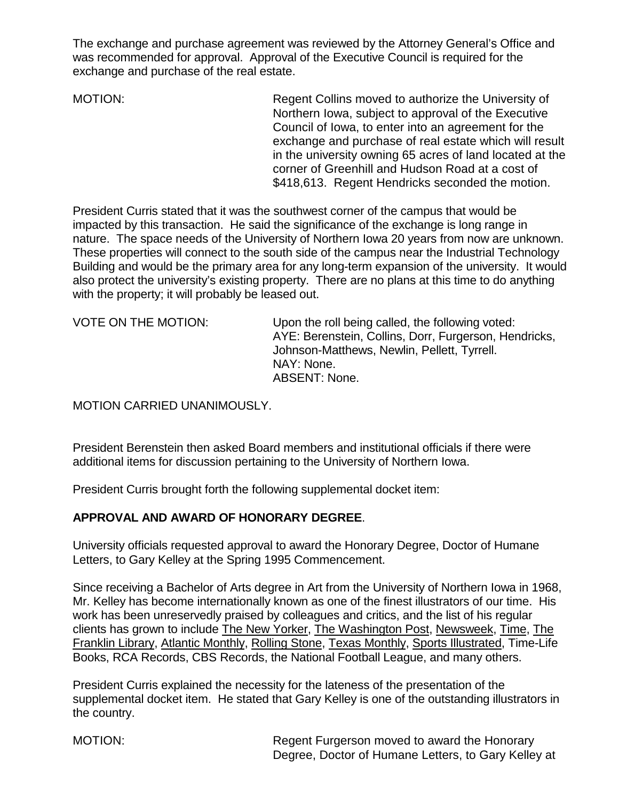The exchange and purchase agreement was reviewed by the Attorney General's Office and was recommended for approval. Approval of the Executive Council is required for the exchange and purchase of the real estate.

MOTION: Regent Collins moved to authorize the University of Northern Iowa, subject to approval of the Executive Council of Iowa, to enter into an agreement for the exchange and purchase of real estate which will result in the university owning 65 acres of land located at the corner of Greenhill and Hudson Road at a cost of \$418,613. Regent Hendricks seconded the motion.

President Curris stated that it was the southwest corner of the campus that would be impacted by this transaction. He said the significance of the exchange is long range in nature. The space needs of the University of Northern Iowa 20 years from now are unknown. These properties will connect to the south side of the campus near the Industrial Technology Building and would be the primary area for any long-term expansion of the university. It would also protect the university's existing property. There are no plans at this time to do anything with the property; it will probably be leased out.

VOTE ON THE MOTION: Upon the roll being called, the following voted: AYE: Berenstein, Collins, Dorr, Furgerson, Hendricks, Johnson-Matthews, Newlin, Pellett, Tyrrell. NAY: None. ABSENT: None.

## MOTION CARRIED UNANIMOUSLY.

President Berenstein then asked Board members and institutional officials if there were additional items for discussion pertaining to the University of Northern Iowa.

President Curris brought forth the following supplemental docket item:

### **APPROVAL AND AWARD OF HONORARY DEGREE**.

University officials requested approval to award the Honorary Degree, Doctor of Humane Letters, to Gary Kelley at the Spring 1995 Commencement.

Since receiving a Bachelor of Arts degree in Art from the University of Northern Iowa in 1968, Mr. Kelley has become internationally known as one of the finest illustrators of our time. His work has been unreservedly praised by colleagues and critics, and the list of his regular clients has grown to include The New Yorker, The Washington Post, Newsweek, Time, The Franklin Library, Atlantic Monthly, Rolling Stone, Texas Monthly, Sports Illustrated, Time-Life Books, RCA Records, CBS Records, the National Football League, and many others.

President Curris explained the necessity for the lateness of the presentation of the supplemental docket item. He stated that Gary Kelley is one of the outstanding illustrators in the country.

MOTION: MOTION: Regent Furgerson moved to award the Honorary Degree, Doctor of Humane Letters, to Gary Kelley at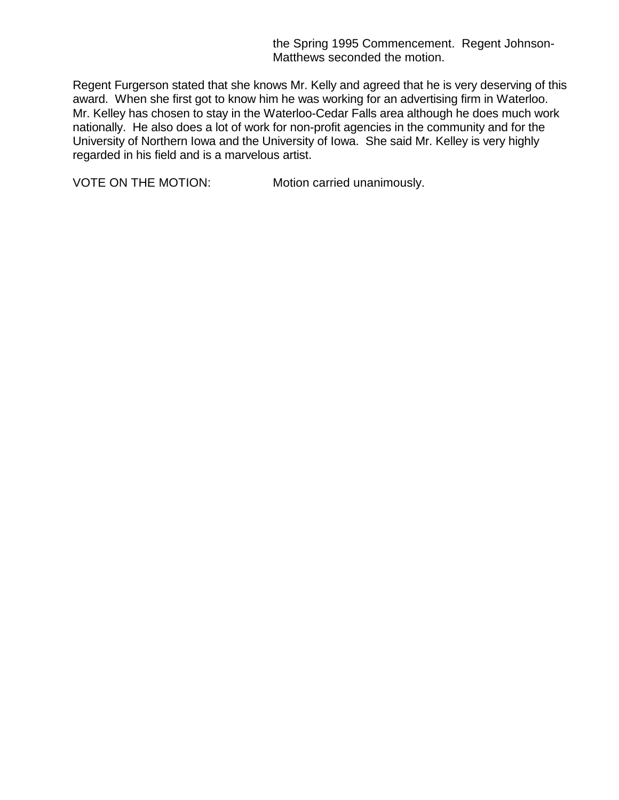the Spring 1995 Commencement. Regent Johnson-Matthews seconded the motion.

Regent Furgerson stated that she knows Mr. Kelly and agreed that he is very deserving of this award. When she first got to know him he was working for an advertising firm in Waterloo. Mr. Kelley has chosen to stay in the Waterloo-Cedar Falls area although he does much work nationally. He also does a lot of work for non-profit agencies in the community and for the University of Northern Iowa and the University of Iowa. She said Mr. Kelley is very highly regarded in his field and is a marvelous artist.

VOTE ON THE MOTION: Motion carried unanimously.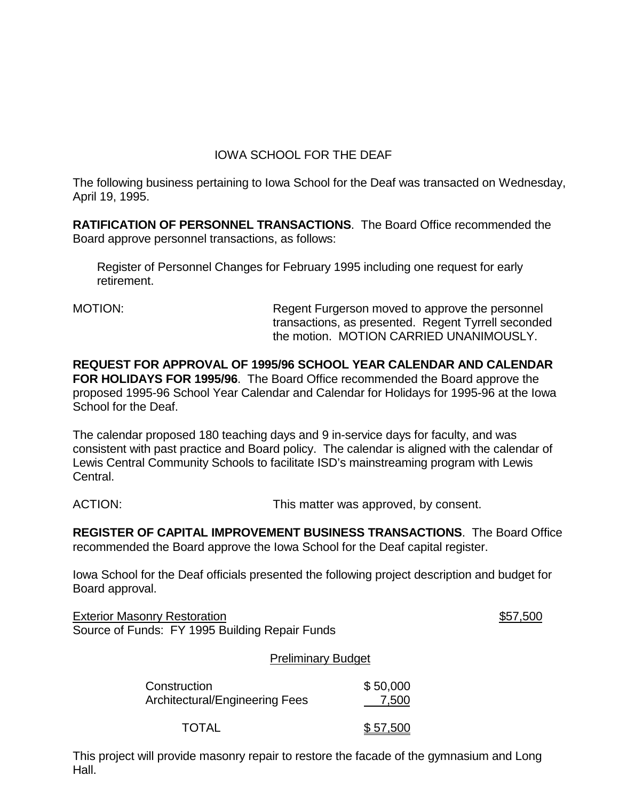# IOWA SCHOOL FOR THE DEAF

The following business pertaining to Iowa School for the Deaf was transacted on Wednesday, April 19, 1995.

**RATIFICATION OF PERSONNEL TRANSACTIONS**. The Board Office recommended the Board approve personnel transactions, as follows:

Register of Personnel Changes for February 1995 including one request for early retirement.

MOTION: Regent Furgerson moved to approve the personnel transactions, as presented. Regent Tyrrell seconded the motion. MOTION CARRIED UNANIMOUSLY.

**REQUEST FOR APPROVAL OF 1995/96 SCHOOL YEAR CALENDAR AND CALENDAR FOR HOLIDAYS FOR 1995/96**. The Board Office recommended the Board approve the proposed 1995-96 School Year Calendar and Calendar for Holidays for 1995-96 at the Iowa School for the Deaf.

The calendar proposed 180 teaching days and 9 in-service days for faculty, and was consistent with past practice and Board policy. The calendar is aligned with the calendar of Lewis Central Community Schools to facilitate ISD's mainstreaming program with Lewis Central.

ACTION: This matter was approved, by consent.

**REGISTER OF CAPITAL IMPROVEMENT BUSINESS TRANSACTIONS**. The Board Office recommended the Board approve the Iowa School for the Deaf capital register.

Iowa School for the Deaf officials presented the following project description and budget for Board approval.

Exterior Masonry Restoration  $$57,500$ Source of Funds: FY 1995 Building Repair Funds

Preliminary Budget

| Construction                   | \$50,000 |
|--------------------------------|----------|
| Architectural/Engineering Fees | 7,500    |

TOTAL \$ 57,500

This project will provide masonry repair to restore the facade of the gymnasium and Long Hall.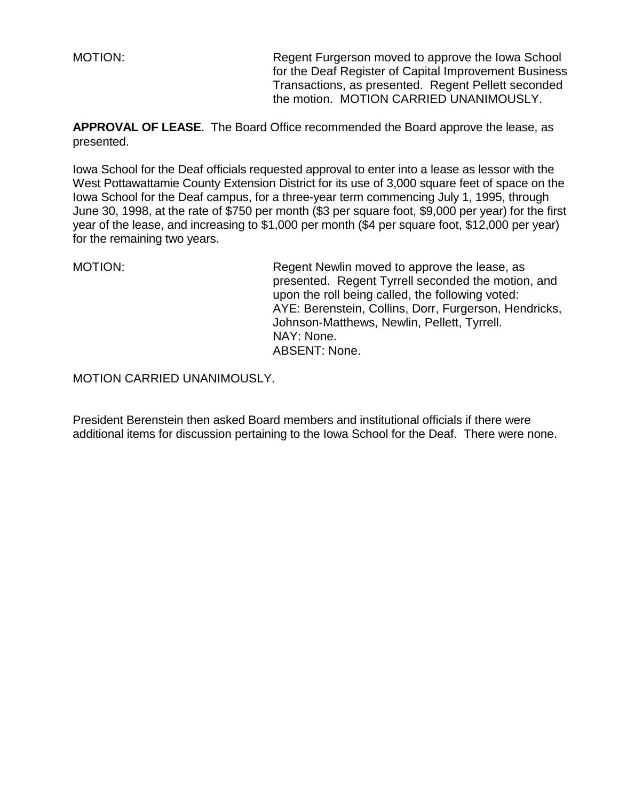MOTION: Regent Furgerson moved to approve the Iowa School for the Deaf Register of Capital Improvement Business Transactions, as presented. Regent Pellett seconded the motion. MOTION CARRIED UNANIMOUSLY.

**APPROVAL OF LEASE**. The Board Office recommended the Board approve the lease, as presented.

Iowa School for the Deaf officials requested approval to enter into a lease as lessor with the West Pottawattamie County Extension District for its use of 3,000 square feet of space on the Iowa School for the Deaf campus, for a three-year term commencing July 1, 1995, through June 30, 1998, at the rate of \$750 per month (\$3 per square foot, \$9,000 per year) for the first year of the lease, and increasing to \$1,000 per month (\$4 per square foot, \$12,000 per year) for the remaining two years.

MOTION: MOTION: Regent Newlin moved to approve the lease, as presented. Regent Tyrrell seconded the motion, and upon the roll being called, the following voted: AYE: Berenstein, Collins, Dorr, Furgerson, Hendricks, Johnson-Matthews, Newlin, Pellett, Tyrrell. NAY: None. ABSENT: None.

MOTION CARRIED UNANIMOUSLY.

President Berenstein then asked Board members and institutional officials if there were additional items for discussion pertaining to the Iowa School for the Deaf. There were none.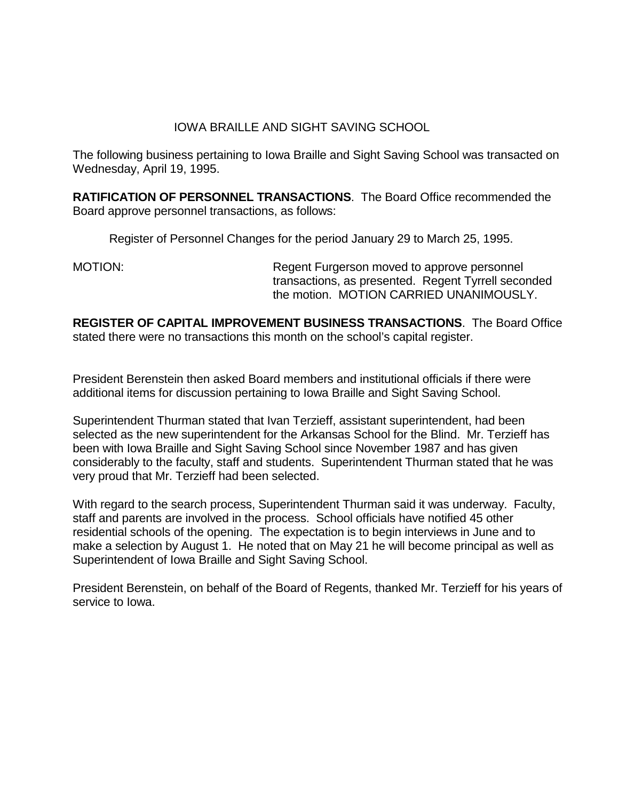## IOWA BRAILLE AND SIGHT SAVING SCHOOL

The following business pertaining to Iowa Braille and Sight Saving School was transacted on Wednesday, April 19, 1995.

**RATIFICATION OF PERSONNEL TRANSACTIONS**. The Board Office recommended the Board approve personnel transactions, as follows:

Register of Personnel Changes for the period January 29 to March 25, 1995.

MOTION: Regent Furgerson moved to approve personnel transactions, as presented. Regent Tyrrell seconded the motion. MOTION CARRIED UNANIMOUSLY.

**REGISTER OF CAPITAL IMPROVEMENT BUSINESS TRANSACTIONS**. The Board Office stated there were no transactions this month on the school's capital register.

President Berenstein then asked Board members and institutional officials if there were additional items for discussion pertaining to Iowa Braille and Sight Saving School.

Superintendent Thurman stated that Ivan Terzieff, assistant superintendent, had been selected as the new superintendent for the Arkansas School for the Blind. Mr. Terzieff has been with Iowa Braille and Sight Saving School since November 1987 and has given considerably to the faculty, staff and students. Superintendent Thurman stated that he was very proud that Mr. Terzieff had been selected.

With regard to the search process, Superintendent Thurman said it was underway. Faculty, staff and parents are involved in the process. School officials have notified 45 other residential schools of the opening. The expectation is to begin interviews in June and to make a selection by August 1. He noted that on May 21 he will become principal as well as Superintendent of Iowa Braille and Sight Saving School.

President Berenstein, on behalf of the Board of Regents, thanked Mr. Terzieff for his years of service to Iowa.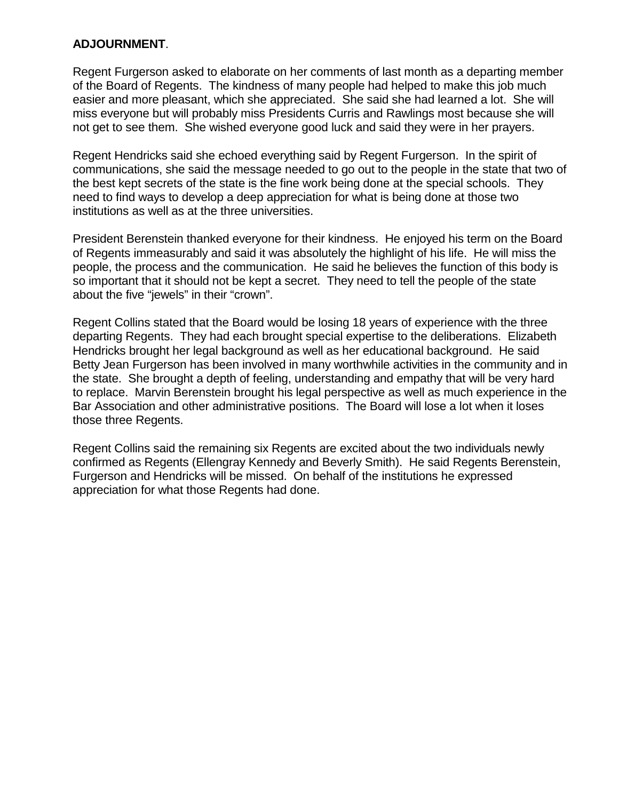### **ADJOURNMENT**.

Regent Furgerson asked to elaborate on her comments of last month as a departing member of the Board of Regents. The kindness of many people had helped to make this job much easier and more pleasant, which she appreciated. She said she had learned a lot. She will miss everyone but will probably miss Presidents Curris and Rawlings most because she will not get to see them. She wished everyone good luck and said they were in her prayers.

Regent Hendricks said she echoed everything said by Regent Furgerson. In the spirit of communications, she said the message needed to go out to the people in the state that two of the best kept secrets of the state is the fine work being done at the special schools. They need to find ways to develop a deep appreciation for what is being done at those two institutions as well as at the three universities.

President Berenstein thanked everyone for their kindness. He enjoyed his term on the Board of Regents immeasurably and said it was absolutely the highlight of his life. He will miss the people, the process and the communication. He said he believes the function of this body is so important that it should not be kept a secret. They need to tell the people of the state about the five "jewels" in their "crown".

Regent Collins stated that the Board would be losing 18 years of experience with the three departing Regents. They had each brought special expertise to the deliberations. Elizabeth Hendricks brought her legal background as well as her educational background. He said Betty Jean Furgerson has been involved in many worthwhile activities in the community and in the state. She brought a depth of feeling, understanding and empathy that will be very hard to replace. Marvin Berenstein brought his legal perspective as well as much experience in the Bar Association and other administrative positions. The Board will lose a lot when it loses those three Regents.

Regent Collins said the remaining six Regents are excited about the two individuals newly confirmed as Regents (Ellengray Kennedy and Beverly Smith). He said Regents Berenstein, Furgerson and Hendricks will be missed. On behalf of the institutions he expressed appreciation for what those Regents had done.